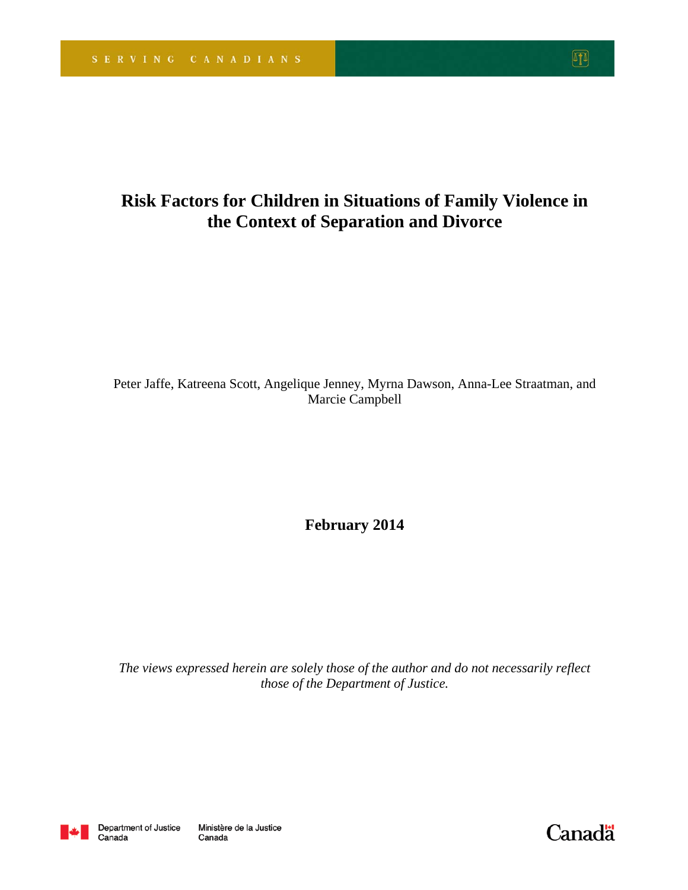# **Risk Factors for Children in Situations of Family Violence in the Context of Separation and Divorce**

Peter Jaffe, Katreena Scott, Angelique Jenney, Myrna Dawson, Anna-Lee Straatman, and Marcie Campbell

**February 2014** 

*The views expressed herein are solely those of the author and do not necessarily reflect those of the Department of Justice.* 



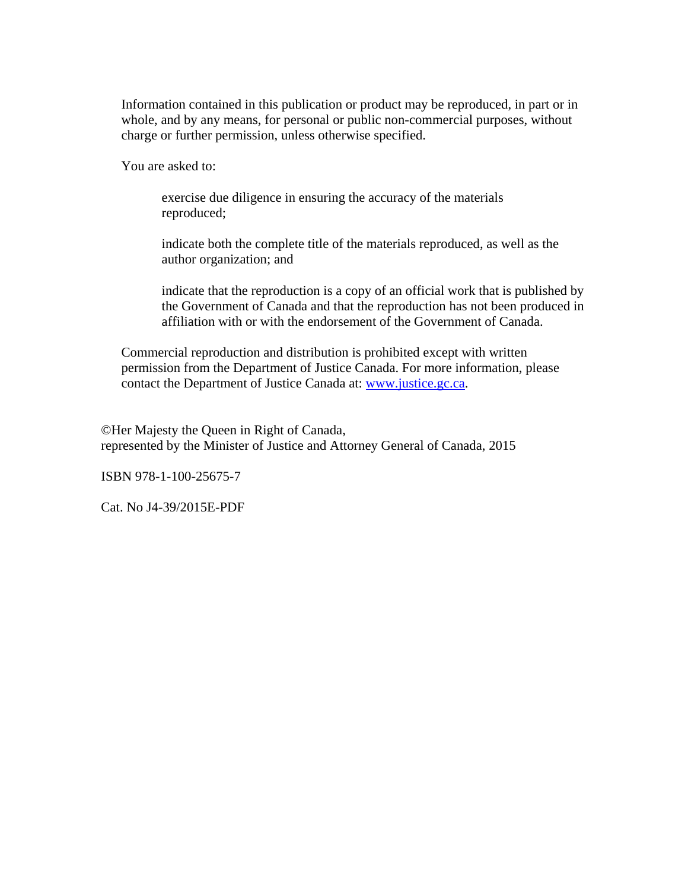Information contained in this publication or product may be reproduced, in part or in whole, and by any means, for personal or public non-commercial purposes, without charge or further permission, unless otherwise specified.

You are asked to:

exercise due diligence in ensuring the accuracy of the materials reproduced;

indicate both the complete title of the materials reproduced, as well as the author organization; and

indicate that the reproduction is a copy of an official work that is published by the Government of Canada and that the reproduction has not been produced in affiliation with or with the endorsement of the Government of Canada.

Commercial reproduction and distribution is prohibited except with written permission from the Department of Justice Canada. For more information, please contact the Department of Justice Canada at: www.justice.gc.ca.

©Her Majesty the Queen in Right of Canada, represented by the Minister of Justice and Attorney General of Canada, 2015

ISBN 978-1-100-25675-7

Cat. No J4-39/2015E-PDF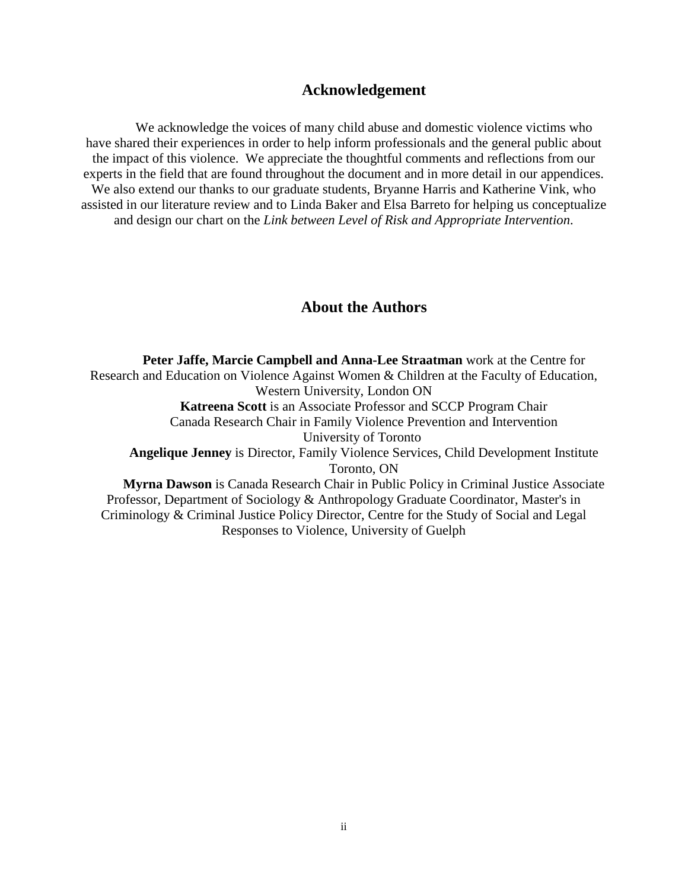#### **Acknowledgement**

We acknowledge the voices of many child abuse and domestic violence victims who have shared their experiences in order to help inform professionals and the general public about the impact of this violence. We appreciate the thoughtful comments and reflections from our experts in the field that are found throughout the document and in more detail in our appendices. We also extend our thanks to our graduate students, Bryanne Harris and Katherine Vink, who assisted in our literature review and to Linda Baker and Elsa Barreto for helping us conceptualize and design our chart on the *Link between Level of Risk and Appropriate Intervention*.

#### **About the Authors**

**Peter Jaffe, Marcie Campbell and Anna-Lee Straatman** work at the Centre for Research and Education on Violence Against Women & Children at the Faculty of Education, Western University, London ON **Katreena Scott** is an Associate Professor and SCCP Program Chair Canada Research Chair in Family Violence Prevention and Intervention University of Toronto **Angelique Jenney** is Director, Family Violence Services, Child Development Institute Toronto, ON **Myrna Dawson** is Canada Research Chair in Public Policy in Criminal Justice Associate Professor, Department of Sociology & Anthropology Graduate Coordinator, Master's in Criminology & Criminal Justice Policy Director, Centre for the Study of Social and Legal

Responses to Violence, University of Guelph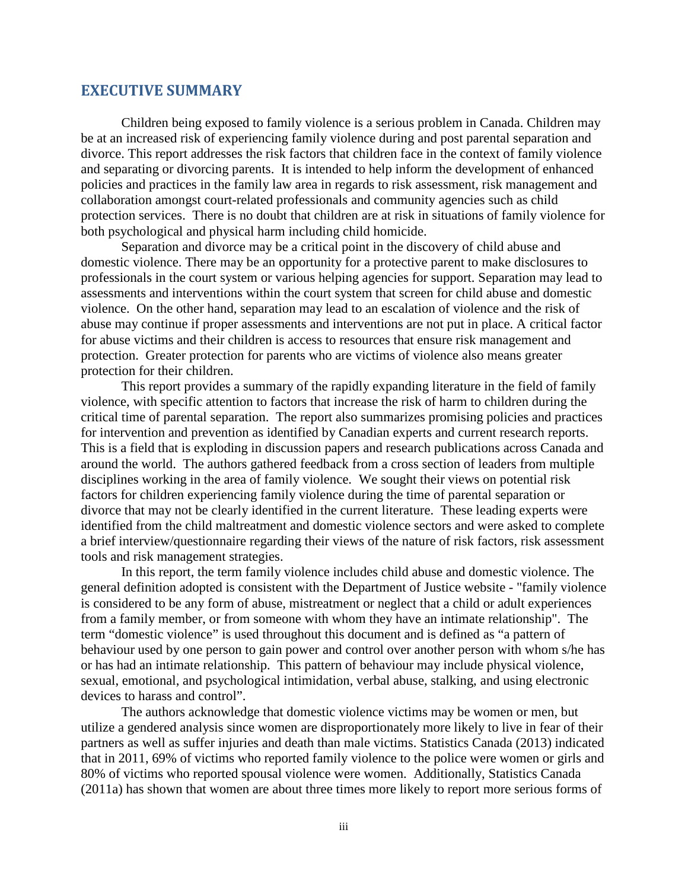#### <span id="page-3-0"></span>**EXECUTIVE SUMMARY**

Children being exposed to family violence is a serious problem in Canada. Children may be at an increased risk of experiencing family violence during and post parental separation and divorce. This report addresses the risk factors that children face in the context of family violence and separating or divorcing parents. It is intended to help inform the development of enhanced policies and practices in the family law area in regards to risk assessment, risk management and collaboration amongst court-related professionals and community agencies such as child protection services. There is no doubt that children are at risk in situations of family violence for both psychological and physical harm including child homicide.

Separation and divorce may be a critical point in the discovery of child abuse and domestic violence. There may be an opportunity for a protective parent to make disclosures to professionals in the court system or various helping agencies for support. Separation may lead to assessments and interventions within the court system that screen for child abuse and domestic violence. On the other hand, separation may lead to an escalation of violence and the risk of abuse may continue if proper assessments and interventions are not put in place. A critical factor for abuse victims and their children is access to resources that ensure risk management and protection. Greater protection for parents who are victims of violence also means greater protection for their children.

This report provides a summary of the rapidly expanding literature in the field of family violence, with specific attention to factors that increase the risk of harm to children during the critical time of parental separation. The report also summarizes promising policies and practices for intervention and prevention as identified by Canadian experts and current research reports. This is a field that is exploding in discussion papers and research publications across Canada and around the world. The authors gathered feedback from a cross section of leaders from multiple disciplines working in the area of family violence. We sought their views on potential risk factors for children experiencing family violence during the time of parental separation or divorce that may not be clearly identified in the current literature. These leading experts were identified from the child maltreatment and domestic violence sectors and were asked to complete a brief interview/questionnaire regarding their views of the nature of risk factors, risk assessment tools and risk management strategies.

In this report, the term family violence includes child abuse and domestic violence. The general definition adopted is consistent with the Department of Justice website - "family violence is considered to be any form of abuse, mistreatment or neglect that a child or adult experiences from a family member, or from someone with whom they have an intimate relationship". The term "domestic violence" is used throughout this document and is defined as "a pattern of behaviour used by one person to gain power and control over another person with whom s/he has or has had an intimate relationship. This pattern of behaviour may include physical violence, sexual, emotional, and psychological intimidation, verbal abuse, stalking, and using electronic devices to harass and control".

The authors acknowledge that domestic violence victims may be women or men, but utilize a gendered analysis since women are disproportionately more likely to live in fear of their partners as well as suffer injuries and death than male victims. Statistics Canada (2013) indicated that in 2011, 69% of victims who reported family violence to the police were women or girls and 80% of victims who reported spousal violence were women. Additionally, Statistics Canada (2011a) has shown that women are about three times more likely to report more serious forms of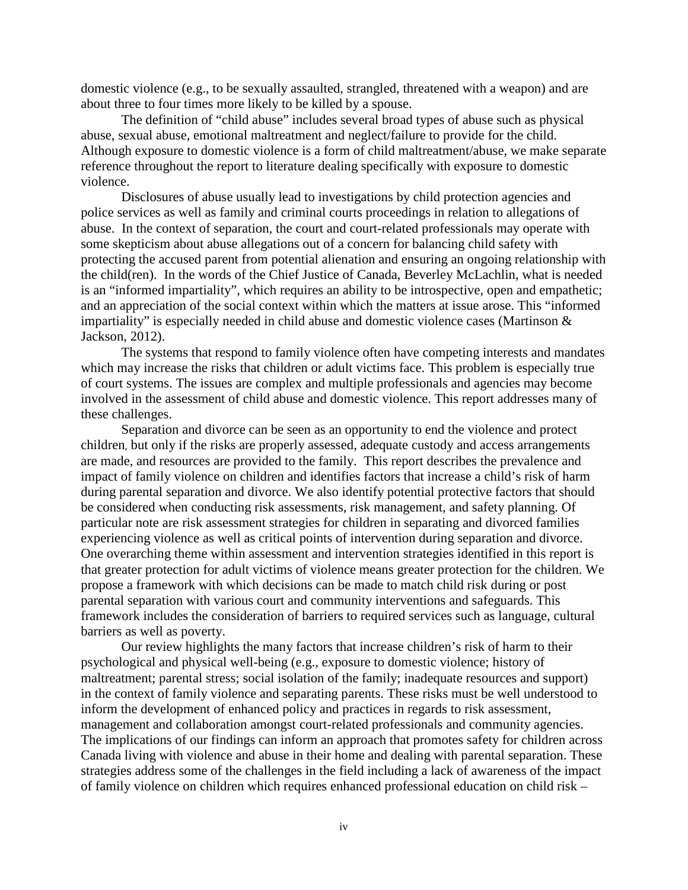domestic violence (e.g., to be sexually assaulted, strangled, threatened with a weapon) and are about three to four times more likely to be killed by a spouse.

The definition of "child abuse" includes several broad types of abuse such as physical abuse, sexual abuse, emotional maltreatment and neglect/failure to provide for the child. Although exposure to domestic violence is a form of child maltreatment/abuse, we make separate reference throughout the report to literature dealing specifically with exposure to domestic violence.

Disclosures of abuse usually lead to investigations by child protection agencies and police services as well as family and criminal courts proceedings in relation to allegations of abuse. In the context of separation, the court and court-related professionals may operate with some skepticism about abuse allegations out of a concern for balancing child safety with protecting the accused parent from potential alienation and ensuring an ongoing relationship with the child(ren). In the words of the Chief Justice of Canada, Beverley McLachlin, what is needed is an "informed impartiality", which requires an ability to be introspective, open and empathetic; and an appreciation of the social context within which the matters at issue arose. This "informed impartiality" is especially needed in child abuse and domestic violence cases (Martinson & Jackson, 2012).

The systems that respond to family violence often have competing interests and mandates which may increase the risks that children or adult victims face. This problem is especially true of court systems. The issues are complex and multiple professionals and agencies may become involved in the assessment of child abuse and domestic violence. This report addresses many of these challenges.

Separation and divorce can be seen as an opportunity to end the violence and protect children, but only if the risks are properly assessed, adequate custody and access arrangements are made, and resources are provided to the family. This report describes the prevalence and impact of family violence on children and identifies factors that increase a child's risk of harm during parental separation and divorce. We also identify potential protective factors that should be considered when conducting risk assessments, risk management, and safety planning. Of particular note are risk assessment strategies for children in separating and divorced families experiencing violence as well as critical points of intervention during separation and divorce. One overarching theme within assessment and intervention strategies identified in this report is that greater protection for adult victims of violence means greater protection for the children. We propose a framework with which decisions can be made to match child risk during or post parental separation with various court and community interventions and safeguards. This framework includes the consideration of barriers to required services such as language, cultural barriers as well as poverty.

Our review highlights the many factors that increase children's risk of harm to their psychological and physical well-being (e.g., exposure to domestic violence; history of maltreatment; parental stress; social isolation of the family; inadequate resources and support) in the context of family violence and separating parents. These risks must be well understood to inform the development of enhanced policy and practices in regards to risk assessment, management and collaboration amongst court-related professionals and community agencies. The implications of our findings can inform an approach that promotes safety for children across Canada living with violence and abuse in their home and dealing with parental separation. These strategies address some of the challenges in the field including a lack of awareness of the impact of family violence on children which requires enhanced professional education on child risk –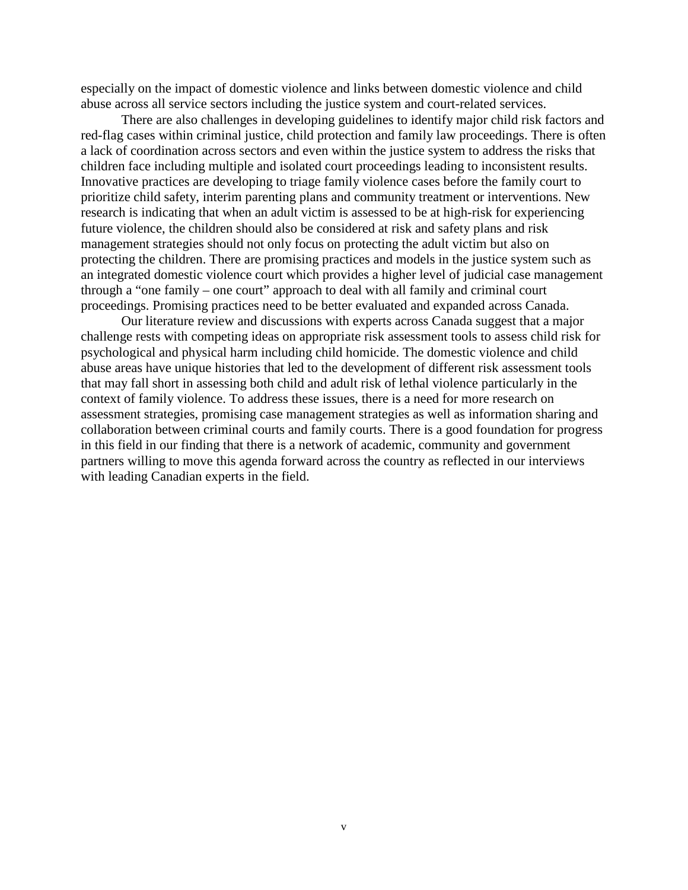especially on the impact of domestic violence and links between domestic violence and child abuse across all service sectors including the justice system and court-related services.

There are also challenges in developing guidelines to identify major child risk factors and red-flag cases within criminal justice, child protection and family law proceedings. There is often a lack of coordination across sectors and even within the justice system to address the risks that children face including multiple and isolated court proceedings leading to inconsistent results. Innovative practices are developing to triage family violence cases before the family court to prioritize child safety, interim parenting plans and community treatment or interventions. New research is indicating that when an adult victim is assessed to be at high-risk for experiencing future violence, the children should also be considered at risk and safety plans and risk management strategies should not only focus on protecting the adult victim but also on protecting the children. There are promising practices and models in the justice system such as an integrated domestic violence court which provides a higher level of judicial case management through a "one family – one court" approach to deal with all family and criminal court proceedings. Promising practices need to be better evaluated and expanded across Canada.

Our literature review and discussions with experts across Canada suggest that a major challenge rests with competing ideas on appropriate risk assessment tools to assess child risk for psychological and physical harm including child homicide. The domestic violence and child abuse areas have unique histories that led to the development of different risk assessment tools that may fall short in assessing both child and adult risk of lethal violence particularly in the context of family violence. To address these issues, there is a need for more research on assessment strategies, promising case management strategies as well as information sharing and collaboration between criminal courts and family courts. There is a good foundation for progress in this field in our finding that there is a network of academic, community and government partners willing to move this agenda forward across the country as reflected in our interviews with leading Canadian experts in the field.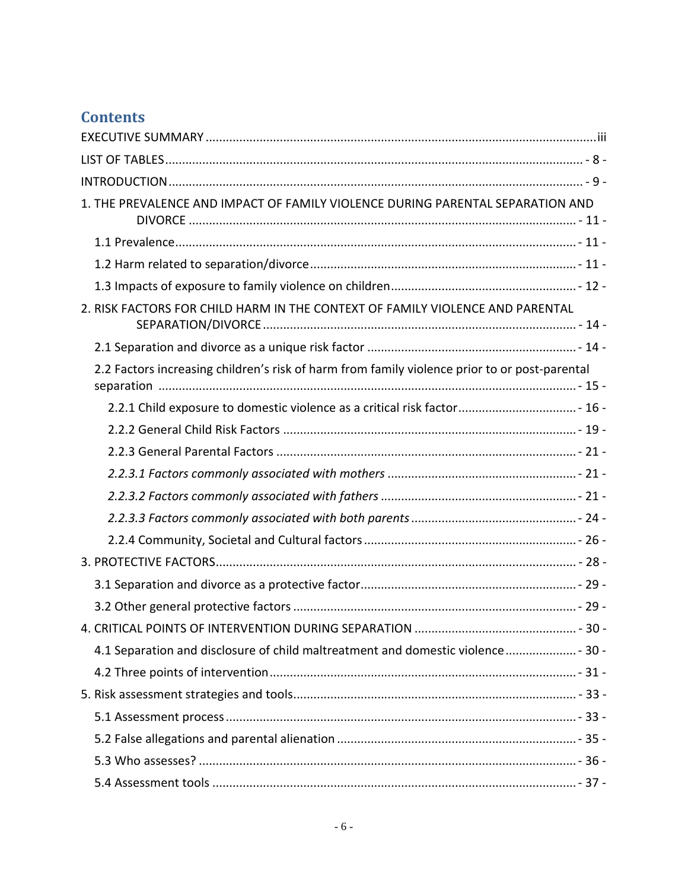# **Contents**

| 1. THE PREVALENCE AND IMPACT OF FAMILY VIOLENCE DURING PARENTAL SEPARATION AND                |  |
|-----------------------------------------------------------------------------------------------|--|
|                                                                                               |  |
|                                                                                               |  |
|                                                                                               |  |
| 2. RISK FACTORS FOR CHILD HARM IN THE CONTEXT OF FAMILY VIOLENCE AND PARENTAL                 |  |
|                                                                                               |  |
| 2.2 Factors increasing children's risk of harm from family violence prior to or post-parental |  |
| 2.2.1 Child exposure to domestic violence as a critical risk factor 16 -                      |  |
|                                                                                               |  |
|                                                                                               |  |
|                                                                                               |  |
|                                                                                               |  |
|                                                                                               |  |
|                                                                                               |  |
|                                                                                               |  |
|                                                                                               |  |
|                                                                                               |  |
|                                                                                               |  |
| 4.1 Separation and disclosure of child maltreatment and domestic violence  - 30 -             |  |
|                                                                                               |  |
|                                                                                               |  |
|                                                                                               |  |
|                                                                                               |  |
|                                                                                               |  |
|                                                                                               |  |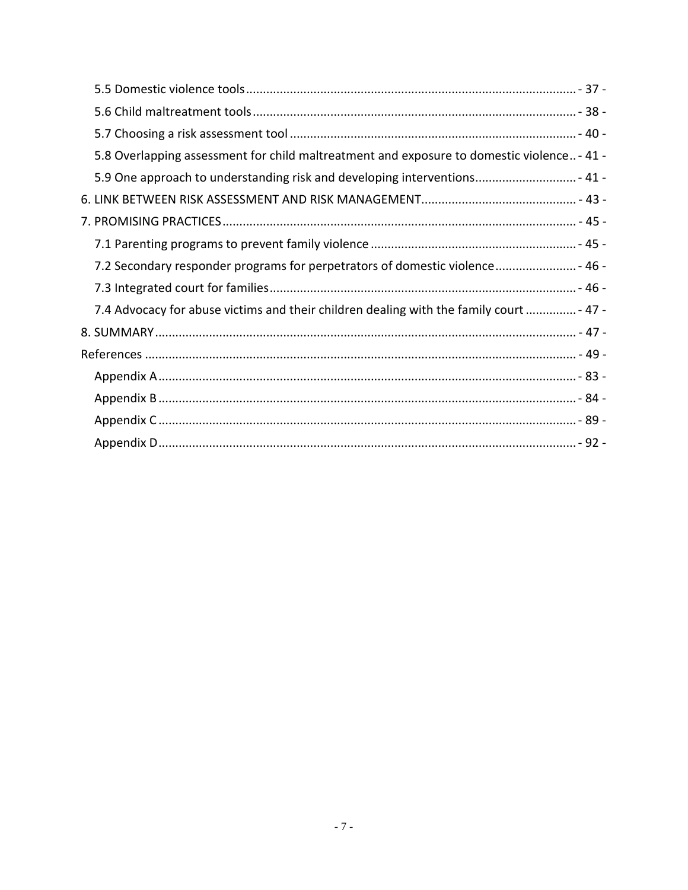| 5.8 Overlapping assessment for child maltreatment and exposure to domestic violence - 41 - |  |
|--------------------------------------------------------------------------------------------|--|
| 5.9 One approach to understanding risk and developing interventions 41 -                   |  |
|                                                                                            |  |
|                                                                                            |  |
|                                                                                            |  |
| 7.2 Secondary responder programs for perpetrators of domestic violence 46 -                |  |
|                                                                                            |  |
| 7.4 Advocacy for abuse victims and their children dealing with the family court  - 47 -    |  |
|                                                                                            |  |
|                                                                                            |  |
|                                                                                            |  |
|                                                                                            |  |
|                                                                                            |  |
|                                                                                            |  |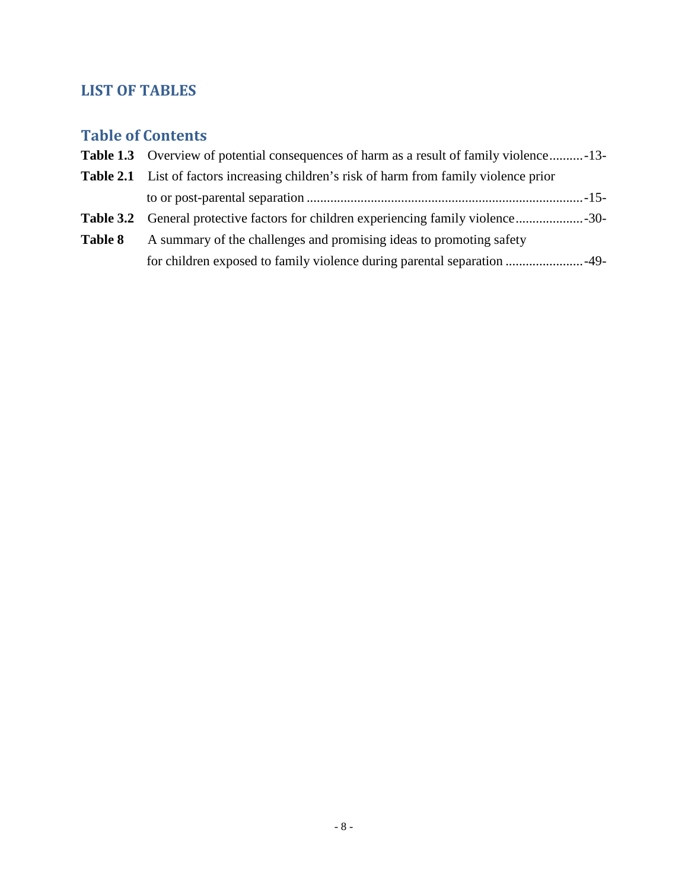# <span id="page-8-0"></span>**LIST OF TABLES**

# **Table of Contents**

| <b>Table 1.3</b> Overview of potential consequences of harm as a result of family violence-13- |  |
|------------------------------------------------------------------------------------------------|--|
| <b>Table 2.1</b> List of factors increasing children's risk of harm from family violence prior |  |
|                                                                                                |  |
| <b>Table 3.2</b> General protective factors for children experiencing family violence30-       |  |
| A summary of the challenges and promising ideas to promoting safety                            |  |
|                                                                                                |  |
|                                                                                                |  |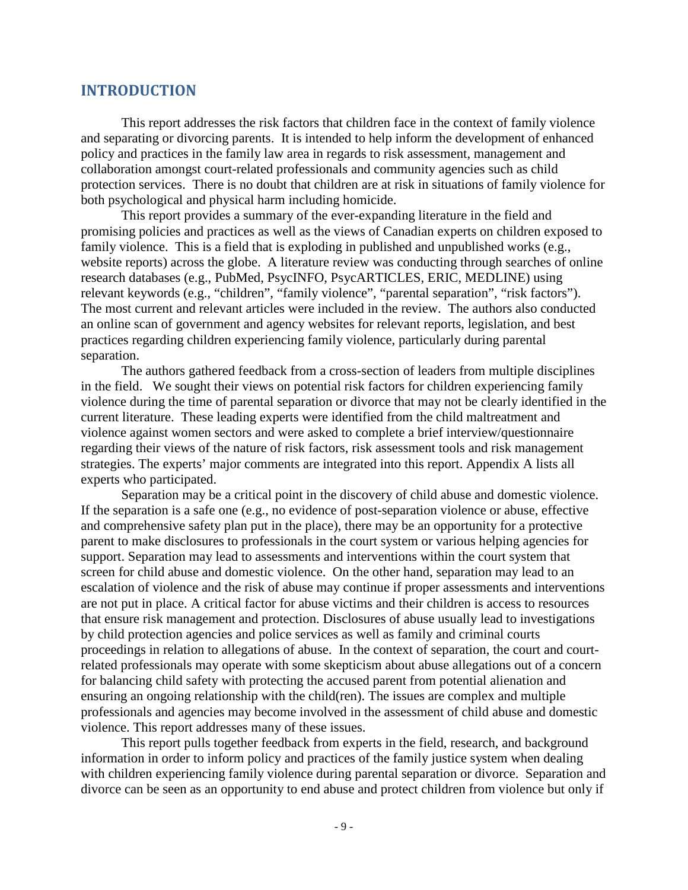#### <span id="page-9-0"></span>**INTRODUCTION**

This report addresses the risk factors that children face in the context of family violence and separating or divorcing parents. It is intended to help inform the development of enhanced policy and practices in the family law area in regards to risk assessment, management and collaboration amongst court-related professionals and community agencies such as child protection services. There is no doubt that children are at risk in situations of family violence for both psychological and physical harm including homicide.

This report provides a summary of the ever-expanding literature in the field and promising policies and practices as well as the views of Canadian experts on children exposed to family violence. This is a field that is exploding in published and unpublished works (e.g., website reports) across the globe. A literature review was conducting through searches of online research databases (e.g., PubMed, PsycINFO, PsycARTICLES, ERIC, MEDLINE) using relevant keywords (e.g., "children", "family violence", "parental separation", "risk factors"). The most current and relevant articles were included in the review. The authors also conducted an online scan of government and agency websites for relevant reports, legislation, and best practices regarding children experiencing family violence, particularly during parental separation.

The authors gathered feedback from a cross-section of leaders from multiple disciplines in the field. We sought their views on potential risk factors for children experiencing family violence during the time of parental separation or divorce that may not be clearly identified in the current literature. These leading experts were identified from the child maltreatment and violence against women sectors and were asked to complete a brief interview/questionnaire regarding their views of the nature of risk factors, risk assessment tools and risk management strategies. The experts' major comments are integrated into this report. Appendix A lists all experts who participated.

Separation may be a critical point in the discovery of child abuse and domestic violence. If the separation is a safe one (e.g., no evidence of post-separation violence or abuse, effective and comprehensive safety plan put in the place), there may be an opportunity for a protective parent to make disclosures to professionals in the court system or various helping agencies for support. Separation may lead to assessments and interventions within the court system that screen for child abuse and domestic violence. On the other hand, separation may lead to an escalation of violence and the risk of abuse may continue if proper assessments and interventions are not put in place. A critical factor for abuse victims and their children is access to resources that ensure risk management and protection. Disclosures of abuse usually lead to investigations by child protection agencies and police services as well as family and criminal courts proceedings in relation to allegations of abuse. In the context of separation, the court and courtrelated professionals may operate with some skepticism about abuse allegations out of a concern for balancing child safety with protecting the accused parent from potential alienation and ensuring an ongoing relationship with the child(ren). The issues are complex and multiple professionals and agencies may become involved in the assessment of child abuse and domestic violence. This report addresses many of these issues.

This report pulls together feedback from experts in the field, research, and background information in order to inform policy and practices of the family justice system when dealing with children experiencing family violence during parental separation or divorce. Separation and divorce can be seen as an opportunity to end abuse and protect children from violence but only if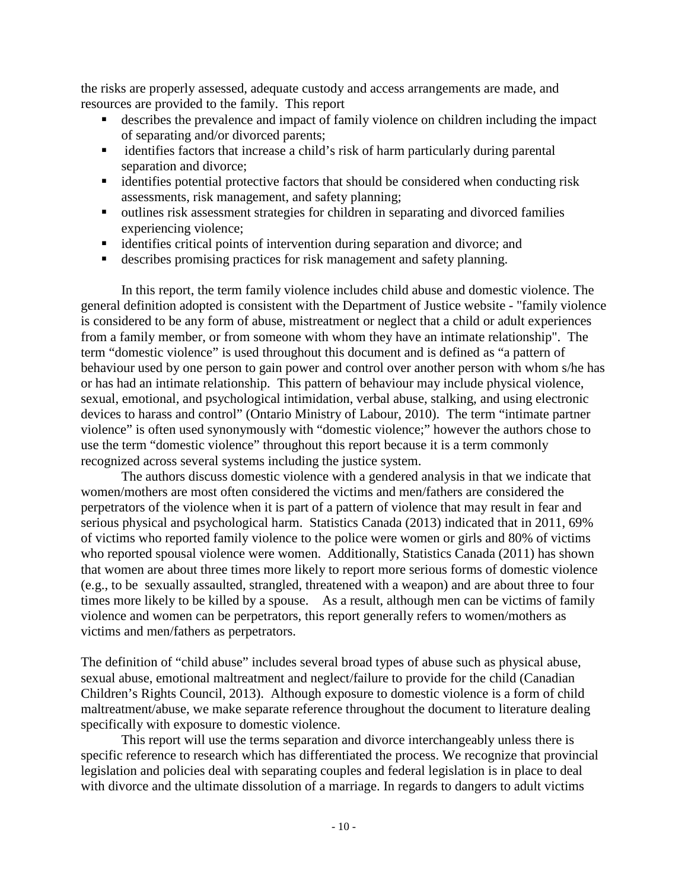the risks are properly assessed, adequate custody and access arrangements are made, and resources are provided to the family. This report

- describes the prevalence and impact of family violence on children including the impact of separating and/or divorced parents;
- identifies factors that increase a child's risk of harm particularly during parental separation and divorce;
- identifies potential protective factors that should be considered when conducting risk assessments, risk management, and safety planning;
- outlines risk assessment strategies for children in separating and divorced families experiencing violence;
- identifies critical points of intervention during separation and divorce; and
- describes promising practices for risk management and safety planning.

In this report, the term family violence includes child abuse and domestic violence. The general definition adopted is consistent with the Department of Justice website - "family violence is considered to be any form of abuse, mistreatment or neglect that a child or adult experiences from a family member, or from someone with whom they have an intimate relationship". The term "domestic violence" is used throughout this document and is defined as "a pattern of behaviour used by one person to gain power and control over another person with whom s/he has or has had an intimate relationship. This pattern of behaviour may include physical violence, sexual, emotional, and psychological intimidation, verbal abuse, stalking, and using electronic devices to harass and control" (Ontario Ministry of Labour, 2010). The term "intimate partner violence" is often used synonymously with "domestic violence;" however the authors chose to use the term "domestic violence" throughout this report because it is a term commonly recognized across several systems including the justice system.

The authors discuss domestic violence with a gendered analysis in that we indicate that women/mothers are most often considered the victims and men/fathers are considered the perpetrators of the violence when it is part of a pattern of violence that may result in fear and serious physical and psychological harm. Statistics Canada (2013) indicated that in 2011, 69% of victims who reported family violence to the police were women or girls and 80% of victims who reported spousal violence were women. Additionally, Statistics Canada (2011) has shown that women are about three times more likely to report more serious forms of domestic violence (e.g., to be sexually assaulted, strangled, threatened with a weapon) and are about three to four times more likely to be killed by a spouse. As a result, although men can be victims of family violence and women can be perpetrators, this report generally refers to women/mothers as victims and men/fathers as perpetrators.

The definition of "child abuse" includes several broad types of abuse such as physical abuse, sexual abuse, emotional maltreatment and neglect/failure to provide for the child (Canadian Children's Rights Council, 2013). Although exposure to domestic violence is a form of child maltreatment/abuse, we make separate reference throughout the document to literature dealing specifically with exposure to domestic violence.

This report will use the terms separation and divorce interchangeably unless there is specific reference to research which has differentiated the process. We recognize that provincial legislation and policies deal with separating couples and federal legislation is in place to deal with divorce and the ultimate dissolution of a marriage. In regards to dangers to adult victims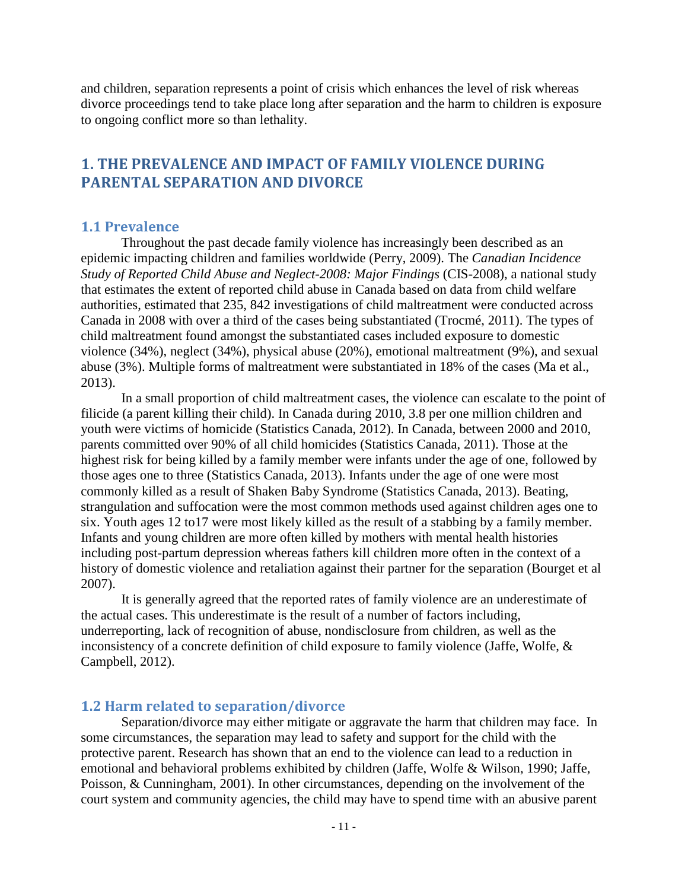and children, separation represents a point of crisis which enhances the level of risk whereas divorce proceedings tend to take place long after separation and the harm to children is exposure to ongoing conflict more so than lethality.

## <span id="page-11-0"></span>**1. THE PREVALENCE AND IMPACT OF FAMILY VIOLENCE DURING PARENTAL SEPARATION AND DIVORCE**

#### <span id="page-11-1"></span>**1.1 Prevalence**

Throughout the past decade family violence has increasingly been described as an epidemic impacting children and families worldwide (Perry, 2009). The *Canadian Incidence Study of Reported Child Abuse and Neglect-2008: Major Findings* (CIS-2008), a national study that estimates the extent of reported child abuse in Canada based on data from child welfare authorities, estimated that 235, 842 investigations of child maltreatment were conducted across Canada in 2008 with over a third of the cases being substantiated (Trocmé, 2011). The types of child maltreatment found amongst the substantiated cases included exposure to domestic violence (34%), neglect (34%), physical abuse (20%), emotional maltreatment (9%), and sexual abuse (3%). Multiple forms of maltreatment were substantiated in 18% of the cases (Ma et al., 2013).

In a small proportion of child maltreatment cases, the violence can escalate to the point of filicide (a parent killing their child). In Canada during 2010, 3.8 per one million children and youth were victims of homicide (Statistics Canada, 2012). In Canada, between 2000 and 2010, parents committed over 90% of all child homicides (Statistics Canada, 2011). Those at the highest risk for being killed by a family member were infants under the age of one, followed by those ages one to three (Statistics Canada, 2013). Infants under the age of one were most commonly killed as a result of Shaken Baby Syndrome (Statistics Canada, 2013). Beating, strangulation and suffocation were the most common methods used against children ages one to six. Youth ages 12 to17 were most likely killed as the result of a stabbing by a family member. Infants and young children are more often killed by mothers with mental health histories including post-partum depression whereas fathers kill children more often in the context of a history of domestic violence and retaliation against their partner for the separation (Bourget et al 2007).

It is generally agreed that the reported rates of family violence are an underestimate of the actual cases. This underestimate is the result of a number of factors including, underreporting, lack of recognition of abuse, nondisclosure from children, as well as the inconsistency of a concrete definition of child exposure to family violence (Jaffe, Wolfe, & Campbell, 2012).

#### <span id="page-11-2"></span>**1.2 Harm related to separation/divorce**

Separation/divorce may either mitigate or aggravate the harm that children may face. In some circumstances, the separation may lead to safety and support for the child with the protective parent. Research has shown that an end to the violence can lead to a reduction in emotional and behavioral problems exhibited by children (Jaffe, Wolfe & Wilson, 1990; Jaffe, Poisson, & Cunningham, 2001). In other circumstances, depending on the involvement of the court system and community agencies, the child may have to spend time with an abusive parent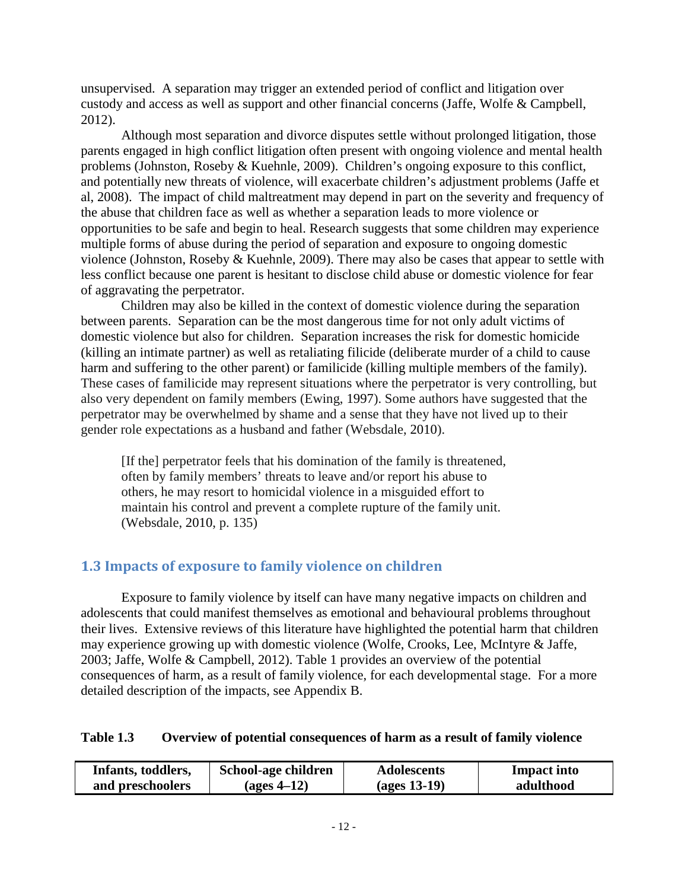unsupervised. A separation may trigger an extended period of conflict and litigation over custody and access as well as support and other financial concerns (Jaffe, Wolfe & Campbell, 2012).

Although most separation and divorce disputes settle without prolonged litigation, those parents engaged in high conflict litigation often present with ongoing violence and mental health problems (Johnston, Roseby & Kuehnle, 2009). Children's ongoing exposure to this conflict, and potentially new threats of violence, will exacerbate children's adjustment problems (Jaffe et al, 2008). The impact of child maltreatment may depend in part on the severity and frequency of the abuse that children face as well as whether a separation leads to more violence or opportunities to be safe and begin to heal. Research suggests that some children may experience multiple forms of abuse during the period of separation and exposure to ongoing domestic violence (Johnston, Roseby & Kuehnle, 2009). There may also be cases that appear to settle with less conflict because one parent is hesitant to disclose child abuse or domestic violence for fear of aggravating the perpetrator.

Children may also be killed in the context of domestic violence during the separation between parents. Separation can be the most dangerous time for not only adult victims of domestic violence but also for children. Separation increases the risk for domestic homicide (killing an intimate partner) as well as retaliating filicide (deliberate murder of a child to cause harm and suffering to the other parent) or familicide (killing multiple members of the family). These cases of familicide may represent situations where the perpetrator is very controlling, but also very dependent on family members (Ewing, 1997). Some authors have suggested that the perpetrator may be overwhelmed by shame and a sense that they have not lived up to their gender role expectations as a husband and father (Websdale, 2010).

[If the] perpetrator feels that his domination of the family is threatened, often by family members' threats to leave and/or report his abuse to others, he may resort to homicidal violence in a misguided effort to maintain his control and prevent a complete rupture of the family unit. (Websdale, 2010, p. 135)

# <span id="page-12-0"></span>**1.3 Impacts of exposure to family violence on children**

Exposure to family violence by itself can have many negative impacts on children and adolescents that could manifest themselves as emotional and behavioural problems throughout their lives. Extensive reviews of this literature have highlighted the potential harm that children may experience growing up with domestic violence (Wolfe, Crooks, Lee, McIntyre & Jaffe, 2003; Jaffe, Wolfe & Campbell, 2012). Table 1 provides an overview of the potential consequences of harm, as a result of family violence, for each developmental stage. For a more detailed description of the impacts, see Appendix B.

#### **Table 1.3 Overview of potential consequences of harm as a result of family violence**

| Infants, toddlers, | School-age children | <b>Adolescents</b> | <b>Impact into</b> |
|--------------------|---------------------|--------------------|--------------------|
| and preschoolers   | (ages 4–12)         | $\frac{13-19}{2}$  | adulthood          |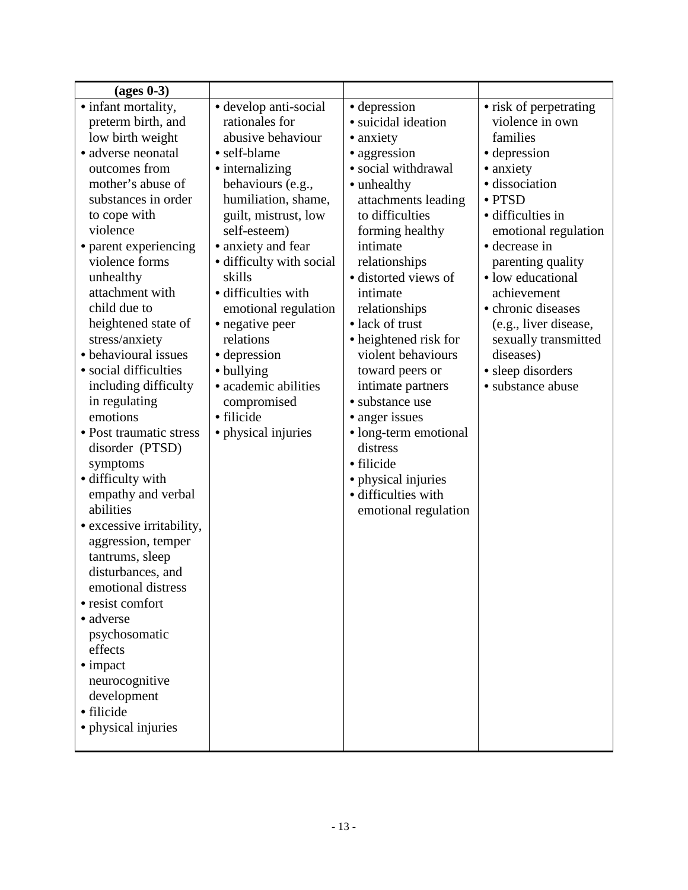| $\left(\text{ages } 0-3\right)$         |                          |                       |                        |
|-----------------------------------------|--------------------------|-----------------------|------------------------|
| • infant mortality,                     | • develop anti-social    | • depression          | • risk of perpetrating |
| preterm birth, and                      | rationales for           | · suicidal ideation   | violence in own        |
| low birth weight                        | abusive behaviour        | • anxiety             | families               |
| · adverse neonatal                      | • self-blame             | • aggression          | • depression           |
| outcomes from                           | • internalizing          | • social withdrawal   | • anxiety              |
| mother's abuse of                       | behaviours (e.g.,        | • unhealthy           | · dissociation         |
| substances in order                     | humiliation, shame,      | attachments leading   | • PTSD                 |
| to cope with                            | guilt, mistrust, low     | to difficulties       | · difficulties in      |
| violence                                | self-esteem)             | forming healthy       | emotional regulation   |
| • parent experiencing                   | • anxiety and fear       | intimate              | • decrease in          |
| violence forms                          | • difficulty with social | relationships         | parenting quality      |
| unhealthy                               | skills                   | · distorted views of  | · low educational      |
| attachment with                         | · difficulties with      | intimate              | achievement            |
| child due to                            | emotional regulation     | relationships         | • chronic diseases     |
| heightened state of                     | • negative peer          | • lack of trust       | (e.g., liver disease,  |
| stress/anxiety                          | relations                | • heightened risk for | sexually transmitted   |
| • behavioural issues                    | • depression             | violent behaviours    | diseases)              |
| • social difficulties                   | • bullying               | toward peers or       | • sleep disorders      |
| including difficulty                    | • academic abilities     | intimate partners     | · substance abuse      |
| in regulating                           | compromised              | • substance use       |                        |
| emotions                                | • filicide               | • anger issues        |                        |
| • Post traumatic stress                 | • physical injuries      | · long-term emotional |                        |
| disorder (PTSD)                         |                          | distress              |                        |
| symptoms                                |                          | · filicide            |                        |
| · difficulty with                       |                          | · physical injuries   |                        |
| empathy and verbal                      |                          | · difficulties with   |                        |
| abilities                               |                          | emotional regulation  |                        |
| • excessive irritability,               |                          |                       |                        |
| aggression, temper                      |                          |                       |                        |
| tantrums, sleep                         |                          |                       |                        |
| disturbances, and<br>emotional distress |                          |                       |                        |
| · resist comfort                        |                          |                       |                        |
| • adverse                               |                          |                       |                        |
| psychosomatic                           |                          |                       |                        |
| effects                                 |                          |                       |                        |
| $\bullet$ impact                        |                          |                       |                        |
| neurocognitive                          |                          |                       |                        |
| development                             |                          |                       |                        |
| · filicide                              |                          |                       |                        |
| • physical injuries                     |                          |                       |                        |
|                                         |                          |                       |                        |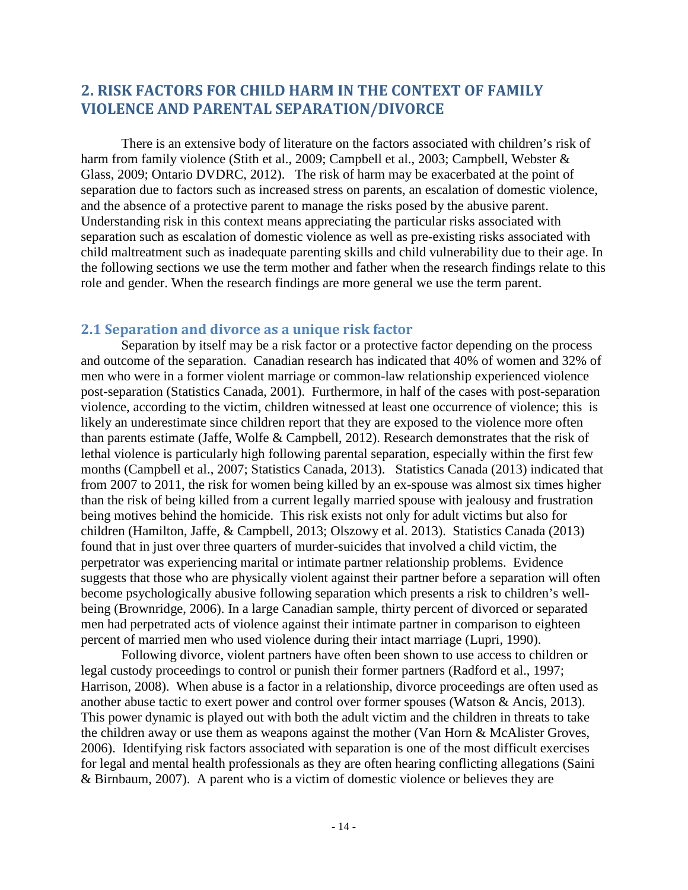# <span id="page-14-0"></span>**2. RISK FACTORS FOR CHILD HARM IN THE CONTEXT OF FAMILY VIOLENCE AND PARENTAL SEPARATION/DIVORCE**

There is an extensive body of literature on the factors associated with children's risk of harm from family violence (Stith et al., 2009; Campbell et al., 2003; Campbell, Webster & Glass, 2009; Ontario DVDRC, 2012). The risk of harm may be exacerbated at the point of separation due to factors such as increased stress on parents, an escalation of domestic violence, and the absence of a protective parent to manage the risks posed by the abusive parent. Understanding risk in this context means appreciating the particular risks associated with separation such as escalation of domestic violence as well as pre-existing risks associated with child maltreatment such as inadequate parenting skills and child vulnerability due to their age. In the following sections we use the term mother and father when the research findings relate to this role and gender. When the research findings are more general we use the term parent.

#### <span id="page-14-1"></span>**2.1 Separation and divorce as a unique risk factor**

Separation by itself may be a risk factor or a protective factor depending on the process and outcome of the separation. Canadian research has indicated that 40% of women and 32% of men who were in a former violent marriage or common-law relationship experienced violence post-separation (Statistics Canada, 2001). Furthermore, in half of the cases with post-separation violence, according to the victim, children witnessed at least one occurrence of violence; this is likely an underestimate since children report that they are exposed to the violence more often than parents estimate (Jaffe, Wolfe & Campbell, 2012). Research demonstrates that the risk of lethal violence is particularly high following parental separation, especially within the first few months (Campbell et al., 2007; Statistics Canada, 2013). Statistics Canada (2013) indicated that from 2007 to 2011, the risk for women being killed by an ex-spouse was almost six times higher than the risk of being killed from a current legally married spouse with jealousy and frustration being motives behind the homicide. This risk exists not only for adult victims but also for children (Hamilton, Jaffe, & Campbell, 2013; Olszowy et al. 2013). Statistics Canada (2013) found that in just over three quarters of murder-suicides that involved a child victim, the perpetrator was experiencing marital or intimate partner relationship problems. Evidence suggests that those who are physically violent against their partner before a separation will often become psychologically abusive following separation which presents a risk to children's wellbeing (Brownridge, 2006). In a large Canadian sample, thirty percent of divorced or separated men had perpetrated acts of violence against their intimate partner in comparison to eighteen percent of married men who used violence during their intact marriage (Lupri, 1990).

Following divorce, violent partners have often been shown to use access to children or legal custody proceedings to control or punish their former partners (Radford et al., 1997; Harrison, 2008). When abuse is a factor in a relationship, divorce proceedings are often used as another abuse tactic to exert power and control over former spouses (Watson & Ancis, 2013). This power dynamic is played out with both the adult victim and the children in threats to take the children away or use them as weapons against the mother (Van Horn & McAlister Groves, 2006). Identifying risk factors associated with separation is one of the most difficult exercises for legal and mental health professionals as they are often hearing conflicting allegations (Saini & Birnbaum, 2007). A parent who is a victim of domestic violence or believes they are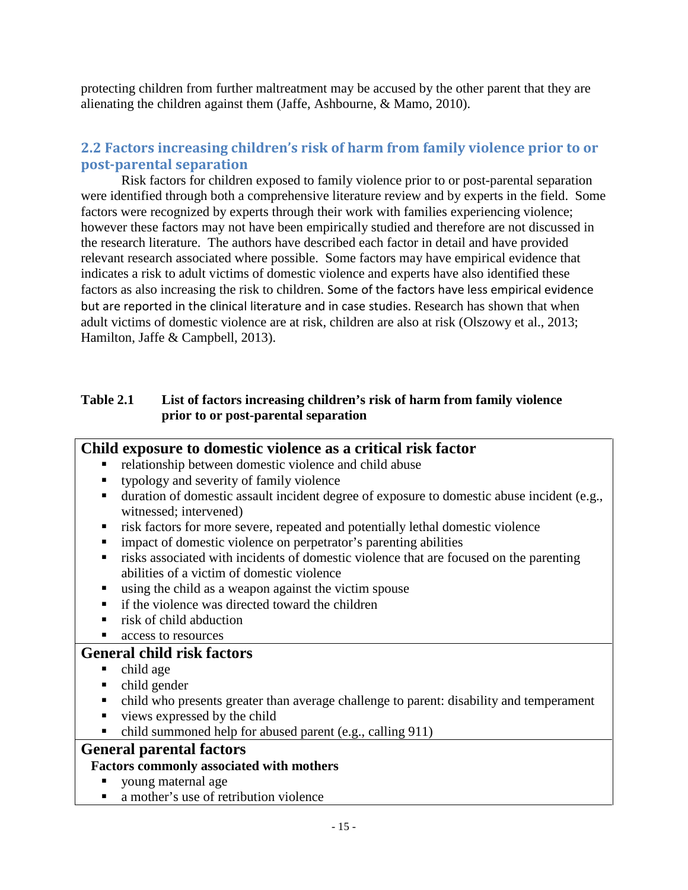protecting children from further maltreatment may be accused by the other parent that they are alienating the children against them (Jaffe, Ashbourne, & Mamo, 2010).

## <span id="page-15-0"></span>**2.2 Factors increasing children's risk of harm from family violence prior to or post-parental separation**

Risk factors for children exposed to family violence prior to or post-parental separation were identified through both a comprehensive literature review and by experts in the field. Some factors were recognized by experts through their work with families experiencing violence; however these factors may not have been empirically studied and therefore are not discussed in the research literature. The authors have described each factor in detail and have provided relevant research associated where possible. Some factors may have empirical evidence that indicates a risk to adult victims of domestic violence and experts have also identified these factors as also increasing the risk to children. Some of the factors have less empirical evidence but are reported in the clinical literature and in case studies. Research has shown that when adult victims of domestic violence are at risk, children are also at risk (Olszowy et al., 2013; Hamilton, Jaffe & Campbell, 2013).

### **Table 2.1 List of factors increasing children's risk of harm from family violence prior to or post-parental separation**

| Child exposure to domestic violence as a critical risk factor                                                             |
|---------------------------------------------------------------------------------------------------------------------------|
| relationship between domestic violence and child abuse<br>п                                                               |
| typology and severity of family violence<br>п                                                                             |
| duration of domestic assault incident degree of exposure to domestic abuse incident (e.g.,<br>٠<br>witnessed; intervened) |
| risk factors for more severe, repeated and potentially lethal domestic violence<br>п                                      |
| impact of domestic violence on perpetrator's parenting abilities<br>п                                                     |
| risks associated with incidents of domestic violence that are focused on the parenting<br>٠                               |
| abilities of a victim of domestic violence                                                                                |
| using the child as a weapon against the victim spouse<br>п                                                                |
| if the violence was directed toward the children<br>$\blacksquare$                                                        |
| risk of child abduction<br>$\blacksquare$                                                                                 |
| access to resources<br>п                                                                                                  |
| <b>General child risk factors</b>                                                                                         |
| child age<br>п                                                                                                            |
| child gender<br>٠                                                                                                         |
| child who presents greater than average challenge to parent: disability and temperament<br>٠                              |
| views expressed by the child<br>п                                                                                         |

 $\bullet$  child summoned help for abused parent (e.g., calling 911)

# **General parental factors**

### **Factors commonly associated with mothers**

- voung maternal age
- a mother's use of retribution violence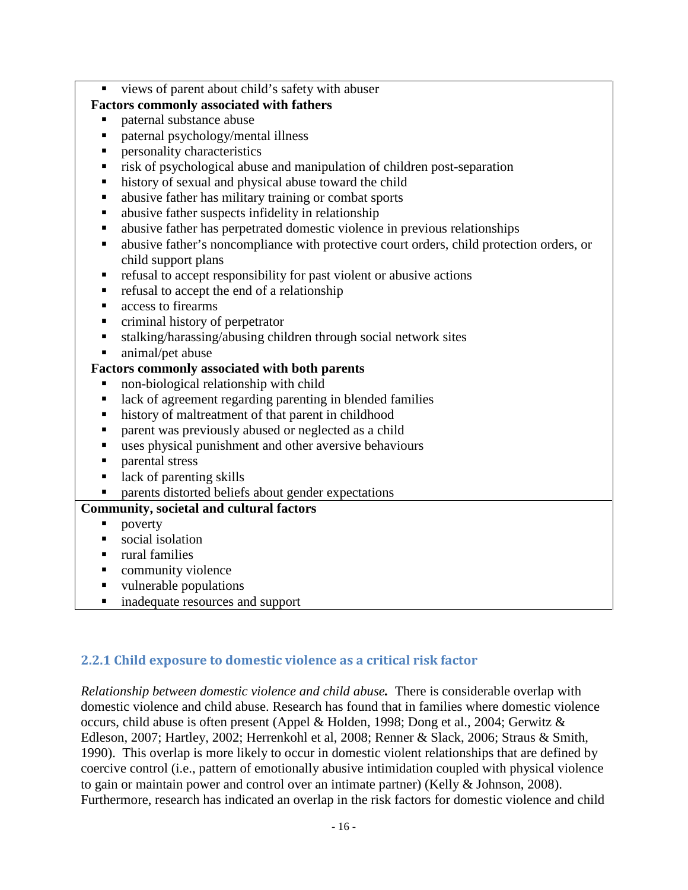views of parent about child's safety with abuser

### **Factors commonly associated with fathers**

- paternal substance abuse
- paternal psychology/mental illness
- personality characteristics
- risk of psychological abuse and manipulation of children post-separation
- history of sexual and physical abuse toward the child
- abusive father has military training or combat sports
- abusive father suspects infidelity in relationship
- abusive father has perpetrated domestic violence in previous relationships
- abusive father's noncompliance with protective court orders, child protection orders, or child support plans
- $\blacksquare$  refusal to accept responsibility for past violent or abusive actions
- refusal to accept the end of a relationship
- access to firearms
- criminal history of perpetrator
- stalking/harassing/abusing children through social network sites
- animal/pet abuse

### **Factors commonly associated with both parents**

- non-biological relationship with child
- lack of agreement regarding parenting in blended families
- **history of maltreatment of that parent in childhood**
- **parent was previously abused or neglected as a child**
- uses physical punishment and other aversive behaviours
- **parental stress**
- $\blacksquare$  lack of parenting skills
- **Parents distorted beliefs about gender expectations**

## **Community, societal and cultural factors**

- poverty
- $\blacksquare$  social isolation
- rural families
- community violence
- vulnerable populations
- inadequate resources and support

# <span id="page-16-0"></span>**2.2.1 Child exposure to domestic violence as a critical risk factor**

*Relationship between domestic violence and child abuse.* There is considerable overlap with domestic violence and child abuse. Research has found that in families where domestic violence occurs, child abuse is often present (Appel & Holden, 1998; Dong et al., 2004; Gerwitz & Edleson, 2007; Hartley, 2002; Herrenkohl et al, 2008; Renner & Slack, 2006; Straus & Smith, 1990).This overlap is more likely to occur in domestic violent relationships that are defined by coercive control (i.e., pattern of emotionally abusive intimidation coupled with physical violence to gain or maintain power and control over an intimate partner) (Kelly & Johnson, 2008). Furthermore, research has indicated an overlap in the risk factors for domestic violence and child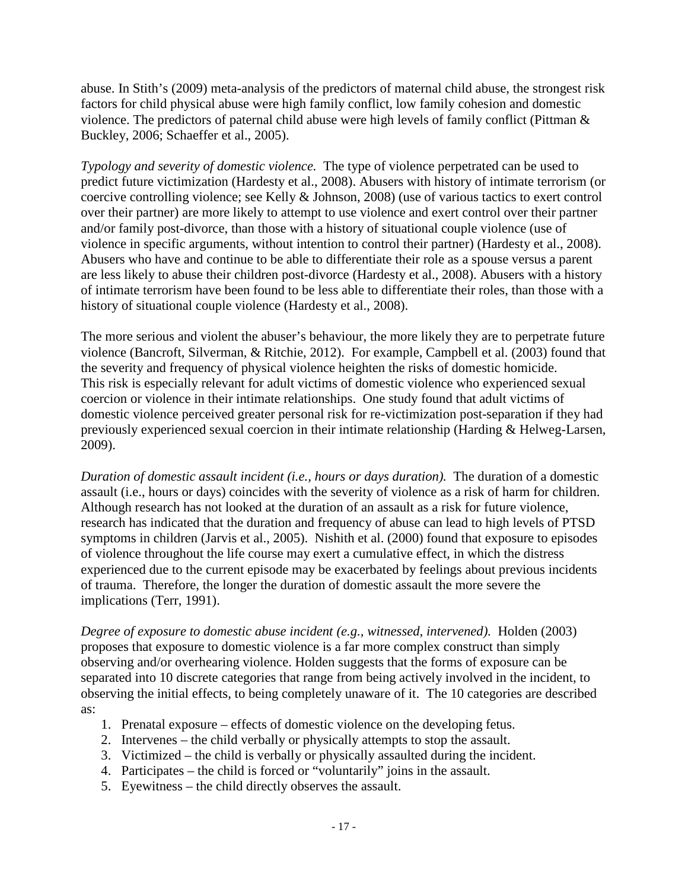abuse. In Stith's (2009) meta-analysis of the predictors of maternal child abuse, the strongest risk factors for child physical abuse were high family conflict, low family cohesion and domestic violence. The predictors of paternal child abuse were high levels of family conflict (Pittman & Buckley, 2006; Schaeffer et al., 2005).

*Typology and severity of domestic violence.*The type of violence perpetrated can be used to predict future victimization (Hardesty et al., 2008). Abusers with history of intimate terrorism (or coercive controlling violence; see Kelly & Johnson, 2008) (use of various tactics to exert control over their partner) are more likely to attempt to use violence and exert control over their partner and/or family post-divorce, than those with a history of situational couple violence (use of violence in specific arguments, without intention to control their partner) (Hardesty et al., 2008). Abusers who have and continue to be able to differentiate their role as a spouse versus a parent are less likely to abuse their children post-divorce (Hardesty et al., 2008). Abusers with a history of intimate terrorism have been found to be less able to differentiate their roles, than those with a history of situational couple violence (Hardesty et al., 2008).

The more serious and violent the abuser's behaviour, the more likely they are to perpetrate future violence (Bancroft, Silverman, & Ritchie, 2012). For example, Campbell et al. (2003) found that the severity and frequency of physical violence heighten the risks of domestic homicide. This risk is especially relevant for adult victims of domestic violence who experienced sexual coercion or violence in their intimate relationships. One study found that adult victims of domestic violence perceived greater personal risk for re-victimization post-separation if they had previously experienced sexual coercion in their intimate relationship (Harding & Helweg-Larsen, 2009).

*Duration of domestic assault incident (i.e., hours or days duration).* The duration of a domestic assault (i.e., hours or days) coincides with the severity of violence as a risk of harm for children. Although research has not looked at the duration of an assault as a risk for future violence, research has indicated that the duration and frequency of abuse can lead to high levels of PTSD symptoms in children (Jarvis et al., 2005). Nishith et al. (2000) found that exposure to episodes of violence throughout the life course may exert a cumulative effect, in which the distress experienced due to the current episode may be exacerbated by feelings about previous incidents of trauma. Therefore, the longer the duration of domestic assault the more severe the implications (Terr, 1991).

*Degree of exposure to domestic abuse incident (e.g., witnessed, intervened).* Holden (2003) proposes that exposure to domestic violence is a far more complex construct than simply observing and/or overhearing violence. Holden suggests that the forms of exposure can be separated into 10 discrete categories that range from being actively involved in the incident, to observing the initial effects, to being completely unaware of it. The 10 categories are described as:

- 1. Prenatal exposure effects of domestic violence on the developing fetus.
- 2. Intervenes the child verbally or physically attempts to stop the assault.
- 3. Victimized the child is verbally or physically assaulted during the incident.
- 4. Participates the child is forced or "voluntarily" joins in the assault.
- 5. Eyewitness the child directly observes the assault.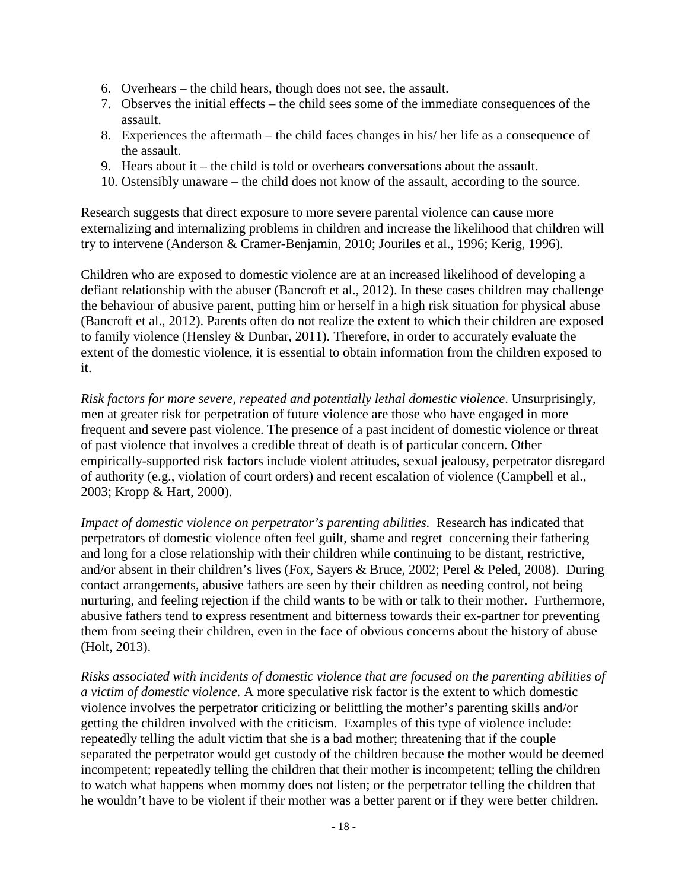- 6. Overhears the child hears, though does not see, the assault.
- 7. Observes the initial effects the child sees some of the immediate consequences of the assault.
- 8. Experiences the aftermath the child faces changes in his/ her life as a consequence of the assault.
- 9. Hears about it the child is told or overhears conversations about the assault.
- 10. Ostensibly unaware the child does not know of the assault, according to the source.

Research suggests that direct exposure to more severe parental violence can cause more externalizing and internalizing problems in children and increase the likelihood that children will try to intervene (Anderson & Cramer-Benjamin, 2010; Jouriles et al., 1996; Kerig, 1996).

Children who are exposed to domestic violence are at an increased likelihood of developing a defiant relationship with the abuser (Bancroft et al., 2012). In these cases children may challenge the behaviour of abusive parent, putting him or herself in a high risk situation for physical abuse (Bancroft et al., 2012). Parents often do not realize the extent to which their children are exposed to family violence (Hensley & Dunbar, 2011). Therefore, in order to accurately evaluate the extent of the domestic violence, it is essential to obtain information from the children exposed to it.

*Risk factors for more severe, repeated and potentially lethal domestic violence*. Unsurprisingly, men at greater risk for perpetration of future violence are those who have engaged in more frequent and severe past violence. The presence of a past incident of domestic violence or threat of past violence that involves a credible threat of death is of particular concern. Other empirically-supported risk factors include violent attitudes, sexual jealousy, perpetrator disregard of authority (e.g., violation of court orders) and recent escalation of violence (Campbell et al., 2003; Kropp & Hart, 2000).

*Impact of domestic violence on perpetrator's parenting abilities.* Research has indicated that perpetrators of domestic violence often feel guilt, shame and regret concerning their fathering and long for a close relationship with their children while continuing to be distant, restrictive, and/or absent in their children's lives (Fox, Sayers & Bruce, 2002; Perel & Peled, 2008). During contact arrangements, abusive fathers are seen by their children as needing control, not being nurturing, and feeling rejection if the child wants to be with or talk to their mother. Furthermore, abusive fathers tend to express resentment and bitterness towards their ex-partner for preventing them from seeing their children, even in the face of obvious concerns about the history of abuse (Holt, 2013).

*Risks associated with incidents of domestic violence that are focused on the parenting abilities of a victim of domestic violence.* A more speculative risk factor is the extent to which domestic violence involves the perpetrator criticizing or belittling the mother's parenting skills and/or getting the children involved with the criticism. Examples of this type of violence include: repeatedly telling the adult victim that she is a bad mother; threatening that if the couple separated the perpetrator would get custody of the children because the mother would be deemed incompetent; repeatedly telling the children that their mother is incompetent; telling the children to watch what happens when mommy does not listen; or the perpetrator telling the children that he wouldn't have to be violent if their mother was a better parent or if they were better children.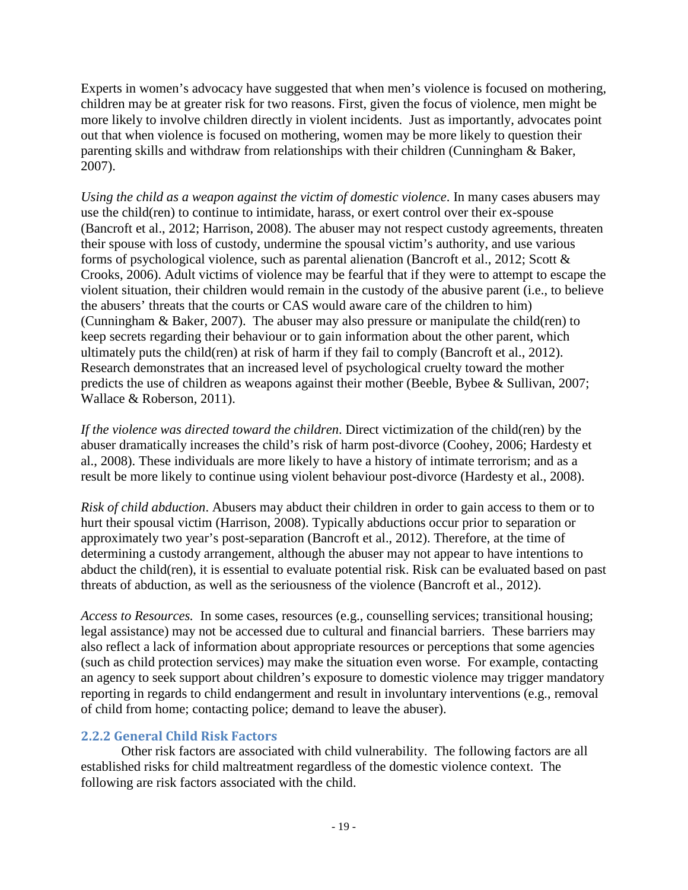Experts in women's advocacy have suggested that when men's violence is focused on mothering, children may be at greater risk for two reasons. First, given the focus of violence, men might be more likely to involve children directly in violent incidents. Just as importantly, advocates point out that when violence is focused on mothering, women may be more likely to question their parenting skills and withdraw from relationships with their children (Cunningham & Baker, 2007).

*Using the child as a weapon against the victim of domestic violence*. In many cases abusers may use the child(ren) to continue to intimidate, harass, or exert control over their ex-spouse (Bancroft et al., 2012; Harrison, 2008). The abuser may not respect custody agreements, threaten their spouse with loss of custody, undermine the spousal victim's authority, and use various forms of psychological violence, such as parental alienation (Bancroft et al., 2012; Scott & Crooks, 2006). Adult victims of violence may be fearful that if they were to attempt to escape the violent situation, their children would remain in the custody of the abusive parent (i.e., to believe the abusers' threats that the courts or CAS would aware care of the children to him) (Cunningham & Baker, 2007). The abuser may also pressure or manipulate the child(ren) to keep secrets regarding their behaviour or to gain information about the other parent, which ultimately puts the child(ren) at risk of harm if they fail to comply (Bancroft et al., 2012). Research demonstrates that an increased level of psychological cruelty toward the mother predicts the use of children as weapons against their mother (Beeble, Bybee & Sullivan, 2007; Wallace & Roberson, 2011).

*If the violence was directed toward the children*. Direct victimization of the child(ren) by the abuser dramatically increases the child's risk of harm post-divorce (Coohey, 2006; Hardesty et al., 2008). These individuals are more likely to have a history of intimate terrorism; and as a result be more likely to continue using violent behaviour post-divorce (Hardesty et al., 2008).

*Risk of child abduction*. Abusers may abduct their children in order to gain access to them or to hurt their spousal victim (Harrison, 2008). Typically abductions occur prior to separation or approximately two year's post-separation (Bancroft et al., 2012). Therefore, at the time of determining a custody arrangement, although the abuser may not appear to have intentions to abduct the child(ren), it is essential to evaluate potential risk. Risk can be evaluated based on past threats of abduction, as well as the seriousness of the violence (Bancroft et al., 2012).

*Access to Resources.* In some cases, resources (e.g., counselling services; transitional housing; legal assistance) may not be accessed due to cultural and financial barriers. These barriers may also reflect a lack of information about appropriate resources or perceptions that some agencies (such as child protection services) may make the situation even worse. For example, contacting an agency to seek support about children's exposure to domestic violence may trigger mandatory reporting in regards to child endangerment and result in involuntary interventions (e.g., removal of child from home; contacting police; demand to leave the abuser).

## <span id="page-19-0"></span>**2.2.2 General Child Risk Factors**

Other risk factors are associated with child vulnerability. The following factors are all established risks for child maltreatment regardless of the domestic violence context. The following are risk factors associated with the child.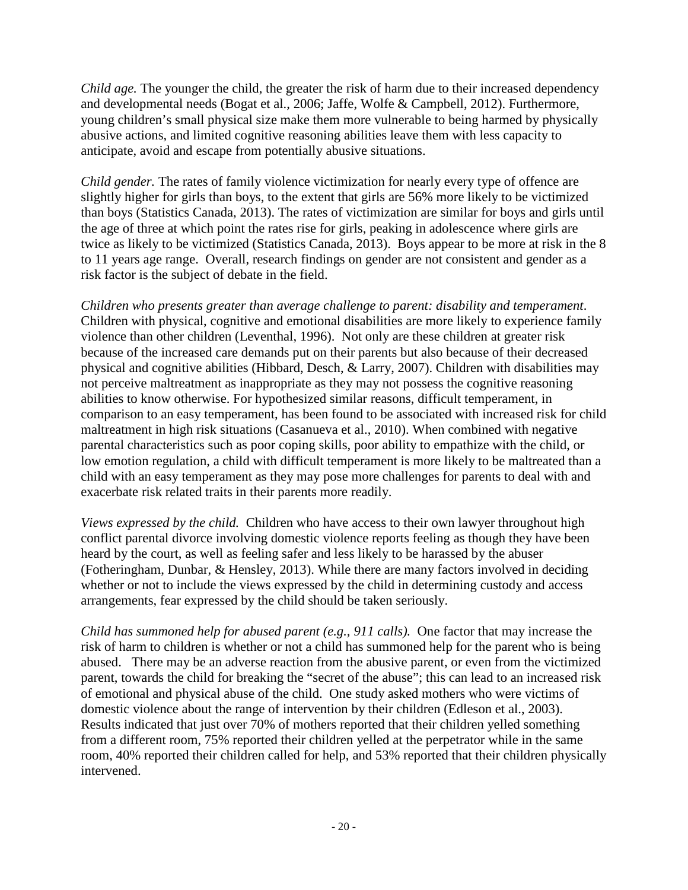*Child age.* The younger the child, the greater the risk of harm due to their increased dependency and developmental needs (Bogat et al., 2006; Jaffe, Wolfe & Campbell, 2012). Furthermore, young children's small physical size make them more vulnerable to being harmed by physically abusive actions, and limited cognitive reasoning abilities leave them with less capacity to anticipate, avoid and escape from potentially abusive situations.

*Child gender.* The rates of family violence victimization for nearly every type of offence are slightly higher for girls than boys, to the extent that girls are 56% more likely to be victimized than boys (Statistics Canada, 2013). The rates of victimization are similar for boys and girls until the age of three at which point the rates rise for girls, peaking in adolescence where girls are twice as likely to be victimized (Statistics Canada, 2013). Boys appear to be more at risk in the 8 to 11 years age range. Overall, research findings on gender are not consistent and gender as a risk factor is the subject of debate in the field.

*Children who presents greater than average challenge to parent: disability and temperament*. Children with physical, cognitive and emotional disabilities are more likely to experience family violence than other children (Leventhal, 1996). Not only are these children at greater risk because of the increased care demands put on their parents but also because of their decreased physical and cognitive abilities (Hibbard, Desch, & Larry, 2007). Children with disabilities may not perceive maltreatment as inappropriate as they may not possess the cognitive reasoning abilities to know otherwise. For hypothesized similar reasons, difficult temperament, in comparison to an easy temperament, has been found to be associated with increased risk for child maltreatment in high risk situations (Casanueva et al., 2010). When combined with negative parental characteristics such as poor coping skills, poor ability to empathize with the child, or low emotion regulation, a child with difficult temperament is more likely to be maltreated than a child with an easy temperament as they may pose more challenges for parents to deal with and exacerbate risk related traits in their parents more readily.

*Views expressed by the child.* Children who have access to their own lawyer throughout high conflict parental divorce involving domestic violence reports feeling as though they have been heard by the court, as well as feeling safer and less likely to be harassed by the abuser (Fotheringham, Dunbar, & Hensley, 2013). While there are many factors involved in deciding whether or not to include the views expressed by the child in determining custody and access arrangements, fear expressed by the child should be taken seriously.

*Child has summoned help for abused parent (e.g., 911 calls).*One factor that may increase the risk of harm to children is whether or not a child has summoned help for the parent who is being abused. There may be an adverse reaction from the abusive parent, or even from the victimized parent, towards the child for breaking the "secret of the abuse"; this can lead to an increased risk of emotional and physical abuse of the child. One study asked mothers who were victims of domestic violence about the range of intervention by their children (Edleson et al., 2003). Results indicated that just over 70% of mothers reported that their children yelled something from a different room, 75% reported their children yelled at the perpetrator while in the same room, 40% reported their children called for help, and 53% reported that their children physically intervened.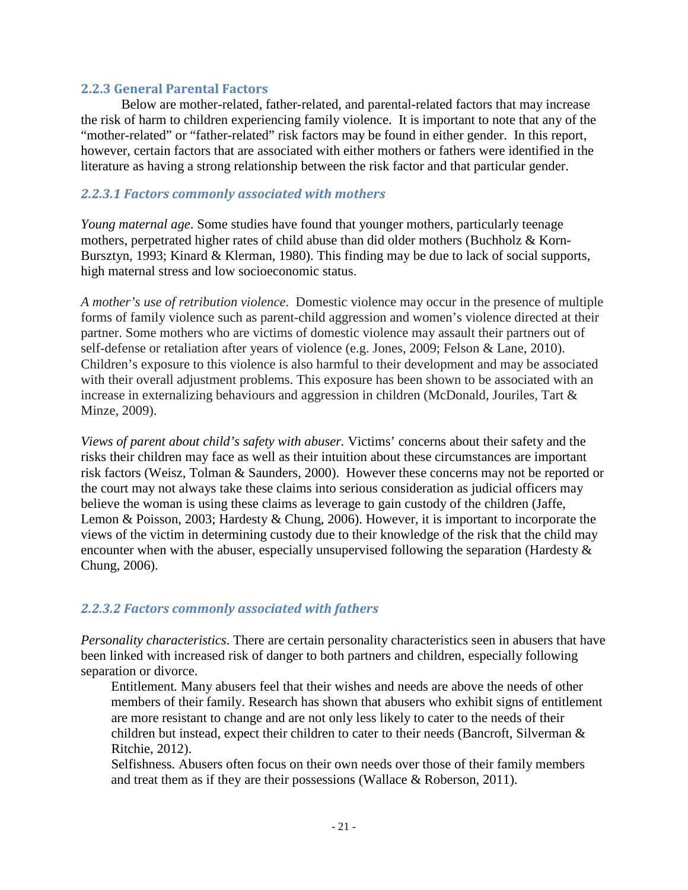#### <span id="page-21-0"></span>**2.2.3 General Parental Factors**

Below are mother-related, father-related, and parental-related factors that may increase the risk of harm to children experiencing family violence. It is important to note that any of the "mother-related" or "father-related" risk factors may be found in either gender. In this report, however, certain factors that are associated with either mothers or fathers were identified in the literature as having a strong relationship between the risk factor and that particular gender.

#### <span id="page-21-1"></span>*2.2.3.1 Factors commonly associated with mothers*

*Young maternal age*. Some studies have found that younger mothers, particularly teenage mothers, perpetrated higher rates of child abuse than did older mothers (Buchholz & Korn-Bursztyn, 1993; Kinard & Klerman, 1980). This finding may be due to lack of social supports, high maternal stress and low socioeconomic status.

*A mother's use of retribution violence*. Domestic violence may occur in the presence of multiple forms of family violence such as parent-child aggression and women's violence directed at their partner. Some mothers who are victims of domestic violence may assault their partners out of self-defense or retaliation after years of violence (e.g. Jones, 2009; Felson & Lane, 2010). Children's exposure to this violence is also harmful to their development and may be associated with their overall adjustment problems. This exposure has been shown to be associated with an increase in externalizing behaviours and aggression in children (McDonald, Jouriles, Tart & Minze, 2009).

*Views of parent about child's safety with abuser.* Victims' concerns about their safety and the risks their children may face as well as their intuition about these circumstances are important risk factors (Weisz, Tolman & Saunders, 2000). However these concerns may not be reported or the court may not always take these claims into serious consideration as judicial officers may believe the woman is using these claims as leverage to gain custody of the children (Jaffe, Lemon & Poisson, 2003; Hardesty & Chung, 2006). However, it is important to incorporate the views of the victim in determining custody due to their knowledge of the risk that the child may encounter when with the abuser, especially unsupervised following the separation (Hardesty & Chung, 2006).

#### <span id="page-21-2"></span>*2.2.3.2 Factors commonly associated with fathers*

*Personality characteristics*. There are certain personality characteristics seen in abusers that have been linked with increased risk of danger to both partners and children, especially following separation or divorce.

Entitlement*.* Many abusers feel that their wishes and needs are above the needs of other members of their family. Research has shown that abusers who exhibit signs of entitlement are more resistant to change and are not only less likely to cater to the needs of their children but instead, expect their children to cater to their needs (Bancroft, Silverman & Ritchie, 2012).

Selfishness*.* Abusers often focus on their own needs over those of their family members and treat them as if they are their possessions (Wallace  $\&$  Roberson, 2011).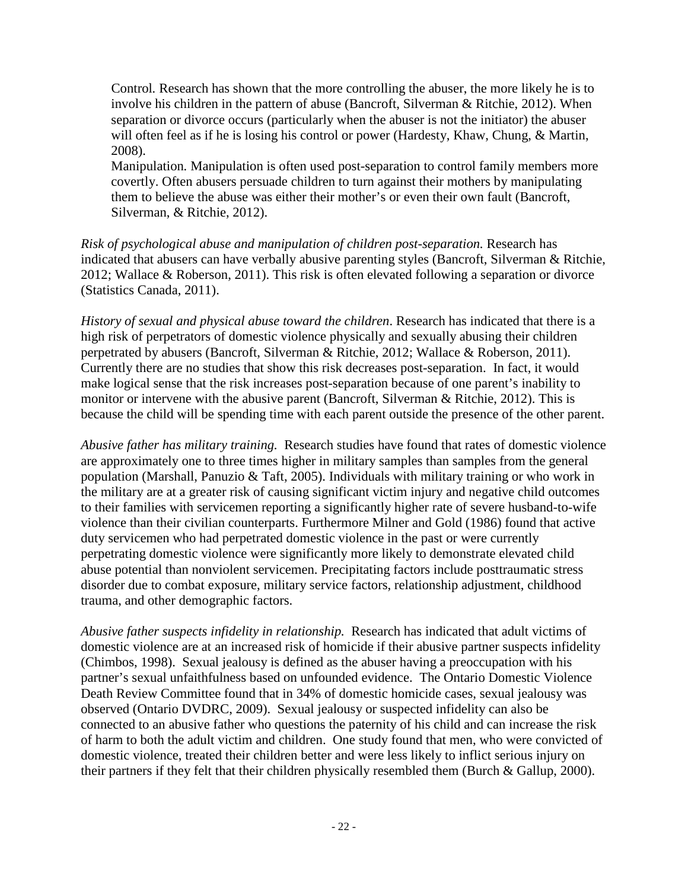Control*.* Research has shown that the more controlling the abuser, the more likely he is to involve his children in the pattern of abuse (Bancroft, Silverman & Ritchie, 2012). When separation or divorce occurs (particularly when the abuser is not the initiator) the abuser will often feel as if he is losing his control or power (Hardesty, Khaw, Chung, & Martin, 2008).

Manipulation*.* Manipulation is often used post-separation to control family members more covertly. Often abusers persuade children to turn against their mothers by manipulating them to believe the abuse was either their mother's or even their own fault (Bancroft, Silverman, & Ritchie, 2012).

*Risk of psychological abuse and manipulation of children post-separation.* Research has indicated that abusers can have verbally abusive parenting styles (Bancroft, Silverman & Ritchie, 2012; Wallace & Roberson, 2011). This risk is often elevated following a separation or divorce (Statistics Canada, 2011).

*History of sexual and physical abuse toward the children*. Research has indicated that there is a high risk of perpetrators of domestic violence physically and sexually abusing their children perpetrated by abusers (Bancroft, Silverman & Ritchie, 2012; Wallace & Roberson, 2011). Currently there are no studies that show this risk decreases post-separation. In fact, it would make logical sense that the risk increases post-separation because of one parent's inability to monitor or intervene with the abusive parent (Bancroft, Silverman & Ritchie, 2012). This is because the child will be spending time with each parent outside the presence of the other parent.

*Abusive father has military training.*Research studies have found that rates of domestic violence are approximately one to three times higher in military samples than samples from the general population (Marshall, Panuzio & Taft, 2005). Individuals with military training or who work in the military are at a greater risk of causing significant victim injury and negative child outcomes to their families with servicemen reporting a significantly higher rate of severe husband-to-wife violence than their civilian counterparts. Furthermore Milner and Gold (1986) found that active duty servicemen who had perpetrated domestic violence in the past or were currently perpetrating domestic violence were significantly more likely to demonstrate elevated child abuse potential than nonviolent servicemen. Precipitating factors include posttraumatic stress disorder due to combat exposure, military service factors, relationship adjustment, childhood trauma, and other demographic factors.

*Abusive father suspects infidelity in relationship.* Research has indicated that adult victims of domestic violence are at an increased risk of homicide if their abusive partner suspects infidelity (Chimbos, 1998). Sexual jealousy is defined as the abuser having a preoccupation with his partner's sexual unfaithfulness based on unfounded evidence. The Ontario Domestic Violence Death Review Committee found that in 34% of domestic homicide cases, sexual jealousy was observed (Ontario DVDRC, 2009). Sexual jealousy or suspected infidelity can also be connected to an abusive father who questions the paternity of his child and can increase the risk of harm to both the adult victim and children. One study found that men, who were convicted of domestic violence, treated their children better and were less likely to inflict serious injury on their partners if they felt that their children physically resembled them (Burch & Gallup, 2000).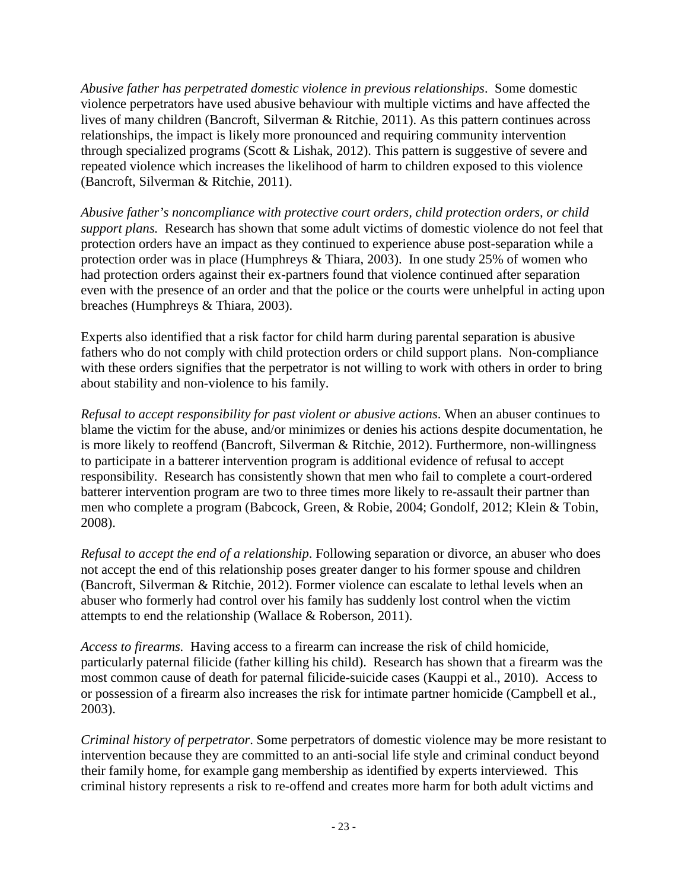*Abusive father has perpetrated domestic violence in previous relationships*. Some domestic violence perpetrators have used abusive behaviour with multiple victims and have affected the lives of many children (Bancroft, Silverman & Ritchie, 2011). As this pattern continues across relationships, the impact is likely more pronounced and requiring community intervention through specialized programs (Scott & Lishak, 2012). This pattern is suggestive of severe and repeated violence which increases the likelihood of harm to children exposed to this violence (Bancroft, Silverman & Ritchie, 2011).

*Abusive father's noncompliance with protective court orders, child protection orders, or child support plans.* Research has shown that some adult victims of domestic violence do not feel that protection orders have an impact as they continued to experience abuse post-separation while a protection order was in place (Humphreys & Thiara, 2003). In one study 25% of women who had protection orders against their ex-partners found that violence continued after separation even with the presence of an order and that the police or the courts were unhelpful in acting upon breaches (Humphreys & Thiara, 2003).

Experts also identified that a risk factor for child harm during parental separation is abusive fathers who do not comply with child protection orders or child support plans. Non-compliance with these orders signifies that the perpetrator is not willing to work with others in order to bring about stability and non-violence to his family.

*Refusal to accept responsibility for past violent or abusive actions*. When an abuser continues to blame the victim for the abuse, and/or minimizes or denies his actions despite documentation, he is more likely to reoffend (Bancroft, Silverman & Ritchie, 2012). Furthermore, non-willingness to participate in a batterer intervention program is additional evidence of refusal to accept responsibility. Research has consistently shown that men who fail to complete a court-ordered batterer intervention program are two to three times more likely to re-assault their partner than men who complete a program (Babcock, Green, & Robie, 2004; Gondolf, 2012; Klein & Tobin, 2008).

*Refusal to accept the end of a relationship*. Following separation or divorce, an abuser who does not accept the end of this relationship poses greater danger to his former spouse and children (Bancroft, Silverman & Ritchie, 2012). Former violence can escalate to lethal levels when an abuser who formerly had control over his family has suddenly lost control when the victim attempts to end the relationship (Wallace & Roberson, 2011).

*Access to firearms.* Having access to a firearm can increase the risk of child homicide, particularly paternal filicide (father killing his child). Research has shown that a firearm was the most common cause of death for paternal filicide-suicide cases (Kauppi et al., 2010). Access to or possession of a firearm also increases the risk for intimate partner homicide (Campbell et al., 2003).

*Criminal history of perpetrator*. Some perpetrators of domestic violence may be more resistant to intervention because they are committed to an anti-social life style and criminal conduct beyond their family home, for example gang membership as identified by experts interviewed. This criminal history represents a risk to re-offend and creates more harm for both adult victims and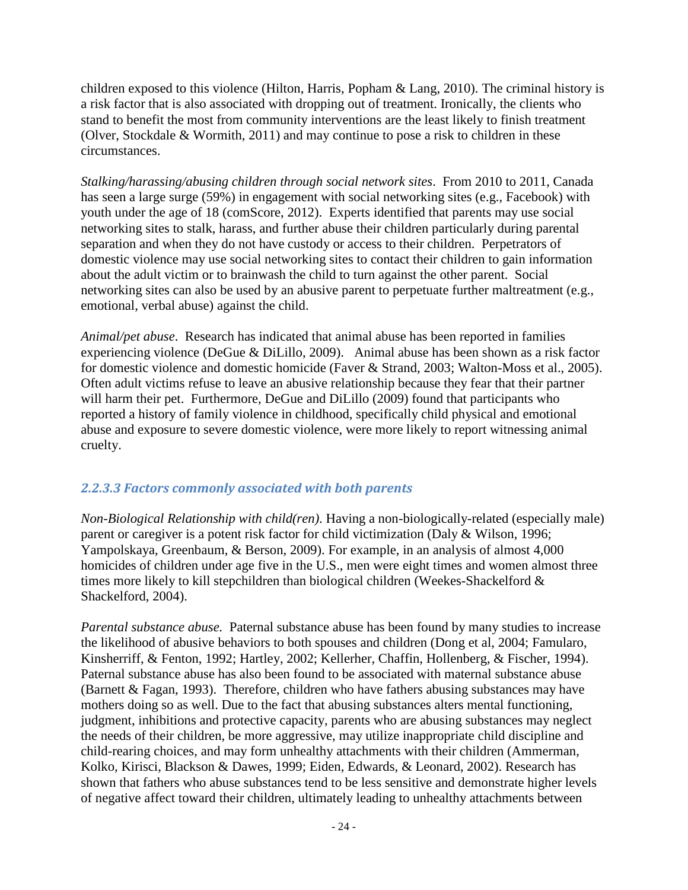children exposed to this violence (Hilton, Harris, Popham & Lang, 2010). The criminal history is a risk factor that is also associated with dropping out of treatment. Ironically, the clients who stand to benefit the most from community interventions are the least likely to finish treatment (Olver, Stockdale & Wormith, 2011) and may continue to pose a risk to children in these circumstances.

*Stalking/harassing/abusing children through social network sites*. From 2010 to 2011, Canada has seen a large surge (59%) in engagement with social networking sites (e.g., Facebook) with youth under the age of 18 (comScore, 2012). Experts identified that parents may use social networking sites to stalk, harass, and further abuse their children particularly during parental separation and when they do not have custody or access to their children. Perpetrators of domestic violence may use social networking sites to contact their children to gain information about the adult victim or to brainwash the child to turn against the other parent. Social networking sites can also be used by an abusive parent to perpetuate further maltreatment (e.g., emotional, verbal abuse) against the child.

*Animal/pet abuse*. Research has indicated that animal abuse has been reported in families experiencing violence (DeGue & DiLillo, 2009). Animal abuse has been shown as a risk factor for domestic violence and domestic homicide (Faver & Strand, 2003; Walton-Moss et al., 2005). Often adult victims refuse to leave an abusive relationship because they fear that their partner will harm their pet. Furthermore, DeGue and DiLillo (2009) found that participants who reported a history of family violence in childhood, specifically child physical and emotional abuse and exposure to severe domestic violence, were more likely to report witnessing animal cruelty.

## <span id="page-24-0"></span>*2.2.3.3 Factors commonly associated with both parents*

*Non-Biological Relationship with child(ren)*. Having a non-biologically-related (especially male) parent or caregiver is a potent risk factor for child victimization (Daly & Wilson, 1996; Yampolskaya, Greenbaum, & Berson, 2009). For example, in an analysis of almost 4,000 homicides of children under age five in the U.S., men were eight times and women almost three times more likely to kill stepchildren than biological children (Weekes-Shackelford & Shackelford, 2004).

*Parental substance abuse.* Paternal substance abuse has been found by many studies to increase the likelihood of abusive behaviors to both spouses and children (Dong et al, 2004; Famularo, Kinsherriff, & Fenton, 1992; Hartley, 2002; Kellerher, Chaffin, Hollenberg, & Fischer, 1994). Paternal substance abuse has also been found to be associated with maternal substance abuse (Barnett & Fagan, 1993). Therefore, children who have fathers abusing substances may have mothers doing so as well. Due to the fact that abusing substances alters mental functioning, judgment, inhibitions and protective capacity, parents who are abusing substances may neglect the needs of their children, be more aggressive, may utilize inappropriate child discipline and child-rearing choices, and may form unhealthy attachments with their children (Ammerman, Kolko, Kirisci, Blackson & Dawes, 1999; Eiden, Edwards, & Leonard, 2002). Research has shown that fathers who abuse substances tend to be less sensitive and demonstrate higher levels of negative affect toward their children, ultimately leading to unhealthy attachments between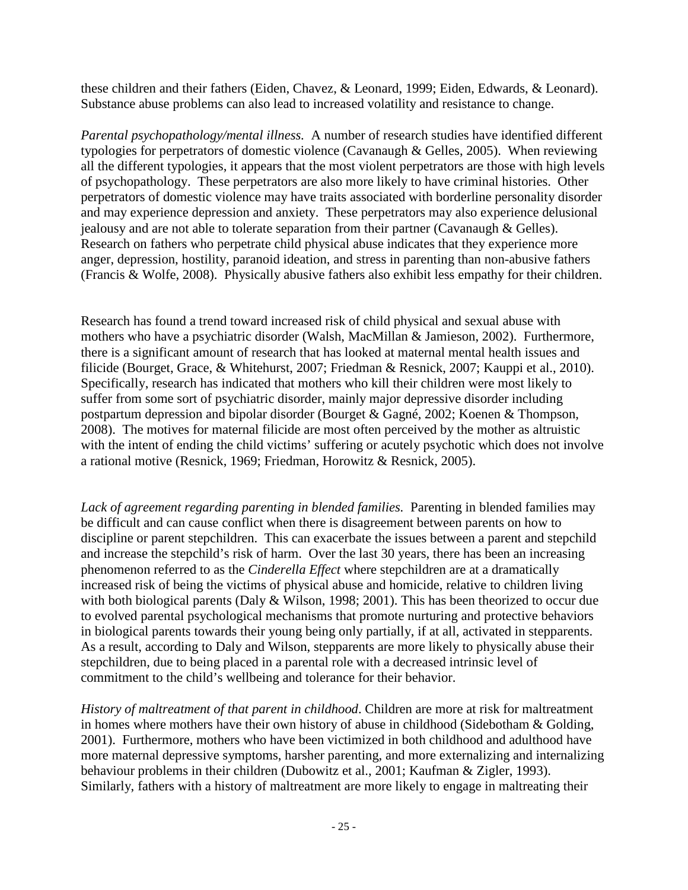these children and their fathers (Eiden, Chavez, & Leonard, 1999; Eiden, Edwards, & Leonard). Substance abuse problems can also lead to increased volatility and resistance to change.

*Parental psychopathology/mental illness.* A number of research studies have identified different typologies for perpetrators of domestic violence (Cavanaugh & Gelles, 2005). When reviewing all the different typologies, it appears that the most violent perpetrators are those with high levels of psychopathology. These perpetrators are also more likely to have criminal histories. Other perpetrators of domestic violence may have traits associated with borderline personality disorder and may experience depression and anxiety. These perpetrators may also experience delusional jealousy and are not able to tolerate separation from their partner (Cavanaugh & Gelles). Research on fathers who perpetrate child physical abuse indicates that they experience more anger, depression, hostility, paranoid ideation, and stress in parenting than non-abusive fathers (Francis & Wolfe, 2008). Physically abusive fathers also exhibit less empathy for their children.

Research has found a trend toward increased risk of child physical and sexual abuse with mothers who have a psychiatric disorder (Walsh, MacMillan & Jamieson, 2002). Furthermore, there is a significant amount of research that has looked at maternal mental health issues and filicide (Bourget, Grace, & Whitehurst, 2007; Friedman & Resnick, 2007; Kauppi et al., 2010). Specifically, research has indicated that mothers who kill their children were most likely to suffer from some sort of psychiatric disorder, mainly major depressive disorder including postpartum depression and bipolar disorder (Bourget & Gagné, 2002; Koenen & Thompson, 2008). The motives for maternal filicide are most often perceived by the mother as altruistic with the intent of ending the child victims' suffering or acutely psychotic which does not involve a rational motive (Resnick, 1969; Friedman, Horowitz & Resnick, 2005).

*Lack of agreement regarding parenting in blended families.* Parenting in blended families may be difficult and can cause conflict when there is disagreement between parents on how to discipline or parent stepchildren. This can exacerbate the issues between a parent and stepchild and increase the stepchild's risk of harm. Over the last 30 years, there has been an increasing phenomenon referred to as the *Cinderella Effect* where stepchildren are at a dramatically increased risk of being the victims of physical abuse and homicide, relative to children living with both biological parents (Daly & Wilson, 1998; 2001). This has been theorized to occur due to evolved parental psychological mechanisms that promote nurturing and protective behaviors in biological parents towards their young being only partially, if at all, activated in stepparents. As a result, according to Daly and Wilson, stepparents are more likely to physically abuse their stepchildren, due to being placed in a parental role with a decreased intrinsic level of commitment to the child's wellbeing and tolerance for their behavior.

*History of maltreatment of that parent in childhood*. Children are more at risk for maltreatment in homes where mothers have their own history of abuse in childhood (Sidebotham & Golding, 2001). Furthermore, mothers who have been victimized in both childhood and adulthood have more maternal depressive symptoms, harsher parenting, and more externalizing and internalizing behaviour problems in their children (Dubowitz et al., 2001; Kaufman & Zigler, 1993). Similarly, fathers with a history of maltreatment are more likely to engage in maltreating their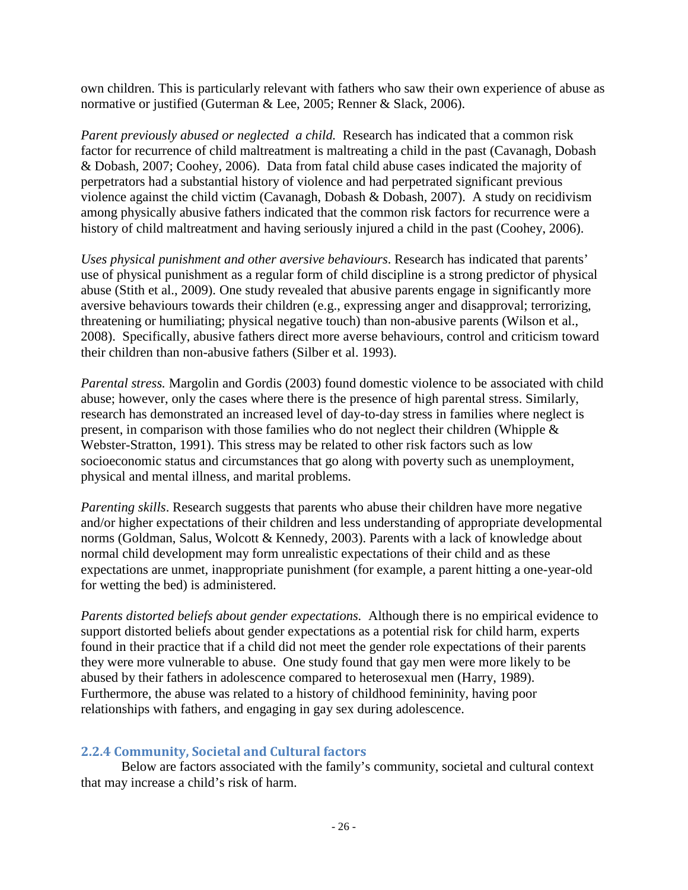own children. This is particularly relevant with fathers who saw their own experience of abuse as normative or justified (Guterman & Lee, 2005; Renner & Slack, 2006).

*Parent previously abused or neglected a child.* Research has indicated that a common risk factor for recurrence of child maltreatment is maltreating a child in the past (Cavanagh, Dobash & Dobash, 2007; Coohey, 2006). Data from fatal child abuse cases indicated the majority of perpetrators had a substantial history of violence and had perpetrated significant previous violence against the child victim (Cavanagh, Dobash & Dobash, 2007). A study on recidivism among physically abusive fathers indicated that the common risk factors for recurrence were a history of child maltreatment and having seriously injured a child in the past (Coohey, 2006).

*Uses physical punishment and other aversive behaviours*. Research has indicated that parents' use of physical punishment as a regular form of child discipline is a strong predictor of physical abuse (Stith et al., 2009). One study revealed that abusive parents engage in significantly more aversive behaviours towards their children (e.g., expressing anger and disapproval; terrorizing, threatening or humiliating; physical negative touch) than non-abusive parents (Wilson et al., 2008). Specifically, abusive fathers direct more averse behaviours, control and criticism toward their children than non-abusive fathers (Silber et al. 1993).

*Parental stress.* Margolin and Gordis (2003) found domestic violence to be associated with child abuse; however, only the cases where there is the presence of high parental stress. Similarly, research has demonstrated an increased level of day-to-day stress in families where neglect is present, in comparison with those families who do not neglect their children (Whipple & Webster-Stratton, 1991). This stress may be related to other risk factors such as low socioeconomic status and circumstances that go along with poverty such as unemployment, physical and mental illness, and marital problems.

*Parenting skills*. Research suggests that parents who abuse their children have more negative and/or higher expectations of their children and less understanding of appropriate developmental norms (Goldman, Salus, Wolcott & Kennedy, 2003). Parents with a lack of knowledge about normal child development may form unrealistic expectations of their child and as these expectations are unmet, inappropriate punishment (for example, a parent hitting a one-year-old for wetting the bed) is administered.

*Parents distorted beliefs about gender expectations.* Although there is no empirical evidence to support distorted beliefs about gender expectations as a potential risk for child harm, experts found in their practice that if a child did not meet the gender role expectations of their parents they were more vulnerable to abuse. One study found that gay men were more likely to be abused by their fathers in adolescence compared to heterosexual men (Harry, 1989). Furthermore, the abuse was related to a history of childhood femininity, having poor relationships with fathers, and engaging in gay sex during adolescence.

#### <span id="page-26-0"></span>**2.2.4 Community, Societal and Cultural factors**

Below are factors associated with the family's community, societal and cultural context that may increase a child's risk of harm.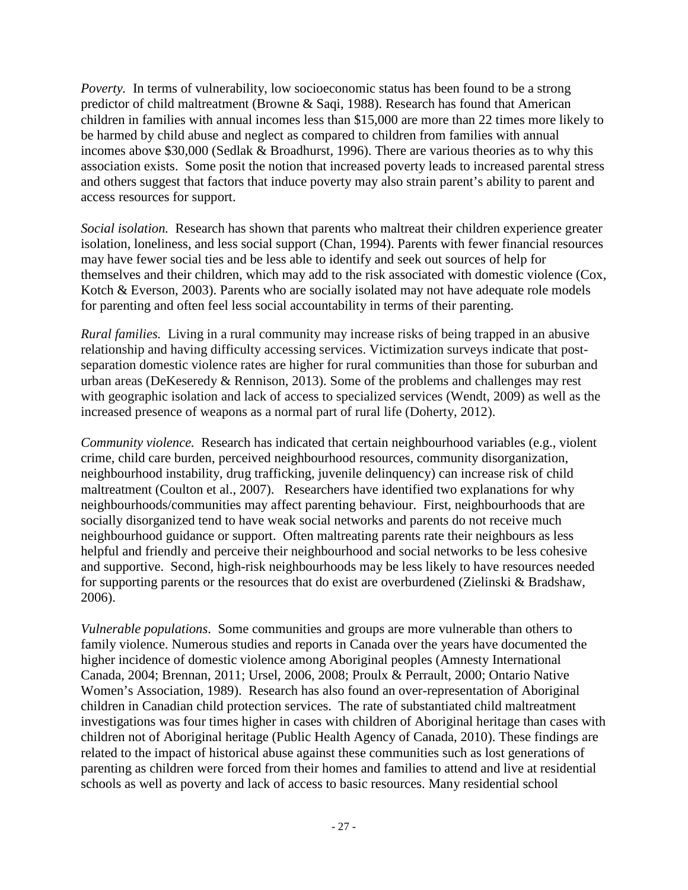*Poverty*. In terms of vulnerability, low socioeconomic status has been found to be a strong predictor of child maltreatment (Browne & Saqi, 1988). Research has found that American children in families with annual incomes less than \$15,000 are more than 22 times more likely to be harmed by child abuse and neglect as compared to children from families with annual incomes above \$30,000 (Sedlak & Broadhurst, 1996). There are various theories as to why this association exists. Some posit the notion that increased poverty leads to increased parental stress and others suggest that factors that induce poverty may also strain parent's ability to parent and access resources for support.

*Social isolation.* Research has shown that parents who maltreat their children experience greater isolation, loneliness, and less social support (Chan, 1994). Parents with fewer financial resources may have fewer social ties and be less able to identify and seek out sources of help for themselves and their children, which may add to the risk associated with domestic violence (Cox, Kotch & Everson, 2003). Parents who are socially isolated may not have adequate role models for parenting and often feel less social accountability in terms of their parenting.

*Rural families.* Living in a rural community may increase risks of being trapped in an abusive relationship and having difficulty accessing services. Victimization surveys indicate that postseparation domestic violence rates are higher for rural communities than those for suburban and urban areas (DeKeseredy & Rennison, 2013). Some of the problems and challenges may rest with geographic isolation and lack of access to specialized services (Wendt, 2009) as well as the increased presence of weapons as a normal part of rural life (Doherty, 2012).

*Community violence.* Research has indicated that certain neighbourhood variables (e.g., violent crime, child care burden, perceived neighbourhood resources, community disorganization, neighbourhood instability, drug trafficking, juvenile delinquency) can increase risk of child maltreatment (Coulton et al., 2007). Researchers have identified two explanations for why neighbourhoods/communities may affect parenting behaviour. First, neighbourhoods that are socially disorganized tend to have weak social networks and parents do not receive much neighbourhood guidance or support. Often maltreating parents rate their neighbours as less helpful and friendly and perceive their neighbourhood and social networks to be less cohesive and supportive. Second, high-risk neighbourhoods may be less likely to have resources needed for supporting parents or the resources that do exist are overburdened (Zielinski & Bradshaw, 2006).

*Vulnerable populations*.Some communities and groups are more vulnerable than others to family violence. Numerous studies and reports in Canada over the years have documented the higher incidence of domestic violence among Aboriginal peoples (Amnesty International Canada, 2004; Brennan, 2011; Ursel, 2006, 2008; Proulx & Perrault, 2000; Ontario Native Women's Association, 1989). Research has also found an over-representation of Aboriginal children in Canadian child protection services. The rate of substantiated child maltreatment investigations was four times higher in cases with children of Aboriginal heritage than cases with children not of Aboriginal heritage (Public Health Agency of Canada, 2010). These findings are related to the impact of historical abuse against these communities such as lost generations of parenting as children were forced from their homes and families to attend and live at residential schools as well as poverty and lack of access to basic resources. Many residential school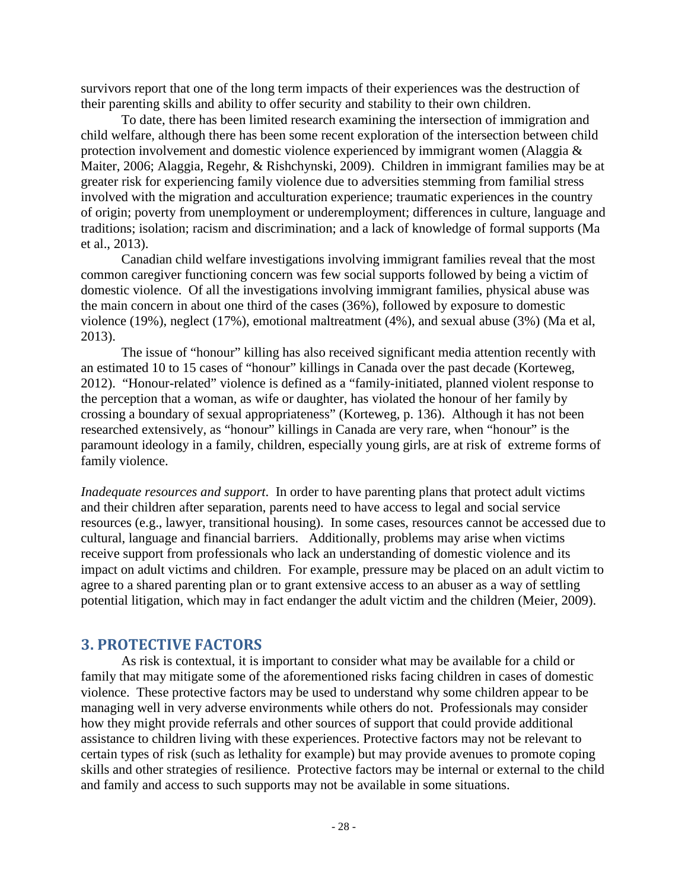survivors report that one of the long term impacts of their experiences was the destruction of their parenting skills and ability to offer security and stability to their own children.

To date, there has been limited research examining the intersection of immigration and child welfare, although there has been some recent exploration of the intersection between child protection involvement and domestic violence experienced by immigrant women (Alaggia & Maiter, 2006; Alaggia, Regehr, & Rishchynski, 2009). Children in immigrant families may be at greater risk for experiencing family violence due to adversities stemming from familial stress involved with the migration and acculturation experience; traumatic experiences in the country of origin; poverty from unemployment or underemployment; differences in culture, language and traditions; isolation; racism and discrimination; and a lack of knowledge of formal supports (Ma et al., 2013).

Canadian child welfare investigations involving immigrant families reveal that the most common caregiver functioning concern was few social supports followed by being a victim of domestic violence. Of all the investigations involving immigrant families, physical abuse was the main concern in about one third of the cases (36%), followed by exposure to domestic violence (19%), neglect (17%), emotional maltreatment (4%), and sexual abuse (3%) (Ma et al, 2013).

The issue of "honour" killing has also received significant media attention recently with an estimated 10 to 15 cases of "honour" killings in Canada over the past decade (Korteweg, 2012). "Honour-related" violence is defined as a "family-initiated, planned violent response to the perception that a woman, as wife or daughter, has violated the honour of her family by crossing a boundary of sexual appropriateness" (Korteweg, p. 136). Although it has not been researched extensively, as "honour" killings in Canada are very rare, when "honour" is the paramount ideology in a family, children, especially young girls, are at risk of extreme forms of family violence.

*Inadequate resources and support*. In order to have parenting plans that protect adult victims and their children after separation, parents need to have access to legal and social service resources (e.g., lawyer, transitional housing). In some cases, resources cannot be accessed due to cultural, language and financial barriers. Additionally, problems may arise when victims receive support from professionals who lack an understanding of domestic violence and its impact on adult victims and children. For example, pressure may be placed on an adult victim to agree to a shared parenting plan or to grant extensive access to an abuser as a way of settling potential litigation, which may in fact endanger the adult victim and the children (Meier, 2009).

## <span id="page-28-0"></span>**3. PROTECTIVE FACTORS**

As risk is contextual, it is important to consider what may be available for a child or family that may mitigate some of the aforementioned risks facing children in cases of domestic violence. These protective factors may be used to understand why some children appear to be managing well in very adverse environments while others do not. Professionals may consider how they might provide referrals and other sources of support that could provide additional assistance to children living with these experiences. Protective factors may not be relevant to certain types of risk (such as lethality for example) but may provide avenues to promote coping skills and other strategies of resilience. Protective factors may be internal or external to the child and family and access to such supports may not be available in some situations.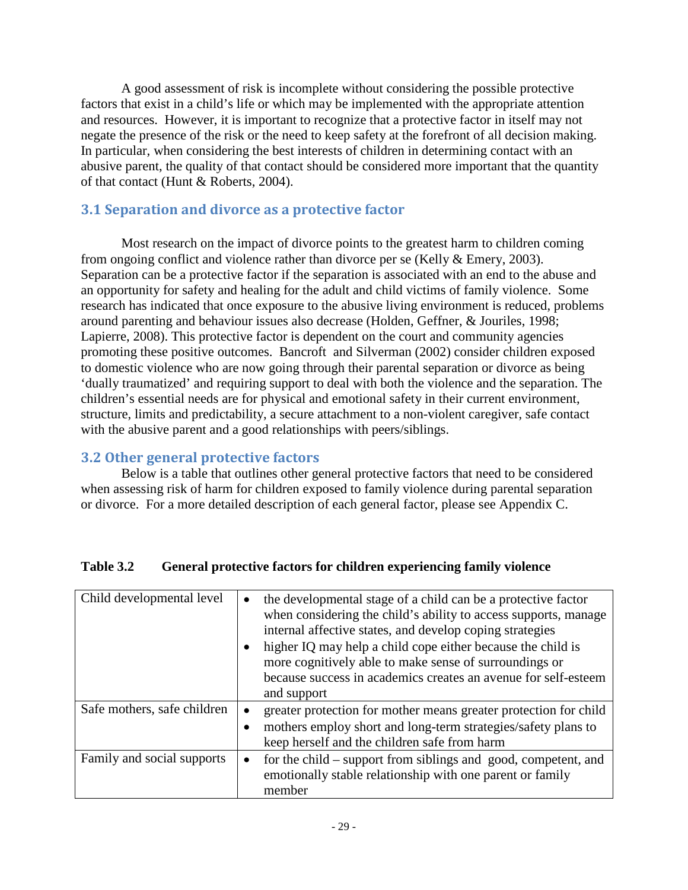A good assessment of risk is incomplete without considering the possible protective factors that exist in a child's life or which may be implemented with the appropriate attention and resources. However, it is important to recognize that a protective factor in itself may not negate the presence of the risk or the need to keep safety at the forefront of all decision making. In particular, when considering the best interests of children in determining contact with an abusive parent, the quality of that contact should be considered more important that the quantity of that contact (Hunt & Roberts, 2004).

# <span id="page-29-0"></span>**3.1 Separation and divorce as a protective factor**

Most research on the impact of divorce points to the greatest harm to children coming from ongoing conflict and violence rather than divorce per se (Kelly & Emery, 2003). Separation can be a protective factor if the separation is associated with an end to the abuse and an opportunity for safety and healing for the adult and child victims of family violence. Some research has indicated that once exposure to the abusive living environment is reduced, problems around parenting and behaviour issues also decrease [\(Holden, Geffner, & Jouriles, 1998;](#page-72-0) [Lapierre, 2008\)](#page-79-0). This protective factor is dependent on the court and community agencies promoting these positive outcomes. Bancroft and Silverman (2002) consider children exposed to domestic violence who are now going through their parental separation or divorce as being 'dually traumatized' and requiring support to deal with both the violence and the separation. The children's essential needs are for physical and emotional safety in their current environment, structure, limits and predictability, a secure attachment to a non-violent caregiver, safe contact with the abusive parent and a good relationships with peers/siblings.

## <span id="page-29-1"></span>**3.2 Other general protective factors**

Below is a table that outlines other general protective factors that need to be considered when assessing risk of harm for children exposed to family violence during parental separation or divorce. For a more detailed description of each general factor, please see Appendix C.

| Child developmental level   | the developmental stage of a child can be a protective factor<br>$\bullet$<br>when considering the child's ability to access supports, manage<br>internal affective states, and develop coping strategies<br>higher IQ may help a child cope either because the child is<br>more cognitively able to make sense of surroundings or<br>because success in academics creates an avenue for self-esteem<br>and support |
|-----------------------------|---------------------------------------------------------------------------------------------------------------------------------------------------------------------------------------------------------------------------------------------------------------------------------------------------------------------------------------------------------------------------------------------------------------------|
| Safe mothers, safe children | greater protection for mother means greater protection for child<br>$\bullet$<br>mothers employ short and long-term strategies/safety plans to<br>keep herself and the children safe from harm                                                                                                                                                                                                                      |
| Family and social supports  | for the child – support from siblings and good, competent, and<br>$\bullet$<br>emotionally stable relationship with one parent or family<br>member                                                                                                                                                                                                                                                                  |

#### **Table 3.2 General protective factors for children experiencing family violence**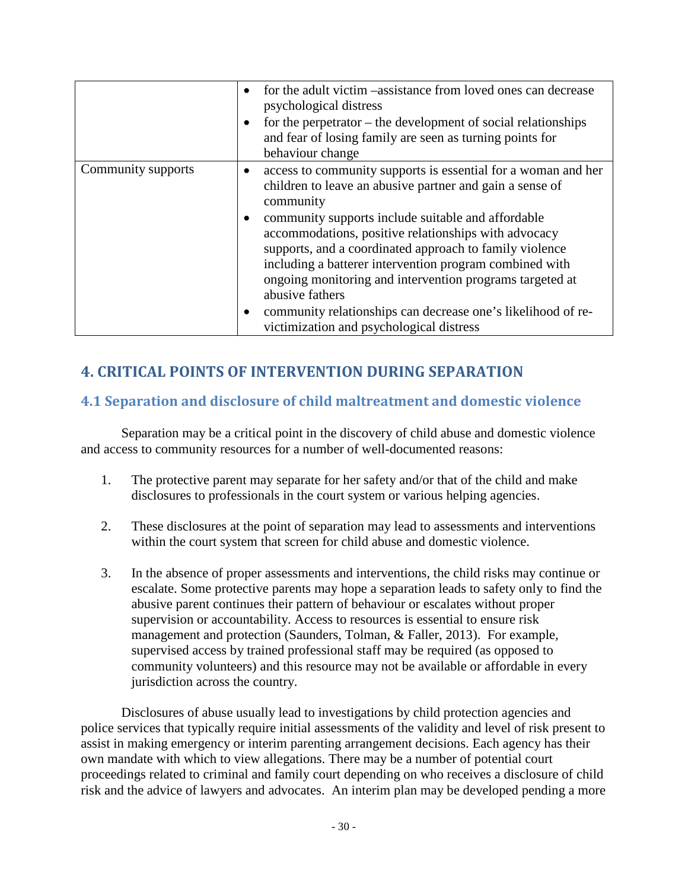|                    | for the adult victim –assistance from loved ones can decrease<br>psychological distress<br>for the perpetrator $-$ the development of social relationships<br>and fear of losing family are seen as turning points for<br>behaviour change                                                                                                                                                                                                                                                                                                                                                      |
|--------------------|-------------------------------------------------------------------------------------------------------------------------------------------------------------------------------------------------------------------------------------------------------------------------------------------------------------------------------------------------------------------------------------------------------------------------------------------------------------------------------------------------------------------------------------------------------------------------------------------------|
| Community supports | access to community supports is essential for a woman and her<br>children to leave an abusive partner and gain a sense of<br>community<br>community supports include suitable and affordable<br>$\bullet$<br>accommodations, positive relationships with advocacy<br>supports, and a coordinated approach to family violence<br>including a batterer intervention program combined with<br>ongoing monitoring and intervention programs targeted at<br>abusive fathers<br>community relationships can decrease one's likelihood of re-<br>$\bullet$<br>victimization and psychological distress |

# <span id="page-30-0"></span>**4. CRITICAL POINTS OF INTERVENTION DURING SEPARATION**

## <span id="page-30-1"></span>**4.1 Separation and disclosure of child maltreatment and domestic violence**

Separation may be a critical point in the discovery of child abuse and domestic violence and access to community resources for a number of well-documented reasons:

- 1. The protective parent may separate for her safety and/or that of the child and make disclosures to professionals in the court system or various helping agencies.
- 2. These disclosures at the point of separation may lead to assessments and interventions within the court system that screen for child abuse and domestic violence.
- 3. In the absence of proper assessments and interventions, the child risks may continue or escalate. Some protective parents may hope a separation leads to safety only to find the abusive parent continues their pattern of behaviour or escalates without proper supervision or accountability. Access to resources is essential to ensure risk management and protection (Saunders, Tolman, & Faller, 2013). For example, supervised access by trained professional staff may be required (as opposed to community volunteers) and this resource may not be available or affordable in every jurisdiction across the country.

Disclosures of abuse usually lead to investigations by child protection agencies and police services that typically require initial assessments of the validity and level of risk present to assist in making emergency or interim parenting arrangement decisions. Each agency has their own mandate with which to view allegations. There may be a number of potential court proceedings related to criminal and family court depending on who receives a disclosure of child risk and the advice of lawyers and advocates. An interim plan may be developed pending a more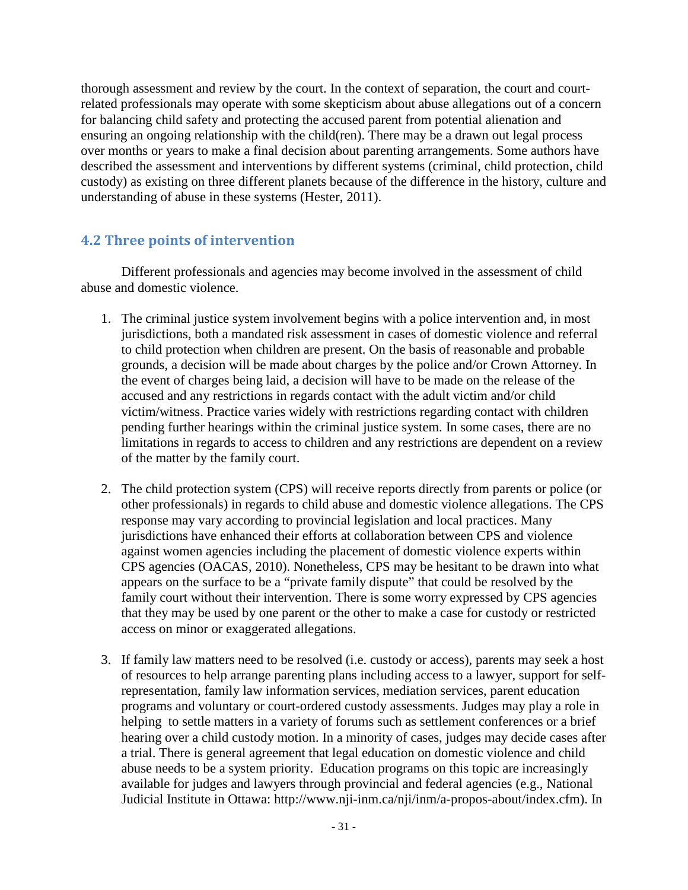thorough assessment and review by the court. In the context of separation, the court and courtrelated professionals may operate with some skepticism about abuse allegations out of a concern for balancing child safety and protecting the accused parent from potential alienation and ensuring an ongoing relationship with the child(ren). There may be a drawn out legal process over months or years to make a final decision about parenting arrangements. Some authors have described the assessment and interventions by different systems (criminal, child protection, child custody) as existing on three different planets because of the difference in the history, culture and understanding of abuse in these systems (Hester, 2011).

## <span id="page-31-0"></span>**4.2 Three points of intervention**

Different professionals and agencies may become involved in the assessment of child abuse and domestic violence.

- 1. The criminal justice system involvement begins with a police intervention and, in most jurisdictions, both a mandated risk assessment in cases of domestic violence and referral to child protection when children are present. On the basis of reasonable and probable grounds, a decision will be made about charges by the police and/or Crown Attorney. In the event of charges being laid, a decision will have to be made on the release of the accused and any restrictions in regards contact with the adult victim and/or child victim/witness. Practice varies widely with restrictions regarding contact with children pending further hearings within the criminal justice system. In some cases, there are no limitations in regards to access to children and any restrictions are dependent on a review of the matter by the family court.
- 2. The child protection system (CPS) will receive reports directly from parents or police (or other professionals) in regards to child abuse and domestic violence allegations. The CPS response may vary according to provincial legislation and local practices. Many jurisdictions have enhanced their efforts at collaboration between CPS and violence against women agencies including the placement of domestic violence experts within CPS agencies (OACAS, 2010). Nonetheless, CPS may be hesitant to be drawn into what appears on the surface to be a "private family dispute" that could be resolved by the family court without their intervention. There is some worry expressed by CPS agencies that they may be used by one parent or the other to make a case for custody or restricted access on minor or exaggerated allegations.
- 3. If family law matters need to be resolved (i.e. custody or access), parents may seek a host of resources to help arrange parenting plans including access to a lawyer, support for selfrepresentation, family law information services, mediation services, parent education programs and voluntary or court-ordered custody assessments. Judges may play a role in helping to settle matters in a variety of forums such as settlement conferences or a brief hearing over a child custody motion. In a minority of cases, judges may decide cases after a trial. There is general agreement that legal education on domestic violence and child abuse needs to be a system priority. Education programs on this topic are increasingly available for judges and lawyers through provincial and federal agencies (e.g., National Judicial Institute in Ottawa: [http://www.nji-inm.ca/nji/inm/a-propos-about/index.cfm\)](http://www.nji-inm.ca/nji/inm/a-propos-about/index.cfm). In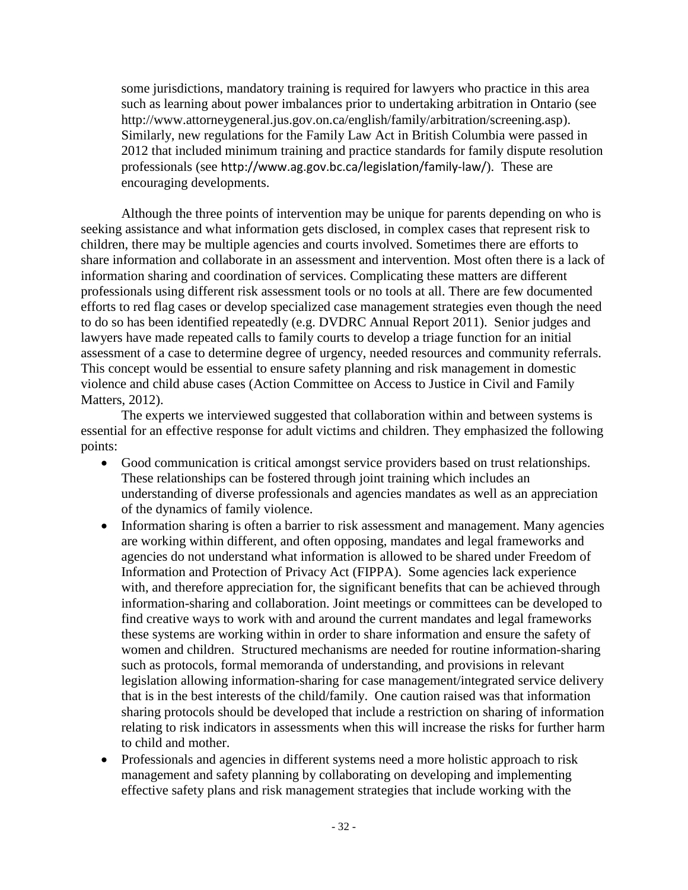some jurisdictions, mandatory training is required for lawyers who practice in this area such as learning about power imbalances prior to undertaking arbitration in Ontario (see [http://www.attorneygeneral.jus.gov.on.ca/english/family/arbitration/screening.asp\)](http://www.attorneygeneral.jus.gov.on.ca/english/family/arbitration/screening.asp). Similarly, new regulations for the Family Law Act in British Columbia were passed in 2012 that included minimum training and practice standards for family dispute resolution professionals (see <http://www.ag.gov.bc.ca/legislation/family-law/>). These are encouraging developments.

Although the three points of intervention may be unique for parents depending on who is seeking assistance and what information gets disclosed, in complex cases that represent risk to children, there may be multiple agencies and courts involved. Sometimes there are efforts to share information and collaborate in an assessment and intervention. Most often there is a lack of information sharing and coordination of services. Complicating these matters are different professionals using different risk assessment tools or no tools at all. There are few documented efforts to red flag cases or develop specialized case management strategies even though the need to do so has been identified repeatedly (e.g. DVDRC Annual Report 2011). Senior judges and lawyers have made repeated calls to family courts to develop a triage function for an initial assessment of a case to determine degree of urgency, needed resources and community referrals. This concept would be essential to ensure safety planning and risk management in domestic violence and child abuse cases (Action Committee on Access to Justice in Civil and Family Matters, 2012).

The experts we interviewed suggested that collaboration within and between systems is essential for an effective response for adult victims and children. They emphasized the following points:

- Good communication is critical amongst service providers based on trust relationships. These relationships can be fostered through joint training which includes an understanding of diverse professionals and agencies mandates as well as an appreciation of the dynamics of family violence.
- Information sharing is often a barrier to risk assessment and management. Many agencies are working within different, and often opposing, mandates and legal frameworks and agencies do not understand what information is allowed to be shared under Freedom of Information and Protection of Privacy Act (FIPPA). Some agencies lack experience with, and therefore appreciation for, the significant benefits that can be achieved through information-sharing and collaboration. Joint meetings or committees can be developed to find creative ways to work with and around the current mandates and legal frameworks these systems are working within in order to share information and ensure the safety of women and children. Structured mechanisms are needed for routine information-sharing such as protocols, formal memoranda of understanding, and provisions in relevant legislation allowing information-sharing for case management/integrated service delivery that is in the best interests of the child/family. One caution raised was that information sharing protocols should be developed that include a restriction on sharing of information relating to risk indicators in assessments when this will increase the risks for further harm to child and mother.
- Professionals and agencies in different systems need a more holistic approach to risk management and safety planning by collaborating on developing and implementing effective safety plans and risk management strategies that include working with the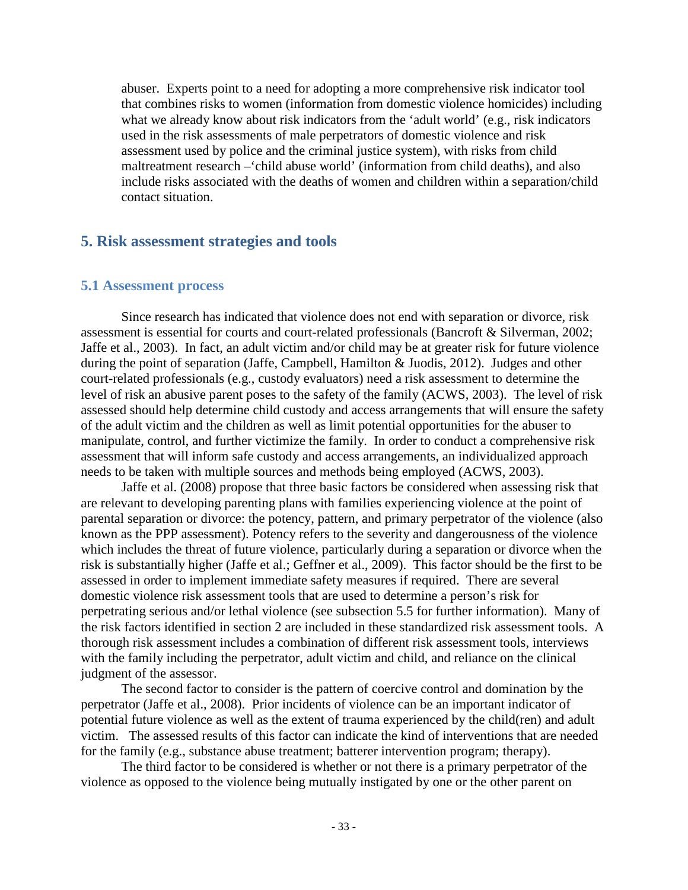abuser. Experts point to a need for adopting a more comprehensive risk indicator tool that combines risks to women (information from domestic violence homicides) including what we already know about risk indicators from the 'adult world' (e.g., risk indicators used in the risk assessments of male perpetrators of domestic violence and risk assessment used by police and the criminal justice system), with risks from child maltreatment research –'child abuse world' (information from child deaths), and also include risks associated with the deaths of women and children within a separation/child contact situation.

#### <span id="page-33-0"></span>**5. Risk assessment strategies and tools**

#### <span id="page-33-1"></span>**5.1 Assessment process**

Since research has indicated that violence does not end with separation or divorce, risk assessment is essential for courts and court-related professionals (Bancroft & Silverman, 2002; Jaffe et al., 2003). In fact, an adult victim and/or child may be at greater risk for future violence during the point of separation (Jaffe, Campbell, Hamilton & Juodis, 2012). Judges and other court-related professionals (e.g., custody evaluators) need a risk assessment to determine the level of risk an abusive parent poses to the safety of the family (ACWS, 2003). The level of risk assessed should help determine child custody and access arrangements that will ensure the safety of the adult victim and the children as well as limit potential opportunities for the abuser to manipulate, control, and further victimize the family. In order to conduct a comprehensive risk assessment that will inform safe custody and access arrangements, an individualized approach needs to be taken with multiple sources and methods being employed (ACWS, 2003).

Jaffe et al. (2008) propose that three basic factors be considered when assessing risk that are relevant to developing parenting plans with families experiencing violence at the point of parental separation or divorce: the potency, pattern, and primary perpetrator of the violence (also known as the PPP assessment). Potency refers to the severity and dangerousness of the violence which includes the threat of future violence, particularly during a separation or divorce when the risk is substantially higher (Jaffe et al.; Geffner et al., 2009). This factor should be the first to be assessed in order to implement immediate safety measures if required. There are several domestic violence risk assessment tools that are used to determine a person's risk for perpetrating serious and/or lethal violence (see subsection 5.5 for further information). Many of the risk factors identified in section 2 are included in these standardized risk assessment tools. A thorough risk assessment includes a combination of different risk assessment tools, interviews with the family including the perpetrator, adult victim and child, and reliance on the clinical judgment of the assessor.

The second factor to consider is the pattern of coercive control and domination by the perpetrator (Jaffe et al., 2008). Prior incidents of violence can be an important indicator of potential future violence as well as the extent of trauma experienced by the child(ren) and adult victim. The assessed results of this factor can indicate the kind of interventions that are needed for the family (e.g., substance abuse treatment; batterer intervention program; therapy).

The third factor to be considered is whether or not there is a primary perpetrator of the violence as opposed to the violence being mutually instigated by one or the other parent on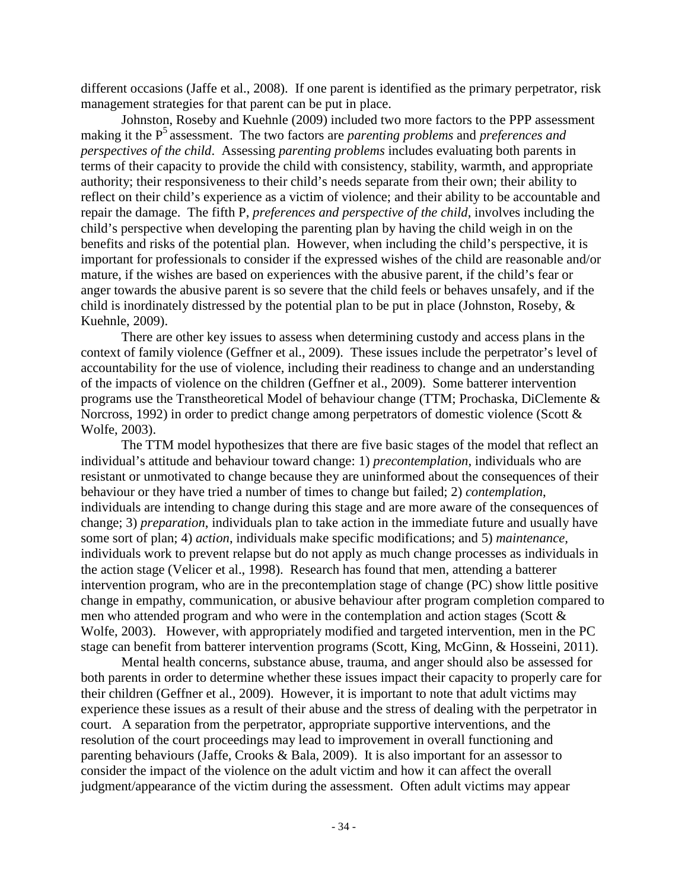different occasions (Jaffe et al., 2008). If one parent is identified as the primary perpetrator, risk management strategies for that parent can be put in place.

Johnston, Roseby and Kuehnle (2009) included two more factors to the PPP assessment making it the P<sup>5</sup> assessment. The two factors are *parenting problems* and *preferences and perspectives of the child*. Assessing *parenting problems* includes evaluating both parents in terms of their capacity to provide the child with consistency, stability, warmth, and appropriate authority; their responsiveness to their child's needs separate from their own; their ability to reflect on their child's experience as a victim of violence; and their ability to be accountable and repair the damage. The fifth P, *preferences and perspective of the child*, involves including the child's perspective when developing the parenting plan by having the child weigh in on the benefits and risks of the potential plan. However, when including the child's perspective, it is important for professionals to consider if the expressed wishes of the child are reasonable and/or mature, if the wishes are based on experiences with the abusive parent, if the child's fear or anger towards the abusive parent is so severe that the child feels or behaves unsafely, and if the child is inordinately distressed by the potential plan to be put in place (Johnston, Roseby, & Kuehnle, 2009).

There are other key issues to assess when determining custody and access plans in the context of family violence (Geffner et al., 2009). These issues include the perpetrator's level of accountability for the use of violence, including their readiness to change and an understanding of the impacts of violence on the children (Geffner et al., 2009). Some batterer intervention programs use the Transtheoretical Model of behaviour change (TTM; Prochaska, DiClemente & Norcross, 1992) in order to predict change among perpetrators of domestic violence (Scott & Wolfe, 2003).

The TTM model hypothesizes that there are five basic stages of the model that reflect an individual's attitude and behaviour toward change: 1) *precontemplation*, individuals who are resistant or unmotivated to change because they are uninformed about the consequences of their behaviour or they have tried a number of times to change but failed; 2) *contemplation*, individuals are intending to change during this stage and are more aware of the consequences of change; 3) *preparation*, individuals plan to take action in the immediate future and usually have some sort of plan; 4) *action*, individuals make specific modifications; and 5) *maintenance,* individuals work to prevent relapse but do not apply as much change processes as individuals in the action stage (Velicer et al., 1998). Research has found that men, attending a batterer intervention program, who are in the precontemplation stage of change (PC) show little positive change in empathy, communication, or abusive behaviour after program completion compared to men who attended program and who were in the contemplation and action stages (Scott & Wolfe, 2003). However, with appropriately modified and targeted intervention, men in the PC stage can benefit from batterer intervention programs (Scott, King, McGinn, & Hosseini, 2011).

Mental health concerns, substance abuse, trauma, and anger should also be assessed for both parents in order to determine whether these issues impact their capacity to properly care for their children (Geffner et al., 2009). However, it is important to note that adult victims may experience these issues as a result of their abuse and the stress of dealing with the perpetrator in court. A separation from the perpetrator, appropriate supportive interventions, and the resolution of the court proceedings may lead to improvement in overall functioning and parenting behaviours (Jaffe, Crooks & Bala, 2009). It is also important for an assessor to consider the impact of the violence on the adult victim and how it can affect the overall judgment/appearance of the victim during the assessment. Often adult victims may appear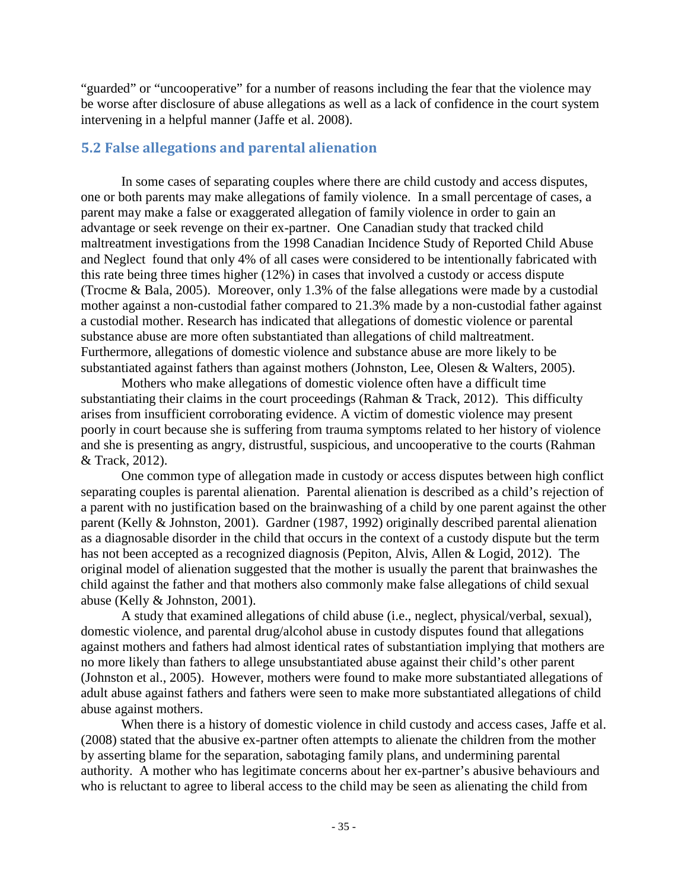"guarded" or "uncooperative" for a number of reasons including the fear that the violence may be worse after disclosure of abuse allegations as well as a lack of confidence in the court system intervening in a helpful manner (Jaffe et al. 2008).

### <span id="page-35-0"></span>**5.2 False allegations and parental alienation**

In some cases of separating couples where there are child custody and access disputes, one or both parents may make allegations of family violence. In a small percentage of cases, a parent may make a false or exaggerated allegation of family violence in order to gain an advantage or seek revenge on their ex-partner. One Canadian study that tracked child maltreatment investigations from the 1998 Canadian Incidence Study of Reported Child Abuse and Neglect found that only 4% of all cases were considered to be intentionally fabricated with this rate being three times higher (12%) in cases that involved a custody or access dispute (Trocme & Bala, 2005). Moreover, only 1.3% of the false allegations were made by a custodial mother against a non-custodial father compared to 21.3% made by a non-custodial father against a custodial mother. Research has indicated that allegations of domestic violence or parental substance abuse are more often substantiated than allegations of child maltreatment. Furthermore, allegations of domestic violence and substance abuse are more likely to be substantiated against fathers than against mothers (Johnston, Lee, Olesen & Walters, 2005).

Mothers who make allegations of domestic violence often have a difficult time substantiating their claims in the court proceedings (Rahman & Track, 2012). This difficulty arises from insufficient corroborating evidence. A victim of domestic violence may present poorly in court because she is suffering from trauma symptoms related to her history of violence and she is presenting as angry, distrustful, suspicious, and uncooperative to the courts (Rahman & Track, 2012).

One common type of allegation made in custody or access disputes between high conflict separating couples is parental alienation. Parental alienation is described as a child's rejection of a parent with no justification based on the brainwashing of a child by one parent against the other parent (Kelly & Johnston, 2001). Gardner (1987, 1992) originally described parental alienation as a diagnosable disorder in the child that occurs in the context of a custody dispute but the term has not been accepted as a recognized diagnosis (Pepiton, Alvis, Allen & Logid, 2012). The original model of alienation suggested that the mother is usually the parent that brainwashes the child against the father and that mothers also commonly make false allegations of child sexual abuse (Kelly & Johnston, 2001).

A study that examined allegations of child abuse (i.e., neglect, physical/verbal, sexual), domestic violence, and parental drug/alcohol abuse in custody disputes found that allegations against mothers and fathers had almost identical rates of substantiation implying that mothers are no more likely than fathers to allege unsubstantiated abuse against their child's other parent (Johnston et al., 2005). However, mothers were found to make more substantiated allegations of adult abuse against fathers and fathers were seen to make more substantiated allegations of child abuse against mothers.

When there is a history of domestic violence in child custody and access cases, Jaffe et al. (2008) stated that the abusive ex-partner often attempts to alienate the children from the mother by asserting blame for the separation, sabotaging family plans, and undermining parental authority. A mother who has legitimate concerns about her ex-partner's abusive behaviours and who is reluctant to agree to liberal access to the child may be seen as alienating the child from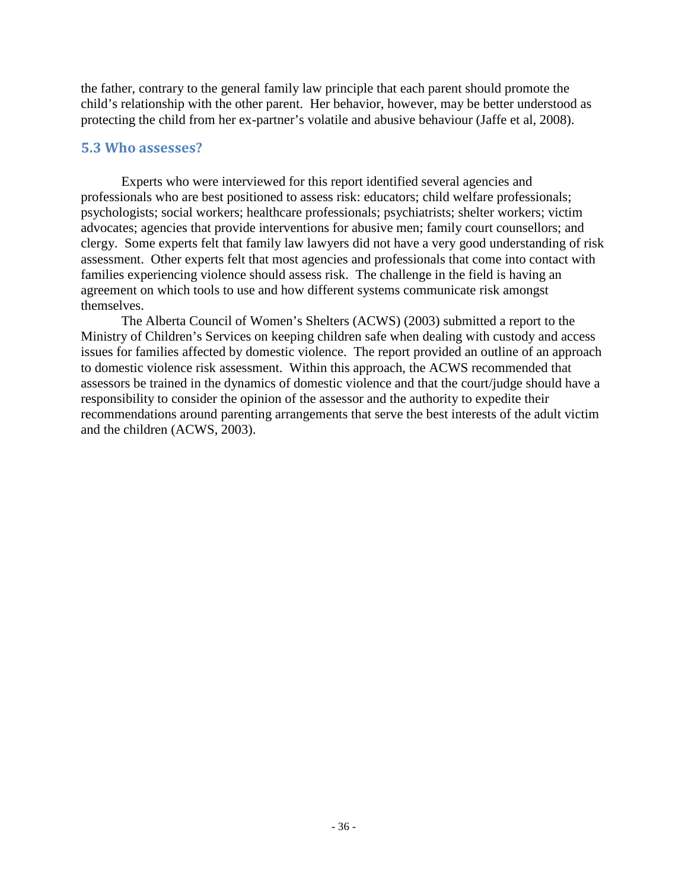the father, contrary to the general family law principle that each parent should promote the child's relationship with the other parent. Her behavior, however, may be better understood as protecting the child from her ex-partner's volatile and abusive behaviour (Jaffe et al, 2008).

#### **5.3 Who assesses?**

Experts who were interviewed for this report identified several agencies and professionals who are best positioned to assess risk: educators; child welfare professionals; psychologists; social workers; healthcare professionals; psychiatrists; shelter workers; victim advocates; agencies that provide interventions for abusive men; family court counsellors; and clergy. Some experts felt that family law lawyers did not have a very good understanding of risk assessment. Other experts felt that most agencies and professionals that come into contact with families experiencing violence should assess risk. The challenge in the field is having an agreement on which tools to use and how different systems communicate risk amongst themselves.

The Alberta Council of Women's Shelters (ACWS) (2003) submitted a report to the Ministry of Children's Services on keeping children safe when dealing with custody and access issues for families affected by domestic violence. The report provided an outline of an approach to domestic violence risk assessment. Within this approach, the ACWS recommended that assessors be trained in the dynamics of domestic violence and that the court/judge should have a responsibility to consider the opinion of the assessor and the authority to expedite their recommendations around parenting arrangements that serve the best interests of the adult victim and the children (ACWS, 2003).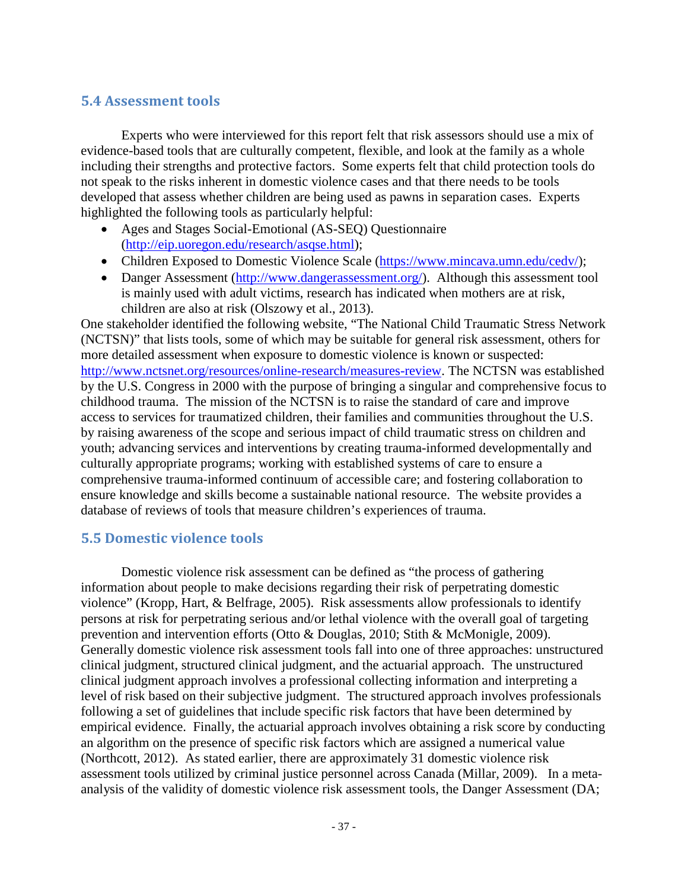# **5.4 Assessment tools**

Experts who were interviewed for this report felt that risk assessors should use a mix of evidence-based tools that are culturally competent, flexible, and look at the family as a whole including their strengths and protective factors. Some experts felt that child protection tools do not speak to the risks inherent in domestic violence cases and that there needs to be tools developed that assess whether children are being used as pawns in separation cases. Experts highlighted the following tools as particularly helpful:

- Ages and Stages Social-Emotional (AS-SEQ) Questionnaire [\(http://eip.uoregon.edu/research/asqse.html\)](http://eip.uoregon.edu/research/asqse.html);
- Children Exposed to Domestic Violence Scale [\(https://www.mincava.umn.edu/cedv/\)](https://www.mincava.umn.edu/cedv/);
- Danger Assessment [\(http://www.dangerassessment.org/\)](http://www.dangerassessment.org/). Although this assessment tool is mainly used with adult victims, research has indicated when mothers are at risk, children are also at risk (Olszowy et al., 2013).

One stakeholder identified the following website, "The National Child Traumatic Stress Network (NCTSN)" that lists tools, some of which may be suitable for general risk assessment, others for more detailed assessment when exposure to domestic violence is known or suspected: [http://www.nctsnet.org/resources/online-research/measures-review.](http://www.nctsnet.org/resources/online-research/measures-review) The NCTSN was established by the U.S. Congress in 2000 with the purpose of bringing a singular and comprehensive focus to childhood trauma. The mission of the NCTSN is to raise the standard of care and improve access to services for traumatized children, their families and communities throughout the U.S. by raising awareness of the scope and serious impact of child traumatic stress on children and youth; advancing services and interventions by creating trauma-informed developmentally and culturally appropriate programs; working with established systems of care to ensure a comprehensive trauma-informed continuum of accessible care; and fostering collaboration to ensure knowledge and skills become a sustainable national resource. The website provides a database of reviews of tools that measure children's experiences of trauma.

## **5.5 Domestic violence tools**

Domestic violence risk assessment can be defined as "the process of gathering information about people to make decisions regarding their risk of perpetrating domestic violence" (Kropp, Hart, & Belfrage, 2005). Risk assessments allow professionals to identify persons at risk for perpetrating serious and/or lethal violence with the overall goal of targeting prevention and intervention efforts (Otto & Douglas, 2010; Stith & McMonigle, 2009). Generally domestic violence risk assessment tools fall into one of three approaches: unstructured clinical judgment, structured clinical judgment, and the actuarial approach. The unstructured clinical judgment approach involves a professional collecting information and interpreting a level of risk based on their subjective judgment. The structured approach involves professionals following a set of guidelines that include specific risk factors that have been determined by empirical evidence. Finally, the actuarial approach involves obtaining a risk score by conducting an algorithm on the presence of specific risk factors which are assigned a numerical value (Northcott, 2012). As stated earlier, there are approximately 31 domestic violence risk assessment tools utilized by criminal justice personnel across Canada (Millar, 2009). In a metaanalysis of the validity of domestic violence risk assessment tools, the Danger Assessment (DA;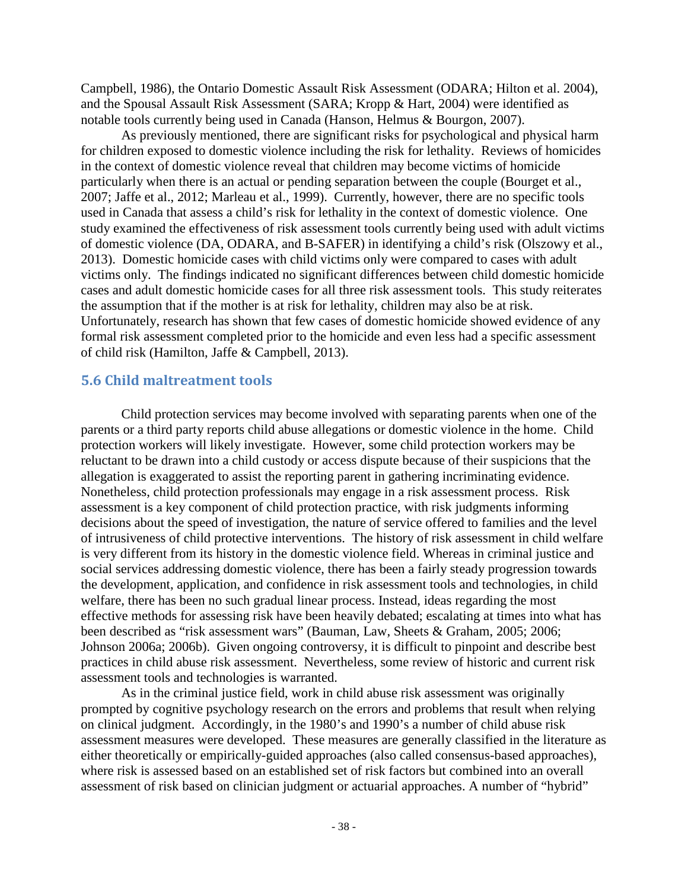Campbell, 1986), the Ontario Domestic Assault Risk Assessment (ODARA; Hilton et al. 2004), and the Spousal Assault Risk Assessment (SARA; Kropp & Hart, 2004) were identified as notable tools currently being used in Canada (Hanson, Helmus & Bourgon, 2007).

As previously mentioned, there are significant risks for psychological and physical harm for children exposed to domestic violence including the risk for lethality. Reviews of homicides in the context of domestic violence reveal that children may become victims of homicide particularly when there is an actual or pending separation between the couple (Bourget et al., 2007; Jaffe et al., 2012; Marleau et al., 1999). Currently, however, there are no specific tools used in Canada that assess a child's risk for lethality in the context of domestic violence. One study examined the effectiveness of risk assessment tools currently being used with adult victims of domestic violence (DA, ODARA, and B-SAFER) in identifying a child's risk (Olszowy et al., 2013). Domestic homicide cases with child victims only were compared to cases with adult victims only. The findings indicated no significant differences between child domestic homicide cases and adult domestic homicide cases for all three risk assessment tools. This study reiterates the assumption that if the mother is at risk for lethality, children may also be at risk. Unfortunately, research has shown that few cases of domestic homicide showed evidence of any formal risk assessment completed prior to the homicide and even less had a specific assessment of child risk (Hamilton, Jaffe & Campbell, 2013).

#### **5.6 Child maltreatment tools**

Child protection services may become involved with separating parents when one of the parents or a third party reports child abuse allegations or domestic violence in the home. Child protection workers will likely investigate. However, some child protection workers may be reluctant to be drawn into a child custody or access dispute because of their suspicions that the allegation is exaggerated to assist the reporting parent in gathering incriminating evidence. Nonetheless, child protection professionals may engage in a risk assessment process. Risk assessment is a key component of child protection practice, with risk judgments informing decisions about the speed of investigation, the nature of service offered to families and the level of intrusiveness of child protective interventions. The history of risk assessment in child welfare is very different from its history in the domestic violence field. Whereas in criminal justice and social services addressing domestic violence, there has been a fairly steady progression towards the development, application, and confidence in risk assessment tools and technologies, in child welfare, there has been no such gradual linear process. Instead, ideas regarding the most effective methods for assessing risk have been heavily debated; escalating at times into what has been described as "risk assessment wars" (Bauman, Law, Sheets & Graham, 2005; 2006; Johnson 2006a; 2006b). Given ongoing controversy, it is difficult to pinpoint and describe best practices in child abuse risk assessment. Nevertheless, some review of historic and current risk assessment tools and technologies is warranted.

As in the criminal justice field, work in child abuse risk assessment was originally prompted by cognitive psychology research on the errors and problems that result when relying on clinical judgment. Accordingly, in the 1980's and 1990's a number of child abuse risk assessment measures were developed. These measures are generally classified in the literature as either theoretically or empirically-guided approaches (also called consensus-based approaches), where risk is assessed based on an established set of risk factors but combined into an overall assessment of risk based on clinician judgment or actuarial approaches. A number of "hybrid"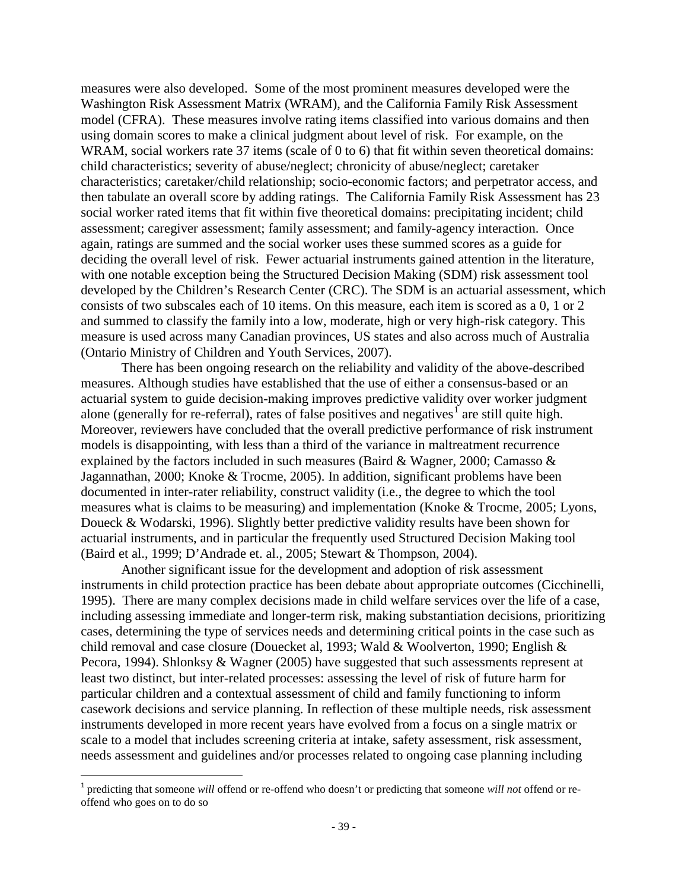measures were also developed. Some of the most prominent measures developed were the Washington Risk Assessment Matrix (WRAM), and the California Family Risk Assessment model (CFRA). These measures involve rating items classified into various domains and then using domain scores to make a clinical judgment about level of risk. For example, on the WRAM, social workers rate 37 items (scale of 0 to 6) that fit within seven theoretical domains: child characteristics; severity of abuse/neglect; chronicity of abuse/neglect; caretaker characteristics; caretaker/child relationship; socio-economic factors; and perpetrator access, and then tabulate an overall score by adding ratings. The California Family Risk Assessment has 23 social worker rated items that fit within five theoretical domains: precipitating incident; child assessment; caregiver assessment; family assessment; and family-agency interaction. Once again, ratings are summed and the social worker uses these summed scores as a guide for deciding the overall level of risk. Fewer actuarial instruments gained attention in the literature, with one notable exception being the Structured Decision Making (SDM) risk assessment tool developed by the Children's Research Center (CRC). The SDM is an actuarial assessment, which consists of two subscales each of 10 items. On this measure, each item is scored as a 0, 1 or 2 and summed to classify the family into a low, moderate, high or very high-risk category. This measure is used across many Canadian provinces, US states and also across much of Australia (Ontario Ministry of Children and Youth Services, 2007).

There has been ongoing research on the reliability and validity of the above-described measures. Although studies have established that the use of either a consensus-based or an actuarial system to guide decision-making improves predictive validity over worker judgment alone (generally for re-referral), rates of false positives and negatives<sup>[1](#page-39-0)</sup> are still quite high. Moreover, reviewers have concluded that the overall predictive performance of risk instrument models is disappointing, with less than a third of the variance in maltreatment recurrence explained by the factors included in such measures (Baird & Wagner, 2000; Camasso & Jagannathan, 2000; Knoke & Trocme, 2005). In addition, significant problems have been documented in inter-rater reliability, construct validity (i.e., the degree to which the tool measures what is claims to be measuring) and implementation (Knoke & Trocme, 2005; Lyons, Doueck & Wodarski, 1996). Slightly better predictive validity results have been shown for actuarial instruments, and in particular the frequently used Structured Decision Making tool (Baird et al., 1999; D'Andrade et. al., 2005; Stewart & Thompson, 2004).

Another significant issue for the development and adoption of risk assessment instruments in child protection practice has been debate about appropriate outcomes (Cicchinelli, 1995). There are many complex decisions made in child welfare services over the life of a case, including assessing immediate and longer-term risk, making substantiation decisions, prioritizing cases, determining the type of services needs and determining critical points in the case such as child removal and case closure (Douecket al, 1993; Wald & Woolverton, 1990; English & Pecora, 1994). Shlonksy & Wagner (2005) have suggested that such assessments represent at least two distinct, but inter-related processes: assessing the level of risk of future harm for particular children and a contextual assessment of child and family functioning to inform casework decisions and service planning. In reflection of these multiple needs, risk assessment instruments developed in more recent years have evolved from a focus on a single matrix or scale to a model that includes screening criteria at intake, safety assessment, risk assessment, needs assessment and guidelines and/or processes related to ongoing case planning including

<span id="page-39-0"></span> <sup>1</sup> predicting that someone *will* offend or re-offend who doesn't or predicting that someone *will not* offend or reoffend who goes on to do so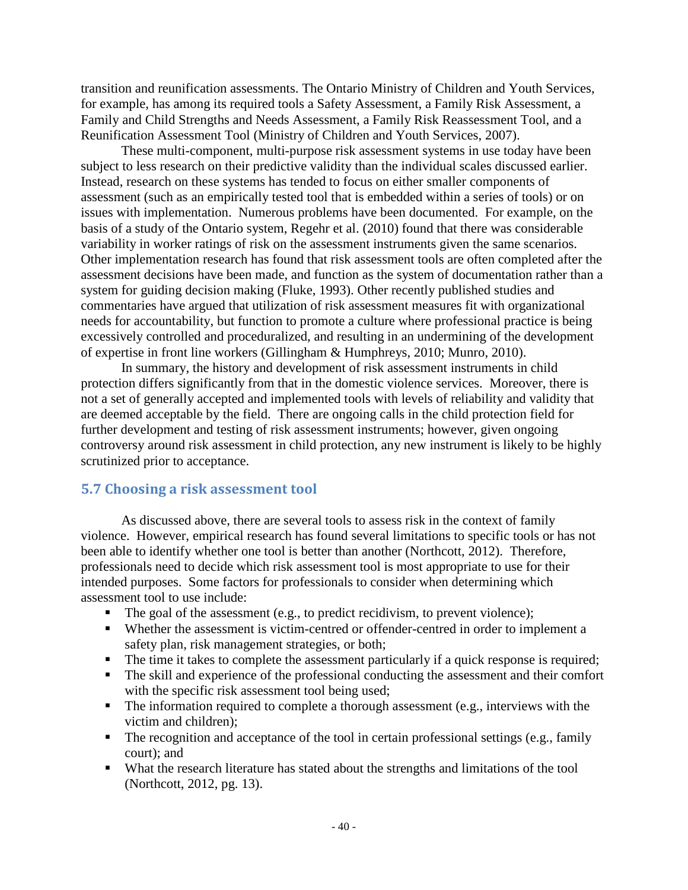transition and reunification assessments. The Ontario Ministry of Children and Youth Services, for example, has among its required tools a Safety Assessment, a Family Risk Assessment, a Family and Child Strengths and Needs Assessment, a Family Risk Reassessment Tool, and a Reunification Assessment Tool (Ministry of Children and Youth Services, 2007).

These multi-component, multi-purpose risk assessment systems in use today have been subject to less research on their predictive validity than the individual scales discussed earlier. Instead, research on these systems has tended to focus on either smaller components of assessment (such as an empirically tested tool that is embedded within a series of tools) or on issues with implementation. Numerous problems have been documented. For example, on the basis of a study of the Ontario system, Regehr et al. (2010) found that there was considerable variability in worker ratings of risk on the assessment instruments given the same scenarios. Other implementation research has found that risk assessment tools are often completed after the assessment decisions have been made, and function as the system of documentation rather than a system for guiding decision making (Fluke, 1993). Other recently published studies and commentaries have argued that utilization of risk assessment measures fit with organizational needs for accountability, but function to promote a culture where professional practice is being excessively controlled and proceduralized, and resulting in an undermining of the development of expertise in front line workers (Gillingham & Humphreys, 2010; Munro, 2010).

In summary, the history and development of risk assessment instruments in child protection differs significantly from that in the domestic violence services. Moreover, there is not a set of generally accepted and implemented tools with levels of reliability and validity that are deemed acceptable by the field. There are ongoing calls in the child protection field for further development and testing of risk assessment instruments; however, given ongoing controversy around risk assessment in child protection, any new instrument is likely to be highly scrutinized prior to acceptance.

#### **5.7 Choosing a risk assessment tool**

As discussed above, there are several tools to assess risk in the context of family violence. However, empirical research has found several limitations to specific tools or has not been able to identify whether one tool is better than another (Northcott, 2012). Therefore, professionals need to decide which risk assessment tool is most appropriate to use for their intended purposes. Some factors for professionals to consider when determining which assessment tool to use include:

- The goal of the assessment (e.g., to predict recidivism, to prevent violence);
- Whether the assessment is victim-centred or offender-centred in order to implement a safety plan, risk management strategies, or both;
- The time it takes to complete the assessment particularly if a quick response is required;
- The skill and experience of the professional conducting the assessment and their comfort with the specific risk assessment tool being used;
- $\blacksquare$  The information required to complete a thorough assessment (e.g., interviews with the victim and children);
- The recognition and acceptance of the tool in certain professional settings (e.g., family court); and
- What the research literature has stated about the strengths and limitations of the tool (Northcott, 2012, pg. 13).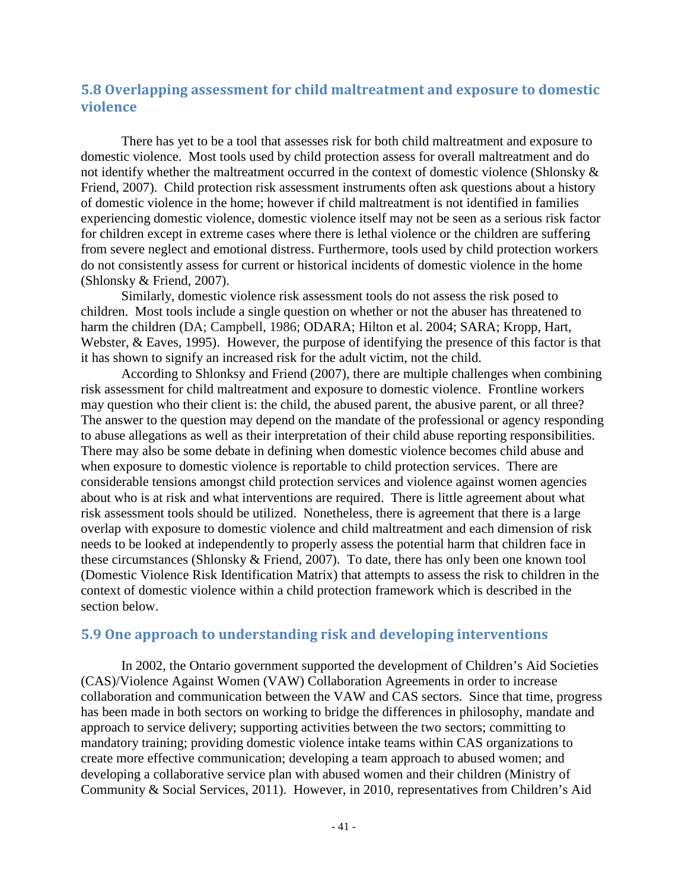# **5.8 Overlapping assessment for child maltreatment and exposure to domestic violence**

There has yet to be a tool that assesses risk for both child maltreatment and exposure to domestic violence. Most tools used by child protection assess for overall maltreatment and do not identify whether the maltreatment occurred in the context of domestic violence (Shlonsky & Friend, 2007). Child protection risk assessment instruments often ask questions about a history of domestic violence in the home; however if child maltreatment is not identified in families experiencing domestic violence, domestic violence itself may not be seen as a serious risk factor for children except in extreme cases where there is lethal violence or the children are suffering from severe neglect and emotional distress. Furthermore, tools used by child protection workers do not consistently assess for current or historical incidents of domestic violence in the home (Shlonsky & Friend, 2007).

Similarly, domestic violence risk assessment tools do not assess the risk posed to children. Most tools include a single question on whether or not the abuser has threatened to harm the children (DA; Campbell, 1986; ODARA; Hilton et al. 2004; SARA; Kropp, Hart, Webster, & Eaves, 1995). However, the purpose of identifying the presence of this factor is that it has shown to signify an increased risk for the adult victim, not the child.

According to Shlonksy and Friend (2007), there are multiple challenges when combining risk assessment for child maltreatment and exposure to domestic violence. Frontline workers may question who their client is: the child, the abused parent, the abusive parent, or all three? The answer to the question may depend on the mandate of the professional or agency responding to abuse allegations as well as their interpretation of their child abuse reporting responsibilities. There may also be some debate in defining when domestic violence becomes child abuse and when exposure to domestic violence is reportable to child protection services. There are considerable tensions amongst child protection services and violence against women agencies about who is at risk and what interventions are required. There is little agreement about what risk assessment tools should be utilized. Nonetheless, there is agreement that there is a large overlap with exposure to domestic violence and child maltreatment and each dimension of risk needs to be looked at independently to properly assess the potential harm that children face in these circumstances (Shlonsky & Friend, 2007). To date, there has only been one known tool (Domestic Violence Risk Identification Matrix) that attempts to assess the risk to children in the context of domestic violence within a child protection framework which is described in the section below.

## **5.9 One approach to understanding risk and developing interventions**

In 2002, the Ontario government supported the development of Children's Aid Societies (CAS)/Violence Against Women (VAW) Collaboration Agreements in order to increase collaboration and communication between the VAW and CAS sectors. Since that time, progress has been made in both sectors on working to bridge the differences in philosophy, mandate and approach to service delivery; supporting activities between the two sectors; committing to mandatory training; providing domestic violence intake teams within CAS organizations to create more effective communication; developing a team approach to abused women; and developing a collaborative service plan with abused women and their children (Ministry of Community & Social Services, 2011). However, in 2010, representatives from Children's Aid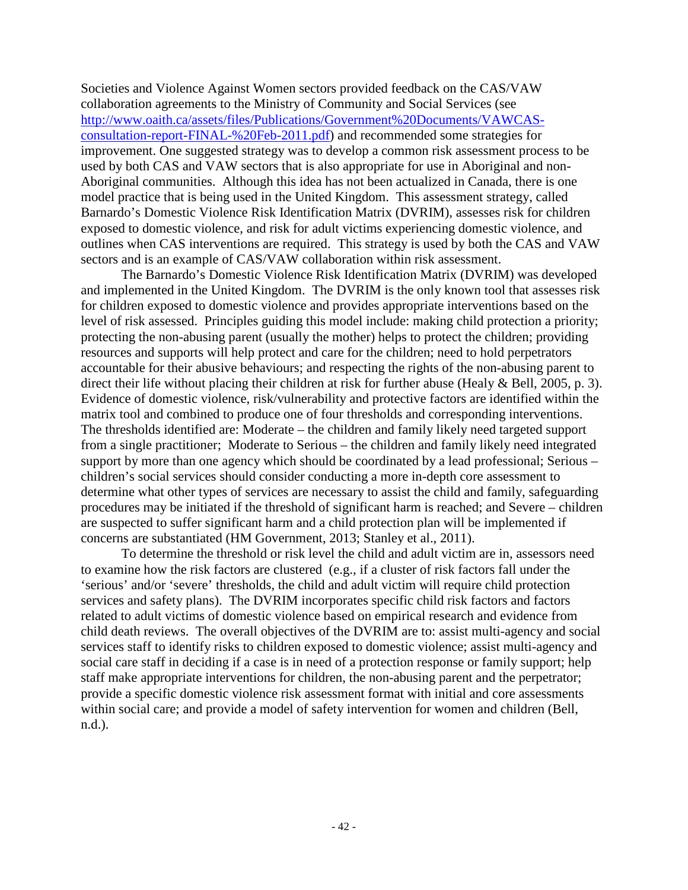Societies and Violence Against Women sectors provided feedback on the CAS/VAW collaboration agreements to the Ministry of Community and Social Services (see [http://www.oaith.ca/assets/files/Publications/Government%20Documents/VAWCAS](http://www.oaith.ca/assets/files/Publications/Government%20Documents/VAWCAS-consultation-report-FINAL-%20Feb-2011.pdf)[consultation-report-FINAL-%20Feb-2011.pdf\)](http://www.oaith.ca/assets/files/Publications/Government%20Documents/VAWCAS-consultation-report-FINAL-%20Feb-2011.pdf) and recommended some strategies for improvement. One suggested strategy was to develop a common risk assessment process to be used by both CAS and VAW sectors that is also appropriate for use in Aboriginal and non-Aboriginal communities. Although this idea has not been actualized in Canada, there is one model practice that is being used in the United Kingdom. This assessment strategy, called Barnardo's Domestic Violence Risk Identification Matrix (DVRIM), assesses risk for children exposed to domestic violence, and risk for adult victims experiencing domestic violence, and outlines when CAS interventions are required. This strategy is used by both the CAS and VAW sectors and is an example of CAS/VAW collaboration within risk assessment.

The Barnardo's Domestic Violence Risk Identification Matrix (DVRIM) was developed and implemented in the United Kingdom. The DVRIM is the only known tool that assesses risk for children exposed to domestic violence and provides appropriate interventions based on the level of risk assessed. Principles guiding this model include: making child protection a priority; protecting the non-abusing parent (usually the mother) helps to protect the children; providing resources and supports will help protect and care for the children; need to hold perpetrators accountable for their abusive behaviours; and respecting the rights of the non-abusing parent to direct their life without placing their children at risk for further abuse (Healy & Bell, 2005, p. 3). Evidence of domestic violence, risk/vulnerability and protective factors are identified within the matrix tool and combined to produce one of four thresholds and corresponding interventions. The thresholds identified are: Moderate – the children and family likely need targeted support from a single practitioner; Moderate to Serious – the children and family likely need integrated support by more than one agency which should be coordinated by a lead professional; Serious – children's social services should consider conducting a more in-depth core assessment to determine what other types of services are necessary to assist the child and family, safeguarding procedures may be initiated if the threshold of significant harm is reached; and Severe – children are suspected to suffer significant harm and a child protection plan will be implemented if concerns are substantiated (HM Government, 2013; Stanley et al., 2011).

To determine the threshold or risk level the child and adult victim are in, assessors need to examine how the risk factors are clustered (e.g., if a cluster of risk factors fall under the 'serious' and/or 'severe' thresholds, the child and adult victim will require child protection services and safety plans). The DVRIM incorporates specific child risk factors and factors related to adult victims of domestic violence based on empirical research and evidence from child death reviews. The overall objectives of the DVRIM are to: assist multi-agency and social services staff to identify risks to children exposed to domestic violence; assist multi-agency and social care staff in deciding if a case is in need of a protection response or family support; help staff make appropriate interventions for children, the non-abusing parent and the perpetrator; provide a specific domestic violence risk assessment format with initial and core assessments within social care; and provide a model of safety intervention for women and children (Bell, n.d.).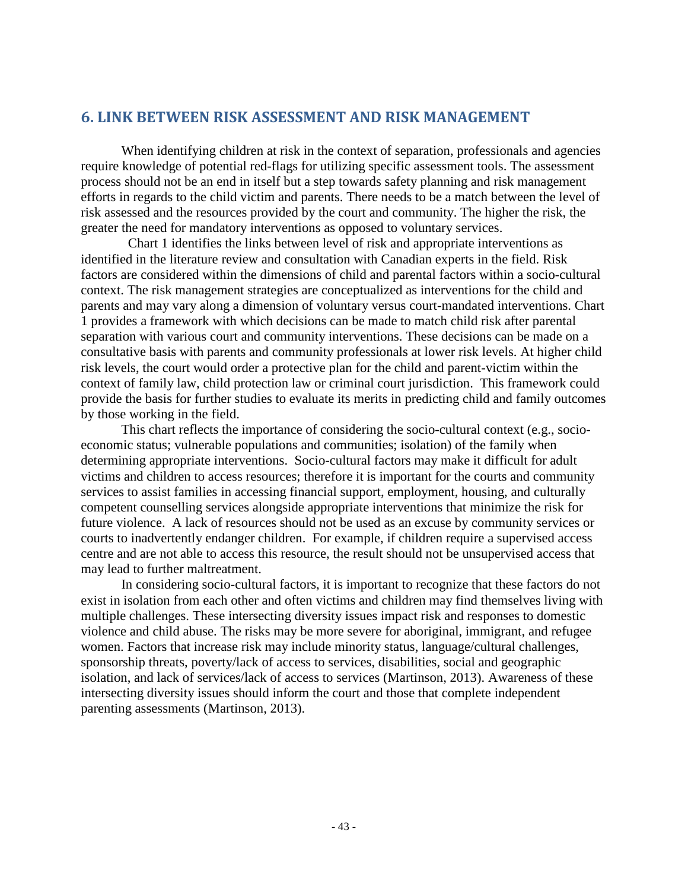# **6. LINK BETWEEN RISK ASSESSMENT AND RISK MANAGEMENT**

When identifying children at risk in the context of separation, professionals and agencies require knowledge of potential red-flags for utilizing specific assessment tools. The assessment process should not be an end in itself but a step towards safety planning and risk management efforts in regards to the child victim and parents. There needs to be a match between the level of risk assessed and the resources provided by the court and community. The higher the risk, the greater the need for mandatory interventions as opposed to voluntary services.

 Chart 1 identifies the links between level of risk and appropriate interventions as identified in the literature review and consultation with Canadian experts in the field. Risk factors are considered within the dimensions of child and parental factors within a socio-cultural context. The risk management strategies are conceptualized as interventions for the child and parents and may vary along a dimension of voluntary versus court-mandated interventions. Chart 1 provides a framework with which decisions can be made to match child risk after parental separation with various court and community interventions. These decisions can be made on a consultative basis with parents and community professionals at lower risk levels. At higher child risk levels, the court would order a protective plan for the child and parent-victim within the context of family law, child protection law or criminal court jurisdiction. This framework could provide the basis for further studies to evaluate its merits in predicting child and family outcomes by those working in the field.

This chart reflects the importance of considering the socio-cultural context (e.g., socioeconomic status; vulnerable populations and communities; isolation) of the family when determining appropriate interventions. Socio-cultural factors may make it difficult for adult victims and children to access resources; therefore it is important for the courts and community services to assist families in accessing financial support, employment, housing, and culturally competent counselling services alongside appropriate interventions that minimize the risk for future violence. A lack of resources should not be used as an excuse by community services or courts to inadvertently endanger children. For example, if children require a supervised access centre and are not able to access this resource, the result should not be unsupervised access that may lead to further maltreatment.

In considering socio-cultural factors, it is important to recognize that these factors do not exist in isolation from each other and often victims and children may find themselves living with multiple challenges. These intersecting diversity issues impact risk and responses to domestic violence and child abuse. The risks may be more severe for aboriginal, immigrant, and refugee women. Factors that increase risk may include minority status, language/cultural challenges, sponsorship threats, poverty/lack of access to services, disabilities, social and geographic isolation, and lack of services/lack of access to services (Martinson, 2013). Awareness of these intersecting diversity issues should inform the court and those that complete independent parenting assessments (Martinson, 2013).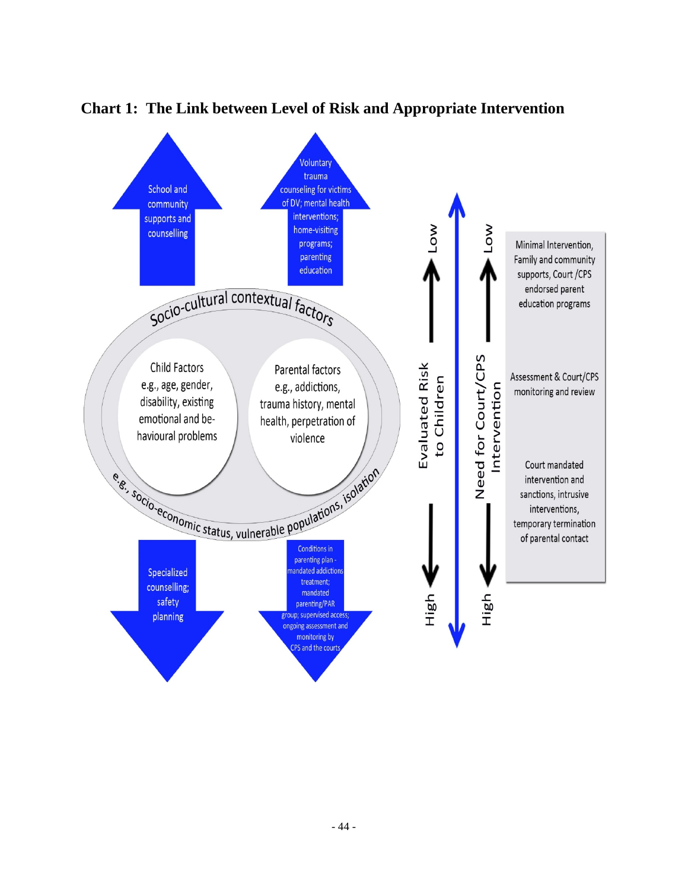

# **Chart 1: The Link between Level of Risk and Appropriate Intervention**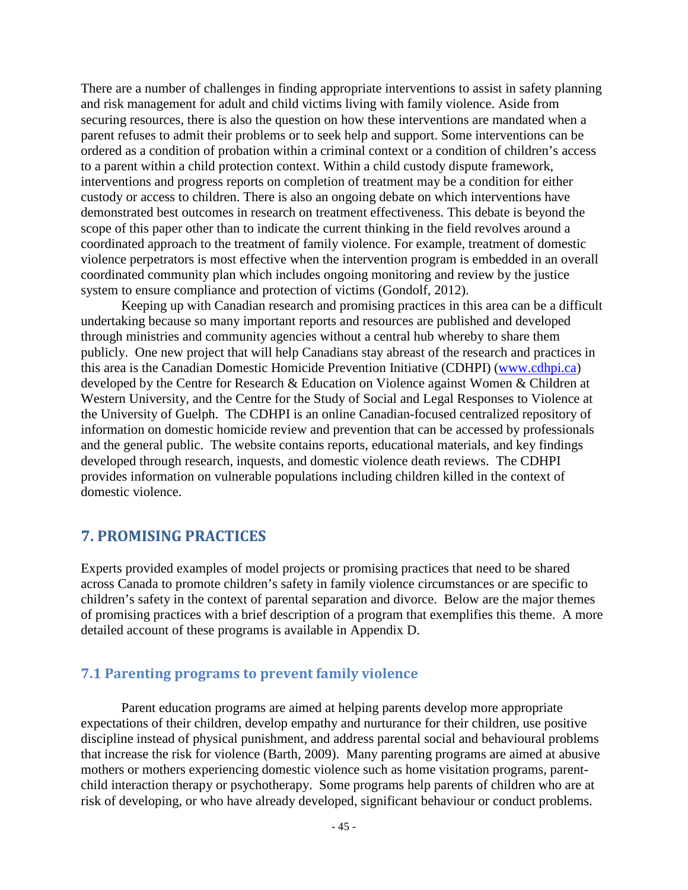There are a number of challenges in finding appropriate interventions to assist in safety planning and risk management for adult and child victims living with family violence. Aside from securing resources, there is also the question on how these interventions are mandated when a parent refuses to admit their problems or to seek help and support. Some interventions can be ordered as a condition of probation within a criminal context or a condition of children's access to a parent within a child protection context. Within a child custody dispute framework, interventions and progress reports on completion of treatment may be a condition for either custody or access to children. There is also an ongoing debate on which interventions have demonstrated best outcomes in research on treatment effectiveness. This debate is beyond the scope of this paper other than to indicate the current thinking in the field revolves around a coordinated approach to the treatment of family violence. For example, treatment of domestic violence perpetrators is most effective when the intervention program is embedded in an overall coordinated community plan which includes ongoing monitoring and review by the justice system to ensure compliance and protection of victims (Gondolf, 2012).

Keeping up with Canadian research and promising practices in this area can be a difficult undertaking because so many important reports and resources are published and developed through ministries and community agencies without a central hub whereby to share them publicly. One new project that will help Canadians stay abreast of the research and practices in this area is the Canadian Domestic Homicide Prevention Initiative (CDHPI) [\(www.cdhpi.ca\)](http://www.cdhpi.ca/) developed by the Centre for Research & Education on Violence against Women & Children at Western University, and the Centre for the Study of Social and Legal Responses to Violence at the University of Guelph. The CDHPI is an online Canadian-focused centralized repository of information on domestic homicide review and prevention that can be accessed by professionals and the general public. The website contains reports, educational materials, and key findings developed through research, inquests, and domestic violence death reviews. The CDHPI provides information on vulnerable populations including children killed in the context of domestic violence.

# **7. PROMISING PRACTICES**

Experts provided examples of model projects or promising practices that need to be shared across Canada to promote children's safety in family violence circumstances or are specific to children's safety in the context of parental separation and divorce. Below are the major themes of promising practices with a brief description of a program that exemplifies this theme. A more detailed account of these programs is available in Appendix D.

## **7.1 Parenting programs to prevent family violence**

Parent education programs are aimed at helping parents develop more appropriate expectations of their children, develop empathy and nurturance for their children, use positive discipline instead of physical punishment, and address parental social and behavioural problems that increase the risk for violence (Barth, 2009). Many parenting programs are aimed at abusive mothers or mothers experiencing domestic violence such as home visitation programs, parentchild interaction therapy or psychotherapy. Some programs help parents of children who are at risk of developing, or who have already developed, significant behaviour or conduct problems.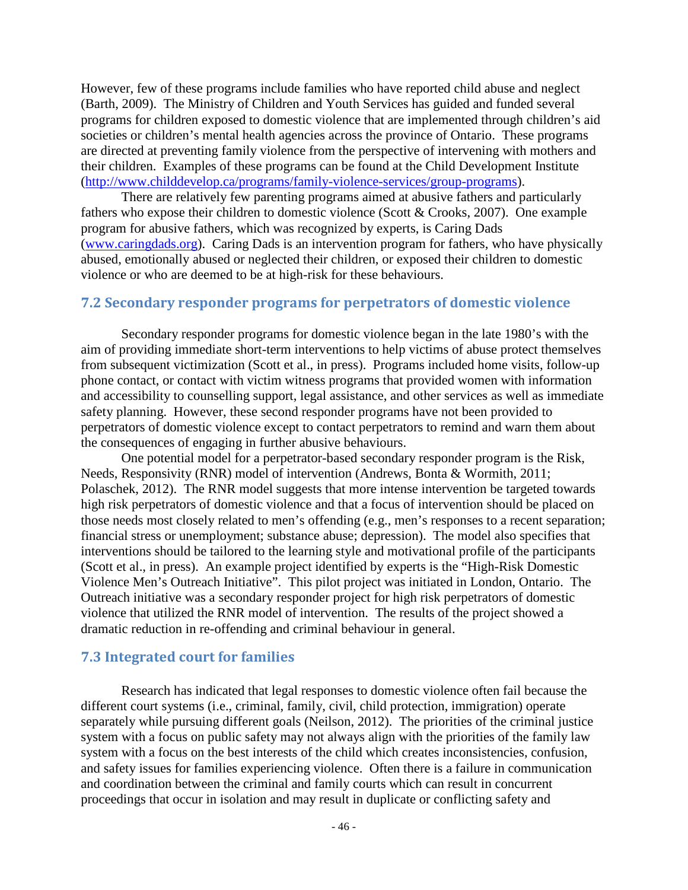However, few of these programs include families who have reported child abuse and neglect (Barth, 2009). The Ministry of Children and Youth Services has guided and funded several programs for children exposed to domestic violence that are implemented through children's aid societies or children's mental health agencies across the province of Ontario. These programs are directed at preventing family violence from the perspective of intervening with mothers and their children. Examples of these programs can be found at the Child Development Institute [\(http://www.childdevelop.ca/programs/family-violence-services/group-programs\)](http://www.childdevelop.ca/programs/family-violence-services/group-programs).

There are relatively few parenting programs aimed at abusive fathers and particularly fathers who expose their children to domestic violence (Scott & Crooks, 2007). One example program for abusive fathers, which was recognized by experts, is Caring Dads [\(www.caringdads.org\)](http://www.caringdads.org/). Caring Dads is an intervention program for fathers, who have physically abused, emotionally abused or neglected their children, or exposed their children to domestic violence or who are deemed to be at high-risk for these behaviours.

#### **7.2 Secondary responder programs for perpetrators of domestic violence**

Secondary responder programs for domestic violence began in the late 1980's with the aim of providing immediate short-term interventions to help victims of abuse protect themselves from subsequent victimization (Scott et al., in press). Programs included home visits, follow-up phone contact, or contact with victim witness programs that provided women with information and accessibility to counselling support, legal assistance, and other services as well as immediate safety planning. However, these second responder programs have not been provided to perpetrators of domestic violence except to contact perpetrators to remind and warn them about the consequences of engaging in further abusive behaviours.

One potential model for a perpetrator-based secondary responder program is the Risk, Needs, Responsivity (RNR) model of intervention (Andrews, Bonta & Wormith, 2011; Polaschek, 2012). The RNR model suggests that more intense intervention be targeted towards high risk perpetrators of domestic violence and that a focus of intervention should be placed on those needs most closely related to men's offending (e.g., men's responses to a recent separation; financial stress or unemployment; substance abuse; depression). The model also specifies that interventions should be tailored to the learning style and motivational profile of the participants (Scott et al., in press). An example project identified by experts is the "High-Risk Domestic Violence Men's Outreach Initiative". This pilot project was initiated in London, Ontario. The Outreach initiative was a secondary responder project for high risk perpetrators of domestic violence that utilized the RNR model of intervention. The results of the project showed a dramatic reduction in re-offending and criminal behaviour in general.

## **7.3 Integrated court for families**

Research has indicated that legal responses to domestic violence often fail because the different court systems (i.e., criminal, family, civil, child protection, immigration) operate separately while pursuing different goals (Neilson, 2012). The priorities of the criminal justice system with a focus on public safety may not always align with the priorities of the family law system with a focus on the best interests of the child which creates inconsistencies, confusion, and safety issues for families experiencing violence. Often there is a failure in communication and coordination between the criminal and family courts which can result in concurrent proceedings that occur in isolation and may result in duplicate or conflicting safety and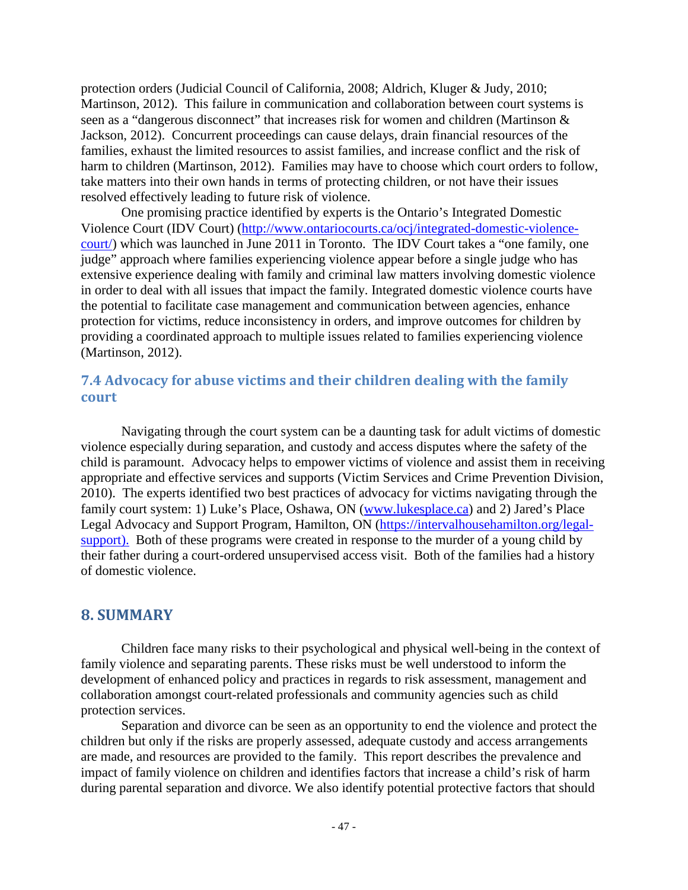protection orders (Judicial Council of California, 2008; Aldrich, Kluger & Judy, 2010; Martinson, 2012). This failure in communication and collaboration between court systems is seen as a "dangerous disconnect" that increases risk for women and children (Martinson & Jackson, 2012). Concurrent proceedings can cause delays, drain financial resources of the families, exhaust the limited resources to assist families, and increase conflict and the risk of harm to children (Martinson, 2012). Families may have to choose which court orders to follow, take matters into their own hands in terms of protecting children, or not have their issues resolved effectively leading to future risk of violence.

One promising practice identified by experts is the Ontario's Integrated Domestic Violence Court (IDV Court) [\(http://www.ontariocourts.ca/ocj/integrated-domestic-violence](http://www.ontariocourts.ca/ocj/integrated-domestic-violence-court/)[court/\)](http://www.ontariocourts.ca/ocj/integrated-domestic-violence-court/) which was launched in June 2011 in Toronto. The IDV Court takes a "one family, one judge" approach where families experiencing violence appear before a single judge who has extensive experience dealing with family and criminal law matters involving domestic violence in order to deal with all issues that impact the family. Integrated domestic violence courts have the potential to facilitate case management and communication between agencies, enhance protection for victims, reduce inconsistency in orders, and improve outcomes for children by providing a coordinated approach to multiple issues related to families experiencing violence (Martinson, 2012).

# **7.4 Advocacy for abuse victims and their children dealing with the family court**

Navigating through the court system can be a daunting task for adult victims of domestic violence especially during separation, and custody and access disputes where the safety of the child is paramount. Advocacy helps to empower victims of violence and assist them in receiving appropriate and effective services and supports (Victim Services and Crime Prevention Division, 2010). The experts identified two best practices of advocacy for victims navigating through the family court system: 1) Luke's Place, Oshawa, ON [\(www.lukesplace.ca\)](http://www.lukesplace.ca/) and 2) Jared's Place Legal Advocacy and Support Program, Hamilton, ON [\(https://intervalhousehamilton.org/legal](https://intervalhousehamilton.org/legal-support)[support\)](https://intervalhousehamilton.org/legal-support). Both of these programs were created in response to the murder of a young child by their father during a court-ordered unsupervised access visit. Both of the families had a history of domestic violence.

## **8. SUMMARY**

Children face many risks to their psychological and physical well-being in the context of family violence and separating parents. These risks must be well understood to inform the development of enhanced policy and practices in regards to risk assessment, management and collaboration amongst court-related professionals and community agencies such as child protection services.

Separation and divorce can be seen as an opportunity to end the violence and protect the children but only if the risks are properly assessed, adequate custody and access arrangements are made, and resources are provided to the family. This report describes the prevalence and impact of family violence on children and identifies factors that increase a child's risk of harm during parental separation and divorce. We also identify potential protective factors that should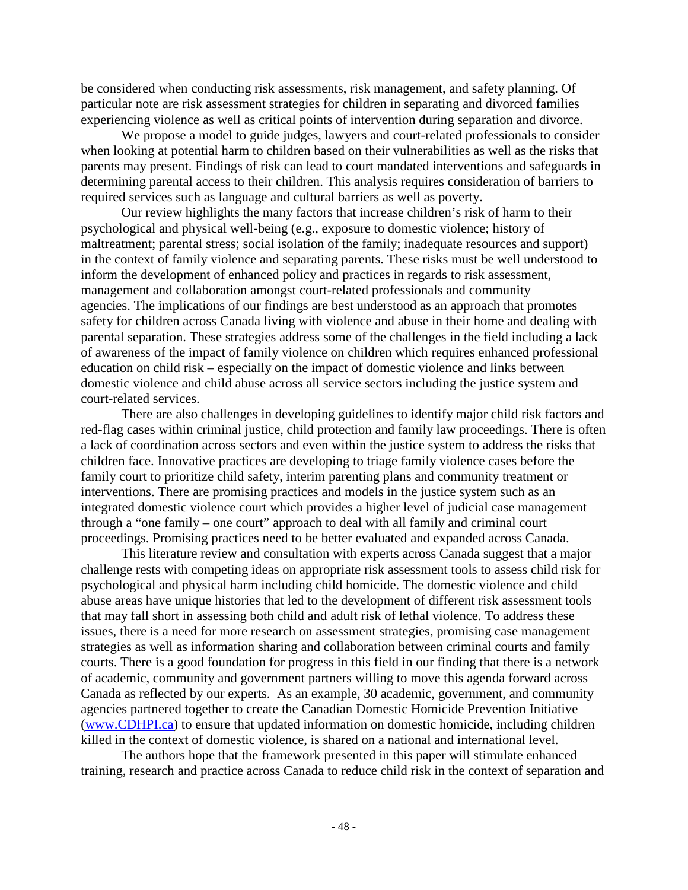be considered when conducting risk assessments, risk management, and safety planning. Of particular note are risk assessment strategies for children in separating and divorced families experiencing violence as well as critical points of intervention during separation and divorce.

We propose a model to guide judges, lawyers and court-related professionals to consider when looking at potential harm to children based on their vulnerabilities as well as the risks that parents may present. Findings of risk can lead to court mandated interventions and safeguards in determining parental access to their children. This analysis requires consideration of barriers to required services such as language and cultural barriers as well as poverty.

Our review highlights the many factors that increase children's risk of harm to their psychological and physical well-being (e.g., exposure to domestic violence; history of maltreatment; parental stress; social isolation of the family; inadequate resources and support) in the context of family violence and separating parents. These risks must be well understood to inform the development of enhanced policy and practices in regards to risk assessment, management and collaboration amongst court-related professionals and community agencies. The implications of our findings are best understood as an approach that promotes safety for children across Canada living with violence and abuse in their home and dealing with parental separation. These strategies address some of the challenges in the field including a lack of awareness of the impact of family violence on children which requires enhanced professional education on child risk – especially on the impact of domestic violence and links between domestic violence and child abuse across all service sectors including the justice system and court-related services.

There are also challenges in developing guidelines to identify major child risk factors and red-flag cases within criminal justice, child protection and family law proceedings. There is often a lack of coordination across sectors and even within the justice system to address the risks that children face. Innovative practices are developing to triage family violence cases before the family court to prioritize child safety, interim parenting plans and community treatment or interventions. There are promising practices and models in the justice system such as an integrated domestic violence court which provides a higher level of judicial case management through a "one family – one court" approach to deal with all family and criminal court proceedings. Promising practices need to be better evaluated and expanded across Canada.

This literature review and consultation with experts across Canada suggest that a major challenge rests with competing ideas on appropriate risk assessment tools to assess child risk for psychological and physical harm including child homicide. The domestic violence and child abuse areas have unique histories that led to the development of different risk assessment tools that may fall short in assessing both child and adult risk of lethal violence. To address these issues, there is a need for more research on assessment strategies, promising case management strategies as well as information sharing and collaboration between criminal courts and family courts. There is a good foundation for progress in this field in our finding that there is a network of academic, community and government partners willing to move this agenda forward across Canada as reflected by our experts. As an example, 30 academic, government, and community agencies partnered together to create the Canadian Domestic Homicide Prevention Initiative [\(www.CDHPI.ca\)](http://www.cdhpi.ca/) to ensure that updated information on domestic homicide, including children killed in the context of domestic violence, is shared on a national and international level.

The authors hope that the framework presented in this paper will stimulate enhanced training, research and practice across Canada to reduce child risk in the context of separation and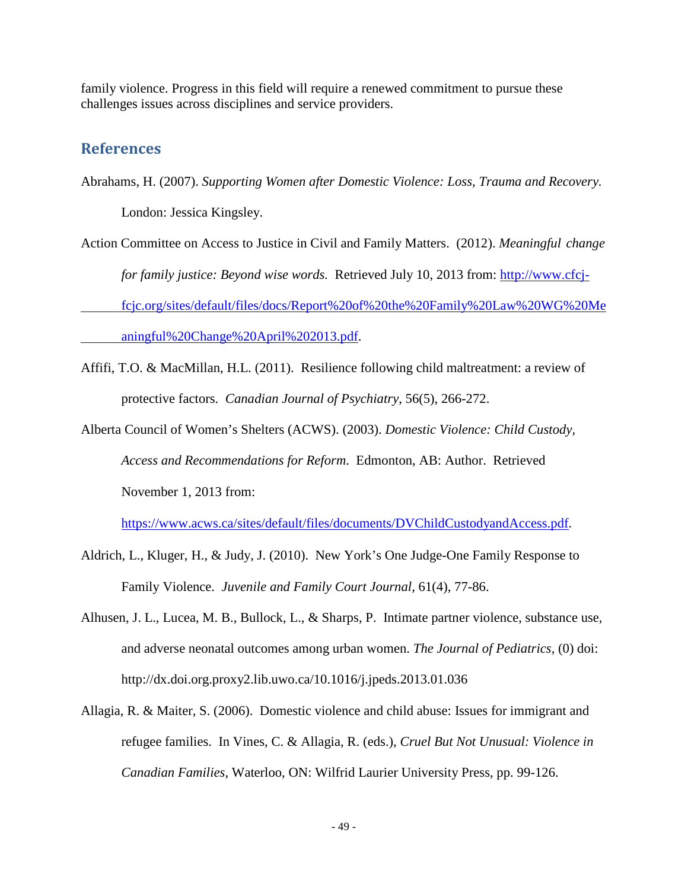family violence. Progress in this field will require a renewed commitment to pursue these challenges issues across disciplines and service providers.

# **References**

Abrahams, H. (2007). *Supporting Women after Domestic Violence: Loss, Trauma and Recovery.* London: Jessica Kingsley.

Action Committee on Access to Justice in Civil and Family Matters. (2012). *Meaningful change* 

*for family justice: Beyond wise words.* Retrieved July 10, 2013 from: http://www.cfcj-

fcjc.org/sites/default/files/docs/Report%20of%20the%20Family%20Law%20WG%20Me

aningful%20Change%20April%202013.pdf.

- Affifi, T.O. & MacMillan, H.L. (2011). Resilience following child maltreatment: a review of protective factors. *Canadian Journal of Psychiatry*, 56(5), 266-272.
- Alberta Council of Women's Shelters (ACWS). (2003). *Domestic Violence: Child Custody, Access and Recommendations for Reform*. Edmonton, AB: Author. Retrieved November 1, 2013 from:

<https://www.acws.ca/sites/default/files/documents/DVChildCustodyandAccess.pdf>.

- Aldrich, L., Kluger, H., & Judy, J. (2010). New York's One Judge-One Family Response to Family Violence. *Juvenile and Family Court Journal*, 61(4), 77-86.
- Alhusen, J. L., Lucea, M. B., Bullock, L., & Sharps, P. Intimate partner violence, substance use, and adverse neonatal outcomes among urban women. *The Journal of Pediatrics,* (0) doi: <http://dx.doi.org.proxy2.lib.uwo.ca/10.1016/j.jpeds.2013.01.036>
- Allagia, R. & Maiter, S. (2006). Domestic violence and child abuse: Issues for immigrant and refugee families. In Vines, C. & Allagia, R. (eds.), *Cruel But Not Unusual: Violence in Canadian Families*, Waterloo, ON: Wilfrid Laurier University Press, pp. 99-126.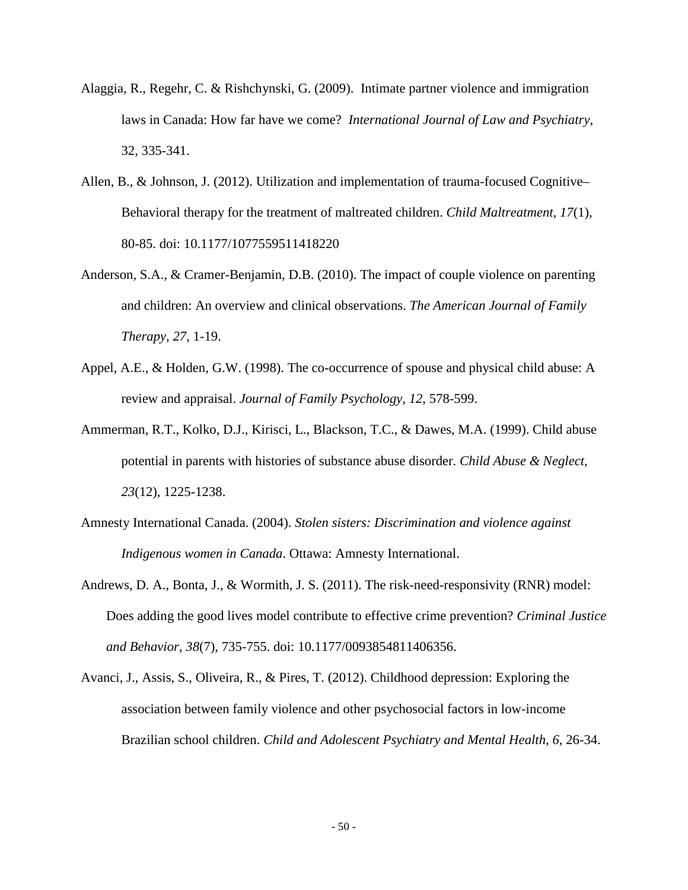- Alaggia, R., Regehr, C. & Rishchynski, G. (2009). Intimate partner violence and immigration laws in Canada: How far have we come? *International Journal of Law and Psychiatry*, 32, 335-341.
- Allen, B., & Johnson, J. (2012). Utilization and implementation of trauma-focused Cognitive– Behavioral therapy for the treatment of maltreated children. *Child Maltreatment, 17*(1), 80-85. doi: 10.1177/1077559511418220
- Anderson, S.A., & Cramer-Benjamin, D.B. (2010). The impact of couple violence on parenting and children: An overview and clinical observations. *The American Journal of Family Therapy, 27*, 1-19.
- Appel, A.E., & Holden, G.W. (1998). The co-occurrence of spouse and physical child abuse: A review and appraisal. *Journal of Family Psychology, 12*, 578-599.
- Ammerman, R.T., Kolko, D.J., Kirisci, L., Blackson, T.C., & Dawes, M.A. (1999). Child abuse potential in parents with histories of substance abuse disorder. *Child Abuse & Neglect, 23*(12), 1225-1238.
- Amnesty International Canada. (2004). *Stolen sisters: Discrimination and violence against Indigenous women in Canada*. Ottawa: Amnesty International.
- Andrews, D. A., Bonta, J., & Wormith, J. S. (2011). The risk-need-responsivity (RNR) model: Does adding the good lives model contribute to effective crime prevention? *Criminal Justice and Behavior, 38*(7), 735-755. doi: 10.1177/0093854811406356.
- Avanci, J., Assis, S., Oliveira, R., & Pires, T. (2012). Childhood depression: Exploring the association between family violence and other psychosocial factors in low-income Brazilian school children. *Child and Adolescent Psychiatry and Mental Health*, 6, 26-34.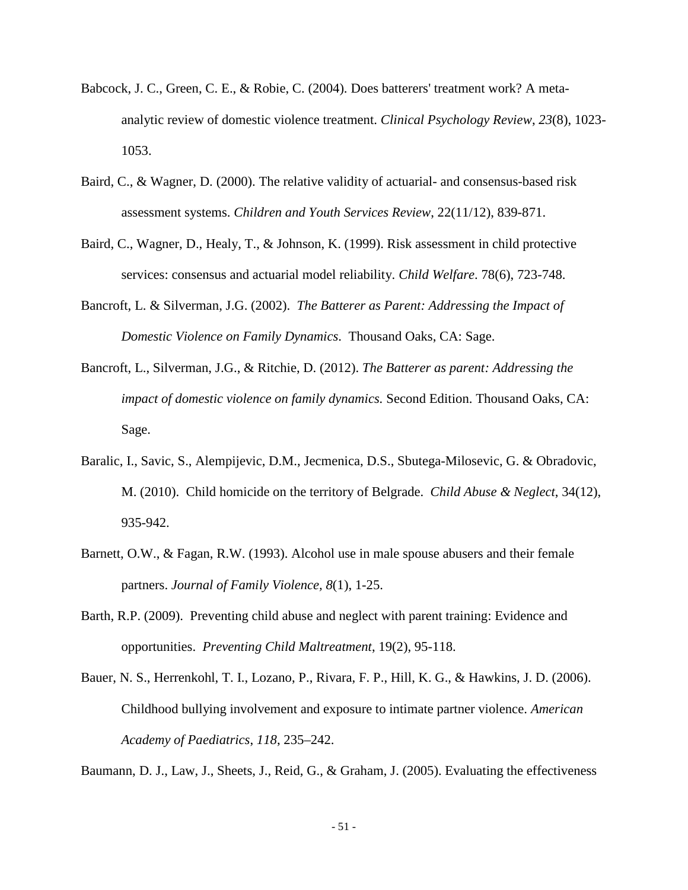- Babcock, J. C., Green, C. E., & Robie, C. (2004). Does batterers' treatment work? A metaanalytic review of domestic violence treatment. *Clinical Psychology Review*, *23*(8), 1023- 1053.
- Baird, C., & Wagner, D. (2000). The relative validity of actuarial- and consensus-based risk assessment systems. *Children and Youth Services Review*, 22(11/12), 839-871.
- Baird, C., Wagner, D., Healy, T., & Johnson, K. (1999). Risk assessment in child protective services: consensus and actuarial model reliability. *Child Welfare*. 78(6), 723-748.
- Bancroft, L. & Silverman, J.G. (2002). *The Batterer as Parent: Addressing the Impact of Domestic Violence on Family Dynamics*. Thousand Oaks, CA: Sage.
- Bancroft, L., Silverman, J.G., & Ritchie, D. (2012). *The Batterer as parent: Addressing the impact of domestic violence on family dynamics.* Second Edition. Thousand Oaks, CA: Sage.
- Baralic, I., Savic, S., Alempijevic, D.M., Jecmenica, D.S., Sbutega-Milosevic, G. & Obradovic, M. (2010). Child homicide on the territory of Belgrade. *Child Abuse & Neglect*, 34(12), 935-942.
- Barnett, O.W., & Fagan, R.W. (1993). Alcohol use in male spouse abusers and their female partners. *Journal of Family Violence, 8*(1), 1-25.
- Barth, R.P. (2009). Preventing child abuse and neglect with parent training: Evidence and opportunities. *Preventing Child Maltreatment*, 19(2), 95-118.
- Bauer, N. S., Herrenkohl, T. I., Lozano, P., Rivara, F. P., Hill, K. G., & Hawkins, J. D. (2006). Childhood bullying involvement and exposure to intimate partner violence. *American Academy of Paediatrics*, *118*, 235–242.

Baumann, D. J., Law, J., Sheets, J., Reid, G., & Graham, J. (2005). Evaluating the effectiveness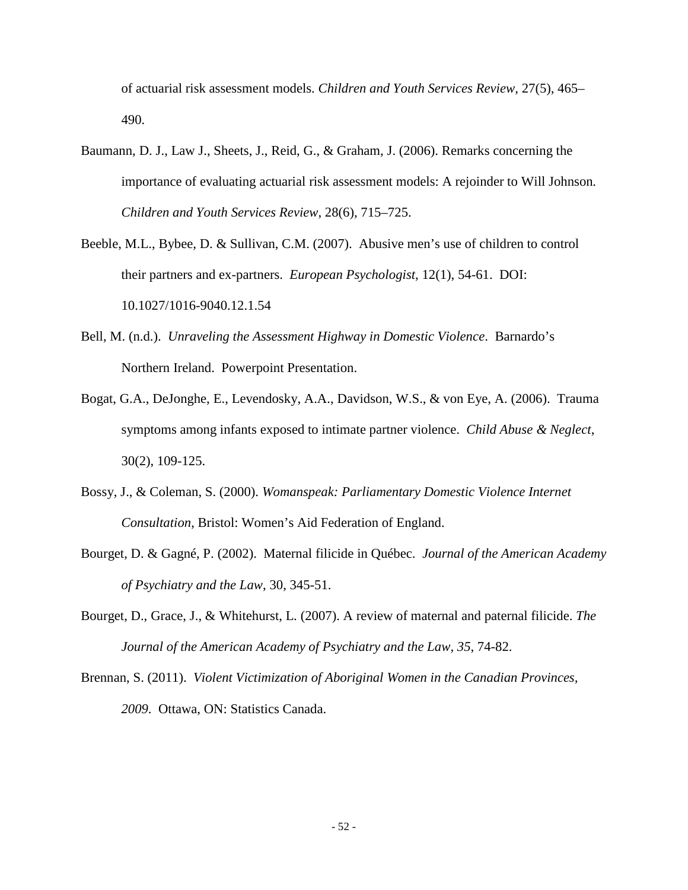of actuarial risk assessment models. *Children and Youth Services Review*, 27(5), 465– 490.

- Baumann, D. J., Law J., Sheets, J., Reid, G., & Graham, J. (2006). Remarks concerning the importance of evaluating actuarial risk assessment models: A rejoinder to Will Johnson*. Children and Youth Services Review*, 28(6), 715–725.
- Beeble, M.L., Bybee, D. & Sullivan, C.M. (2007). Abusive men's use of children to control their partners and ex-partners. *European Psychologist*, 12(1), 54-61. DOI: 10.1027/1016-9040.12.1.54
- Bell, M. (n.d.). *Unraveling the Assessment Highway in Domestic Violence*. Barnardo's Northern Ireland. Powerpoint Presentation.
- Bogat, G.A., DeJonghe, E., Levendosky, A.A., Davidson, W.S., & von Eye, A. (2006). Trauma symptoms among infants exposed to intimate partner violence. *Child Abuse & Neglect*, 30(2), 109-125.
- Bossy, J., & Coleman, S. (2000). *Womanspeak: Parliamentary Domestic Violence Internet Consultation*, Bristol: Women's Aid Federation of England.
- Bourget, D. & Gagné, P. (2002). Maternal filicide in Québec. *Journal of the American Academy of Psychiatry and the Law*, 30, 345-51.
- Bourget, D., Grace, J., & Whitehurst, L. (2007). A review of maternal and paternal filicide. *The Journal of the American Academy of Psychiatry and the Law, 35*, 74-82.
- Brennan, S. (2011). *Violent Victimization of Aboriginal Women in the Canadian Provinces, 2009*. Ottawa, ON: Statistics Canada.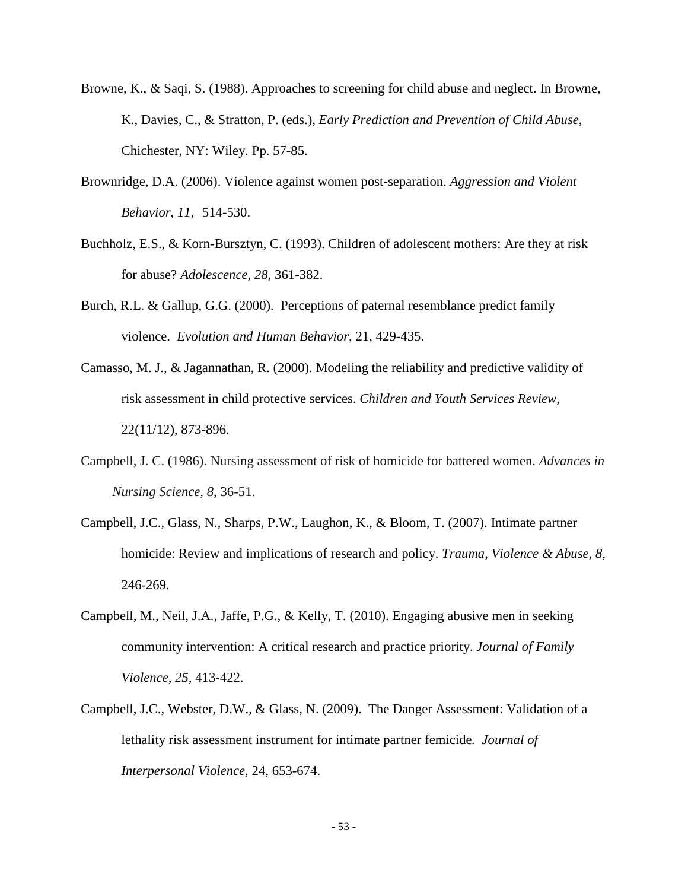- Browne, K., & Saqi, S. (1988). Approaches to screening for child abuse and neglect. In Browne, K., Davies, C., & Stratton, P. (eds.), *Early Prediction and Prevention of Child Abuse*, Chichester, NY: Wiley. Pp. 57-85.
- Brownridge, D.A. (2006). Violence against women post-separation. *Aggression and Violent Behavior, 11*, 514-530.
- Buchholz, E.S., & Korn-Bursztyn, C. (1993). Children of adolescent mothers: Are they at risk for abuse? *Adolescence, 28*, 361-382.
- Burch, R.L. & Gallup, G.G. (2000). Perceptions of paternal resemblance predict family violence. *Evolution and Human Behavior*, 21, 429-435.
- Camasso, M. J., & Jagannathan, R. (2000). Modeling the reliability and predictive validity of risk assessment in child protective services. *Children and Youth Services Review*, 22(11/12), 873-896.
- Campbell, J. C. (1986). Nursing assessment of risk of homicide for battered women. *Advances in Nursing Science, 8*, 36-51.
- Campbell, J.C., Glass, N., Sharps, P.W., Laughon, K., & Bloom, T. (2007). Intimate partner homicide: Review and implications of research and policy. *Trauma, Violence & Abuse, 8,* 246-269.
- Campbell, M., Neil, J.A., Jaffe, P.G., & Kelly, T. (2010). Engaging abusive men in seeking community intervention: A critical research and practice priority. *Journal of Family Violence, 25*, 413-422.
- Campbell, J.C., Webster, D.W., & Glass, N. (2009). The Danger Assessment: Validation of a lethality risk assessment instrument for intimate partner femicide*. Journal of Interpersonal Violence*, 24, 653-674.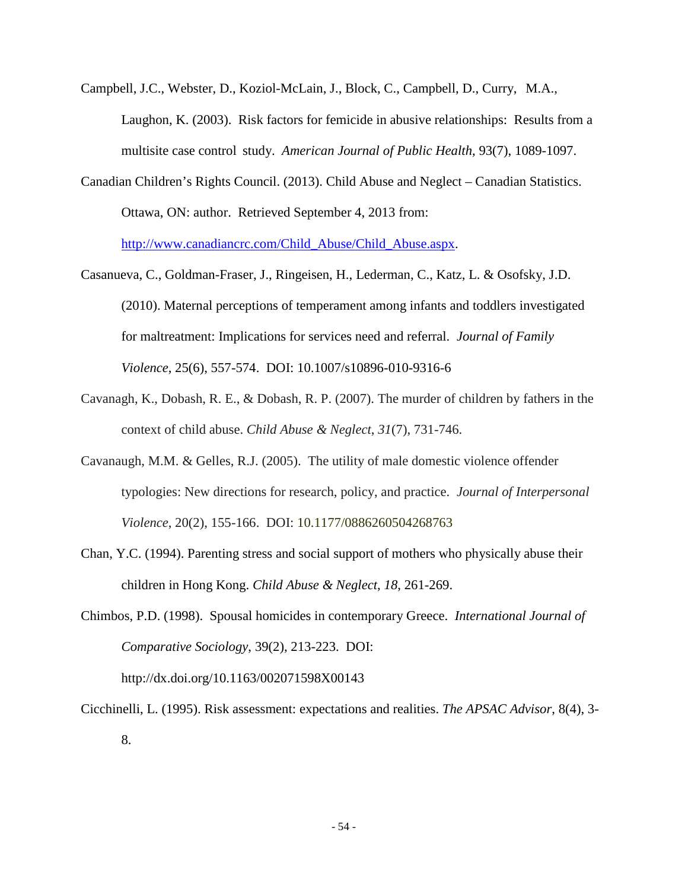- Campbell, J.C., Webster, D., Koziol-McLain, J., Block, C., Campbell, D., Curry, M.A., Laughon, K. (2003). Risk factors for femicide in abusive relationships: Results from a multisite case control study. *American Journal of Public Health,* 93(7), 1089-1097.
- Canadian Children's Rights Council. (2013). Child Abuse and Neglect Canadian Statistics. Ottawa, ON: author. Retrieved September 4, 2013 from: [http://www.canadiancrc.com/Child\\_Abuse/Child\\_Abuse.aspx.](http://www.canadiancrc.com/Child_Abuse/Child_Abuse.aspx)
- Casanueva, C., Goldman-Fraser, J., Ringeisen, H., Lederman, C., Katz, L. & Osofsky, J.D. (2010). Maternal perceptions of temperament among infants and toddlers investigated for maltreatment: Implications for services need and referral. *Journal of Family Violence*, 25(6), 557-574. DOI: 10.1007/s10896-010-9316-6
- Cavanagh, K., Dobash, R. E., & Dobash, R. P. (2007). The murder of children by fathers in the context of child abuse. *Child Abuse & Neglect*, *31*(7), 731-746.
- Cavanaugh, M.M. & Gelles, R.J. (2005). The utility of male domestic violence offender typologies: New directions for research, policy, and practice. *Journal of Interpersonal Violence*, 20(2), 155-166. DOI: 10.1177/0886260504268763
- Chan, Y.C. (1994). Parenting stress and social support of mothers who physically abuse their children in Hong Kong. *Child Abuse & Neglect, 18*, 261-269.
- Chimbos, P.D. (1998). Spousal homicides in contemporary Greece. *International Journal of Comparative Sociology*, 39(2), 213-223. DOI: <http://dx.doi.org/10.1163/002071598X00143>
- Cicchinelli, L. (1995). Risk assessment: expectations and realities. *The APSAC Advisor*, 8(4), 3- 8.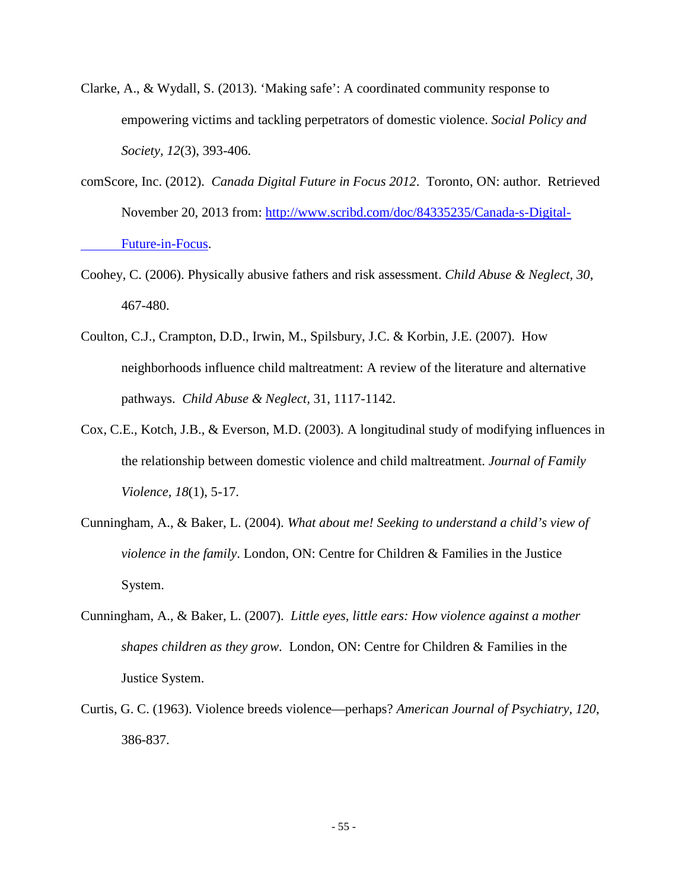- Clarke, A., & Wydall, S. (2013). 'Making safe': A coordinated community response to empowering victims and tackling perpetrators of domestic violence. *Social Policy and Society, 12*(3), 393-406.
- comScore, Inc. (2012). *Canada Digital Future in Focus 2012*. Toronto, ON: author. Retrieved November 20, 2013 from: [http://www.scribd.com/doc/84335235/Canada-s-Digital-](http://www.scribd.com/doc/84335235/Canada-s-Digital-%09Future-in-Focus)[Future-in-Focus.](http://www.scribd.com/doc/84335235/Canada-s-Digital-%09Future-in-Focus)
- Coohey, C. (2006). Physically abusive fathers and risk assessment. *Child Abuse & Neglect, 30*, 467-480.
- Coulton, C.J., Crampton, D.D., Irwin, M., Spilsbury, J.C. & Korbin, J.E. (2007). How neighborhoods influence child maltreatment: A review of the literature and alternative pathways. *Child Abuse & Neglect,* 31, 1117-1142.
- Cox, C.E., Kotch, J.B., & Everson, M.D. (2003). A longitudinal study of modifying influences in the relationship between domestic violence and child maltreatment. *Journal of Family Violence, 18*(1), 5-17.
- Cunningham, A., & Baker, L. (2004). *What about me! Seeking to understand a child's view of violence in the family*. London, ON: Centre for Children & Families in the Justice System.
- Cunningham, A., & Baker, L. (2007). *Little eyes, little ears: How violence against a mother shapes children as they grow*. London, ON: Centre for Children & Families in the Justice System.
- Curtis, G. C. (1963). Violence breeds violence—perhaps? *American Journal of Psychiatry, 120*, 386-837.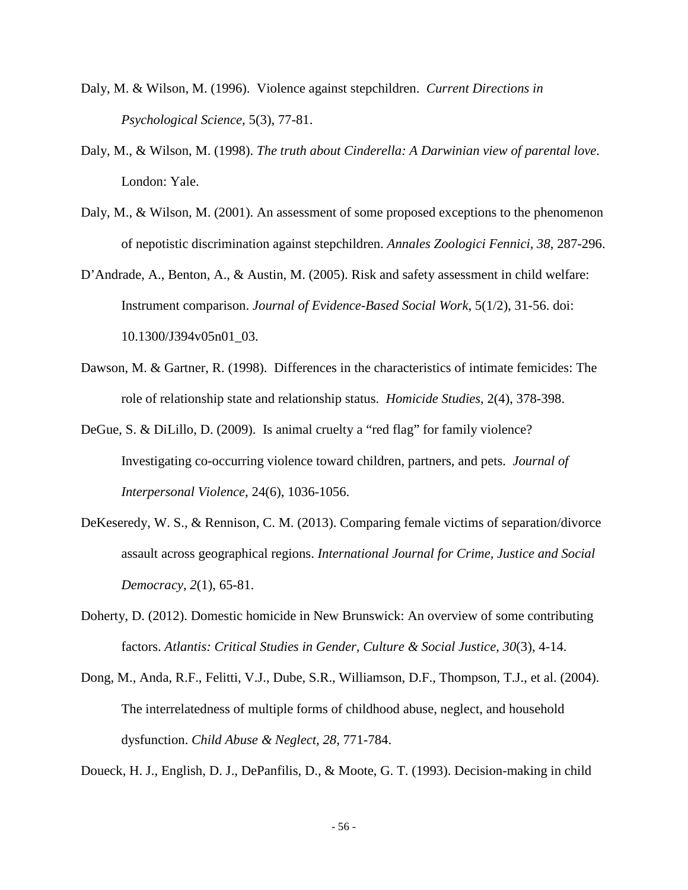- Daly, M. & Wilson, M. (1996). Violence against stepchildren. *Current Directions in Psychological Science,* 5(3), 77-81.
- Daly, M., & Wilson, M. (1998). *The truth about Cinderella: A Darwinian view of parental love*. London: Yale.
- Daly, M., & Wilson, M. (2001). An assessment of some proposed exceptions to the phenomenon of nepotistic discrimination against stepchildren. *Annales Zoologici Fennici, 38*, 287-296.
- D'Andrade, A., Benton, A., & Austin, M. (2005). Risk and safety assessment in child welfare: Instrument comparison. *Journal of Evidence-Based Social Work*, 5(1/2), 31-56. doi: 10.1300/J394v05n01\_03.
- Dawson, M. & Gartner, R. (1998). Differences in the characteristics of intimate femicides: The role of relationship state and relationship status. *Homicide Studies*, 2(4), 378-398.
- DeGue, S. & DiLillo, D. (2009). Is animal cruelty a "red flag" for family violence? Investigating co-occurring violence toward children, partners, and pets. *Journal of Interpersonal Violence*, 24(6), 1036-1056.
- DeKeseredy, W. S., & Rennison, C. M. (2013). Comparing female victims of separation/divorce assault across geographical regions. *International Journal for Crime, Justice and Social Democracy*, *2*(1), 65-81.
- Doherty, D. (2012). Domestic homicide in New Brunswick: An overview of some contributing factors. *Atlantis: Critical Studies in Gender, Culture & Social Justice*, *30*(3), 4-14.
- Dong, M., Anda, R.F., Felitti, V.J., Dube, S.R., Williamson, D.F., Thompson, T.J., et al. (2004). The interrelatedness of multiple forms of childhood abuse, neglect, and household dysfunction. *Child Abuse & Neglect, 28*, 771-784.

Doueck, H. J., English, D. J., DePanfilis, D., & Moote, G. T. (1993). Decision-making in child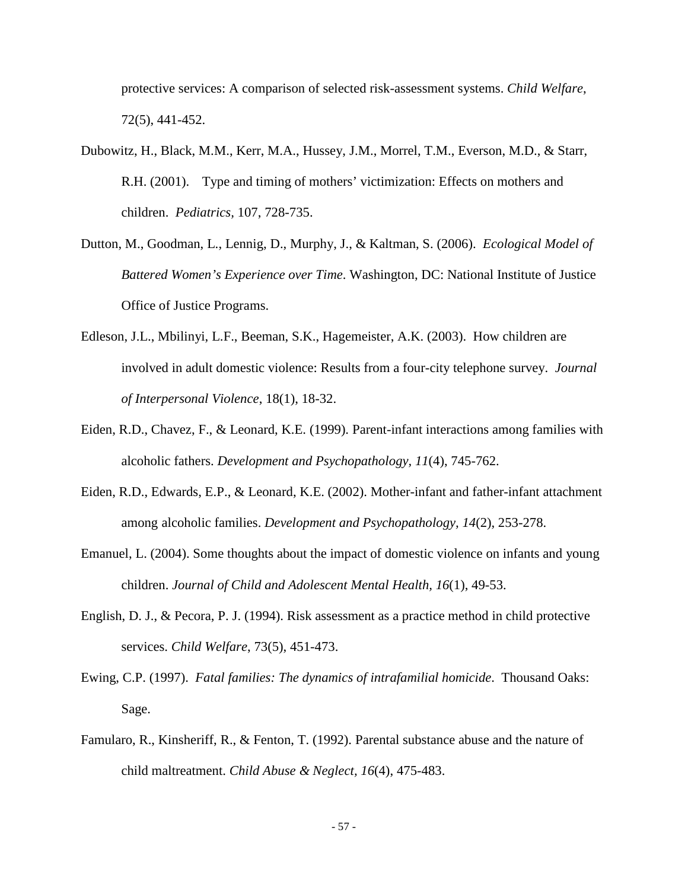protective services: A comparison of selected risk-assessment systems. *Child Welfare*, 72(5), 441-452.

- Dubowitz, H., Black, M.M., Kerr, M.A., Hussey, J.M., Morrel, T.M., Everson, M.D., & Starr, R.H. (2001). Type and timing of mothers' victimization: Effects on mothers and children. *Pediatrics,* 107, 728-735.
- Dutton, M., Goodman, L., Lennig, D., Murphy, J., & Kaltman, S. (2006). *Ecological Model of Battered Women's Experience over Time*. Washington, DC: National Institute of Justice Office of Justice Programs.
- Edleson, J.L., Mbilinyi, L.F., Beeman, S.K., Hagemeister, A.K. (2003). How children are involved in adult domestic violence: Results from a four-city telephone survey. *Journal of Interpersonal Violence*, 18(1), 18-32.
- Eiden, R.D., Chavez, F., & Leonard, K.E. (1999). Parent-infant interactions among families with alcoholic fathers. *Development and Psychopathology, 11*(4), 745-762.
- Eiden, R.D., Edwards, E.P., & Leonard, K.E. (2002). Mother-infant and father-infant attachment among alcoholic families. *Development and Psychopathology, 14*(2), 253-278.
- Emanuel, L. (2004). Some thoughts about the impact of domestic violence on infants and young children. *Journal of Child and Adolescent Mental Health, 16*(1), 49-53.
- English, D. J., & Pecora, P. J. (1994). Risk assessment as a practice method in child protective services. *Child Welfare*, 73(5), 451-473.
- Ewing, C.P. (1997). *Fatal families: The dynamics of intrafamilial homicide*. Thousand Oaks: Sage.
- Famularo, R., Kinsheriff, R., & Fenton, T. (1992). Parental substance abuse and the nature of child maltreatment. *Child Abuse & Neglect, 16*(4), 475-483.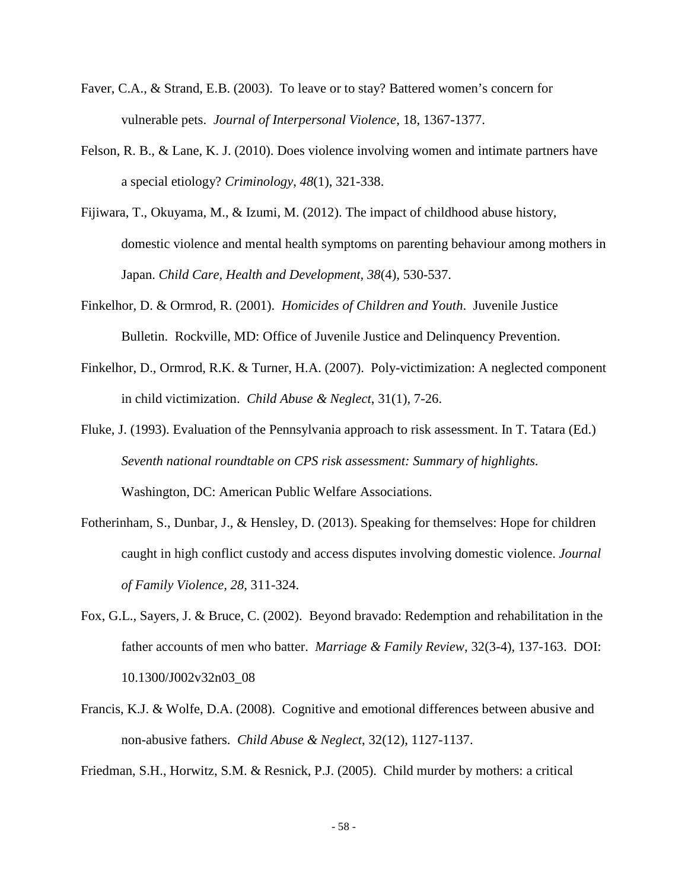- Faver, C.A., & Strand, E.B. (2003). To leave or to stay? Battered women's concern for vulnerable pets. *Journal of Interpersonal Violence*, 18, 1367-1377.
- Felson, R. B., & Lane, K. J. (2010). Does violence involving women and intimate partners have a special etiology? *Criminology*, *48*(1), 321-338.
- Fijiwara, T., Okuyama, M., & Izumi, M. (2012). The impact of childhood abuse history, domestic violence and mental health symptoms on parenting behaviour among mothers in Japan. *Child Care, Health and Development, 38*(4), 530-537.
- Finkelhor, D. & Ormrod, R. (2001). *Homicides of Children and Youth*. Juvenile Justice Bulletin. Rockville, MD: Office of Juvenile Justice and Delinquency Prevention.
- Finkelhor, D., Ormrod, R.K. & Turner, H.A. (2007). Poly-victimization: A neglected component in child victimization. *Child Abuse & Neglect*, 31(1), 7-26.
- Fluke, J. (1993). Evaluation of the Pennsylvania approach to risk assessment. In T. Tatara (Ed.) *Seventh national roundtable on CPS risk assessment: Summary of highlights.*  Washington, DC: American Public Welfare Associations.
- Fotherinham, S., Dunbar, J., & Hensley, D. (2013). Speaking for themselves: Hope for children caught in high conflict custody and access disputes involving domestic violence. *Journal of Family Violence, 28*, 311-324.
- Fox, G.L., Sayers, J. & Bruce, C. (2002). Beyond bravado: Redemption and rehabilitation in the father accounts of men who batter. *Marriage & Family Review*, 32(3-4), 137-163. DOI: 10.1300/J002v32n03\_08
- Francis, K.J. & Wolfe, D.A. (2008). Cognitive and emotional differences between abusive and non-abusive fathers. *Child Abuse & Neglect*, 32(12), 1127-1137.

Friedman, S.H., Horwitz, S.M. & Resnick, P.J. (2005). Child murder by mothers: a critical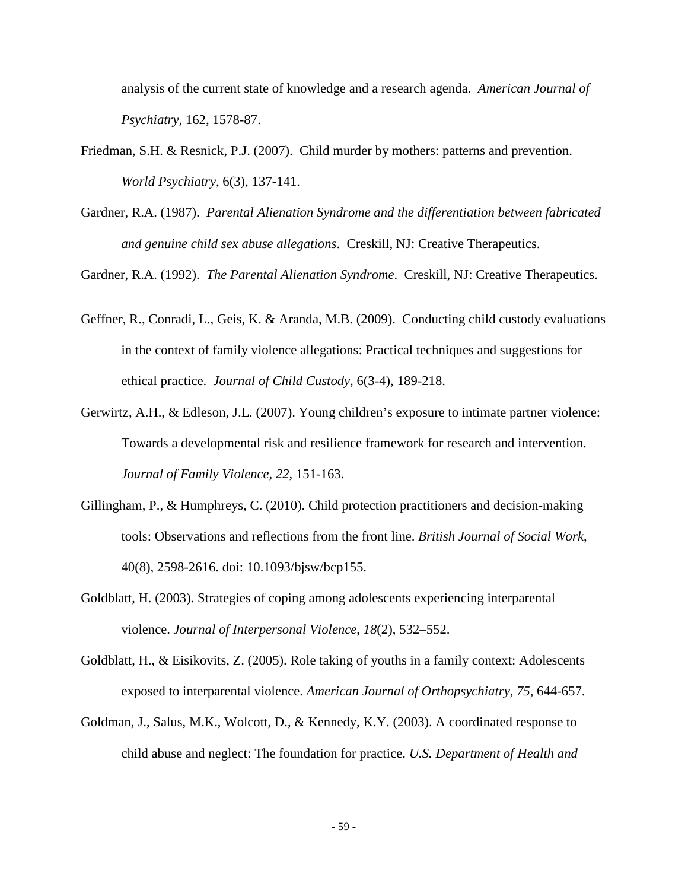analysis of the current state of knowledge and a research agenda. *American Journal of Psychiatry*, 162, 1578-87.

- Friedman, S.H. & Resnick, P.J. (2007). Child murder by mothers: patterns and prevention. *World Psychiatry*, 6(3), 137-141.
- Gardner, R.A. (1987). *Parental Alienation Syndrome and the differentiation between fabricated and genuine child sex abuse allegations*. Creskill, NJ: Creative Therapeutics.

Gardner, R.A. (1992). *The Parental Alienation Syndrome*. Creskill, NJ: Creative Therapeutics.

- Geffner, R., Conradi, L., Geis, K. & Aranda, M.B. (2009). Conducting child custody evaluations in the context of family violence allegations: Practical techniques and suggestions for ethical practice. *Journal of Child Custody*, 6(3-4), 189-218.
- Gerwirtz, A.H., & Edleson, J.L. (2007). Young children's exposure to intimate partner violence: Towards a developmental risk and resilience framework for research and intervention. *Journal of Family Violence, 22*, 151-163.
- Gillingham, P., & Humphreys, C. (2010). Child protection practitioners and decision-making tools: Observations and reflections from the front line. *British Journal of Social Work*, 40(8), 2598-2616. doi: 10.1093/bjsw/bcp155.
- Goldblatt, H. (2003). Strategies of coping among adolescents experiencing interparental violence. *Journal of Interpersonal Violence*, *18*(2), 532–552.
- Goldblatt, H., & Eisikovits, Z. (2005). Role taking of youths in a family context: Adolescents exposed to interparental violence. *American Journal of Orthopsychiatry, 75*, 644-657.
- Goldman, J., Salus, M.K., Wolcott, D., & Kennedy, K.Y. (2003). A coordinated response to child abuse and neglect: The foundation for practice. *U.S. Department of Health and*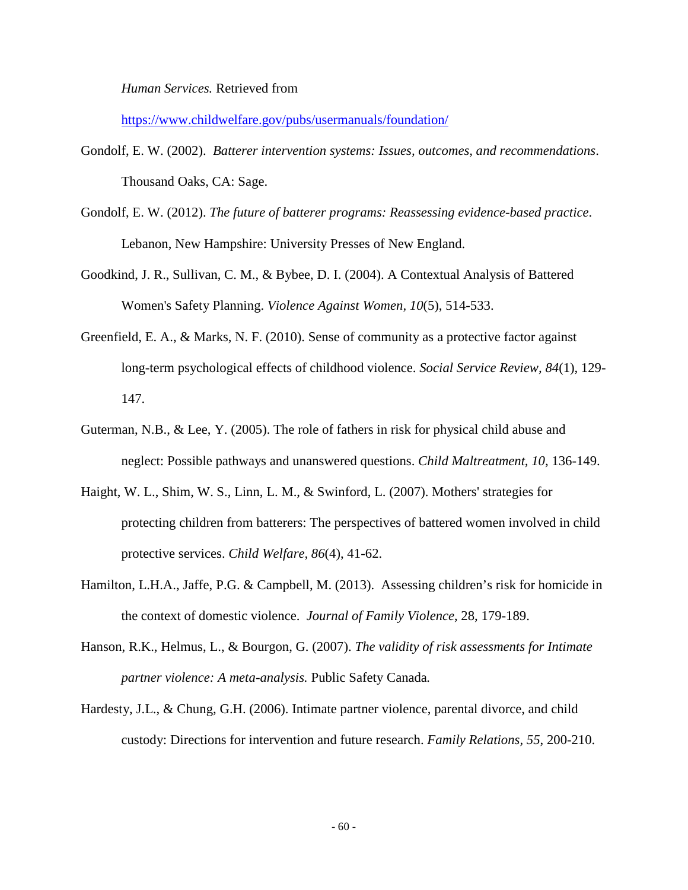*Human Services.* Retrieved from

<https://www.childwelfare.gov/pubs/usermanuals/foundation/>

- Gondolf, E. W. (2002). *Batterer intervention systems: Issues, outcomes, and recommendations*. Thousand Oaks, CA: Sage.
- Gondolf, E. W. (2012). *The future of batterer programs: Reassessing evidence-based practice*. Lebanon, New Hampshire: University Presses of New England.
- Goodkind, J. R., Sullivan, C. M., & Bybee, D. I. (2004). A Contextual Analysis of Battered Women's Safety Planning. *Violence Against Women, 10*(5), 514-533.
- Greenfield, E. A., & Marks, N. F. (2010). Sense of community as a protective factor against long-term psychological effects of childhood violence. *Social Service Review, 84*(1), 129- 147.
- Guterman, N.B., & Lee, Y. (2005). The role of fathers in risk for physical child abuse and neglect: Possible pathways and unanswered questions. *Child Maltreatment, 10*, 136-149.
- Haight, W. L., Shim, W. S., Linn, L. M., & Swinford, L. (2007). Mothers' strategies for protecting children from batterers: The perspectives of battered women involved in child protective services. *Child Welfare, 86*(4), 41-62.
- Hamilton, L.H.A., Jaffe, P.G. & Campbell, M. (2013). Assessing children's risk for homicide in the context of domestic violence. *Journal of Family Violence*, 28, 179-189.
- Hanson, R.K., Helmus, L., & Bourgon, G. (2007). *The validity of risk assessments for Intimate partner violence: A meta-analysis.* Public Safety Canada*.*
- Hardesty, J.L., & Chung, G.H. (2006). Intimate partner violence, parental divorce, and child custody: Directions for intervention and future research. *Family Relations, 55*, 200-210.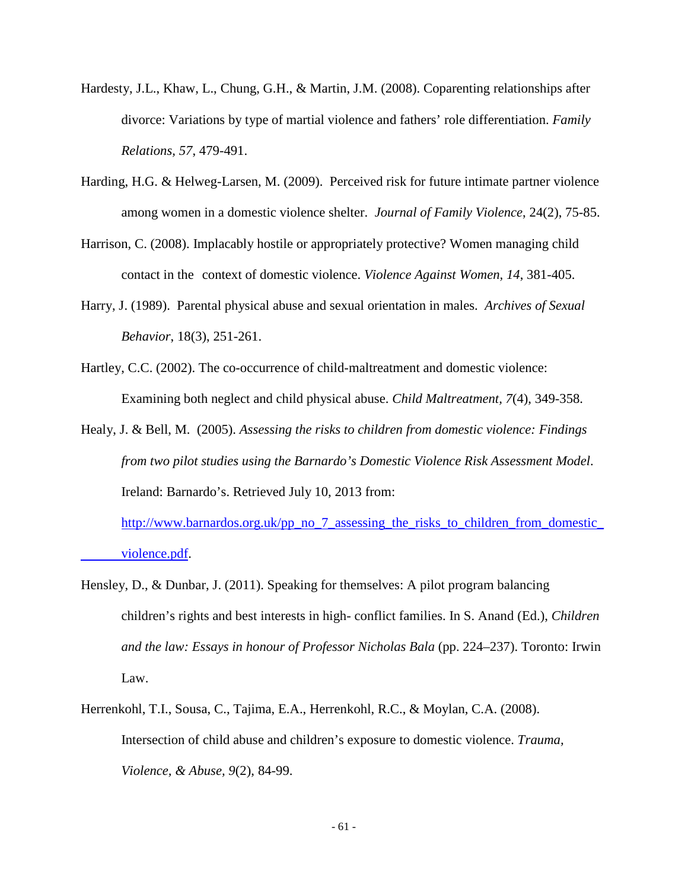- Hardesty, J.L., Khaw, L., Chung, G.H., & Martin, J.M. (2008). Coparenting relationships after divorce: Variations by type of martial violence and fathers' role differentiation. *Family Relations, 57*, 479-491.
- Harding, H.G. & Helweg-Larsen, M. (2009). Perceived risk for future intimate partner violence among women in a domestic violence shelter. *Journal of Family Violence*, 24(2), 75-85.
- Harrison, C. (2008). Implacably hostile or appropriately protective? Women managing child contact in the context of domestic violence. *Violence Against Women, 14*, 381-405.
- Harry, J. (1989). Parental physical abuse and sexual orientation in males. *Archives of Sexual Behavior*, 18(3), 251-261.
- Hartley, C.C. (2002). The co-occurrence of child-maltreatment and domestic violence: Examining both neglect and child physical abuse. *Child Maltreatment, 7*(4), 349-358.
- Healy, J. & Bell, M. (2005). *Assessing the risks to children from domestic violence: Findings from two pilot studies using the Barnardo's Domestic Violence Risk Assessment Model*. Ireland: Barnardo's. Retrieved July 10, 2013 from:

[http://www.barnardos.org.uk/pp\\_no\\_7\\_assessing\\_the\\_risks\\_to\\_children\\_from\\_domestic\\_](http://www.barnardos.org.uk/pp_no_7_assessing_the_risks_to_children_from_domestic_%09violence.pdf) [violence.pdf.](http://www.barnardos.org.uk/pp_no_7_assessing_the_risks_to_children_from_domestic_%09violence.pdf)

- Hensley, D., & Dunbar, J. (2011). Speaking for themselves: A pilot program balancing children's rights and best interests in high- conflict families. In S. Anand (Ed.), *Children and the law: Essays in honour of Professor Nicholas Bala* (pp. 224–237). Toronto: Irwin Law.
- Herrenkohl, T.I., Sousa, C., Tajima, E.A., Herrenkohl, R.C., & Moylan, C.A. (2008). Intersection of child abuse and children's exposure to domestic violence. *Trauma, Violence, & Abuse, 9*(2), 84-99.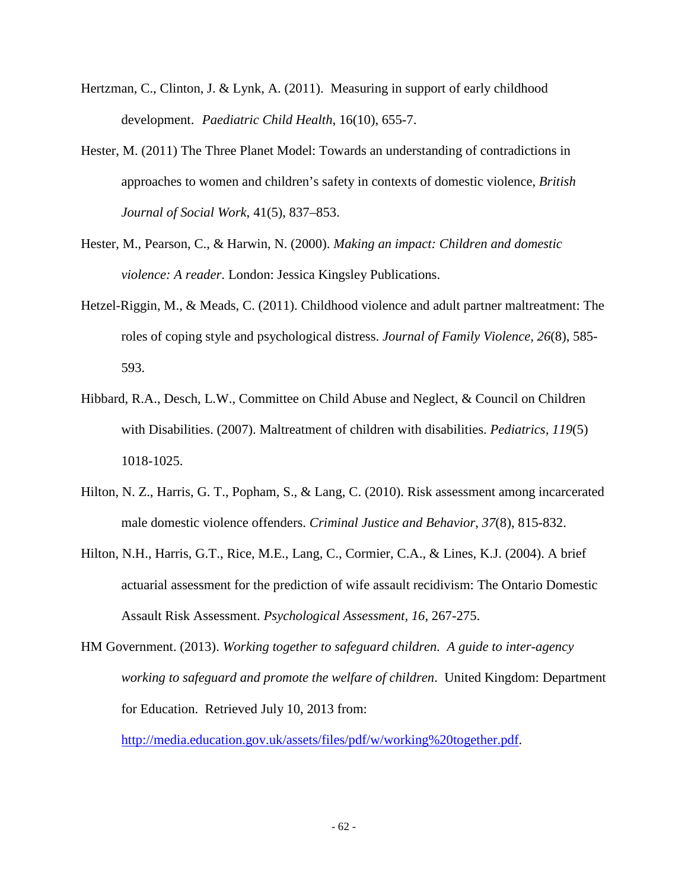- Hertzman, C., Clinton, J. & Lynk, A. (2011). Measuring in support of early childhood development. *Paediatric Child Health*, 16(10), 655-7.
- Hester, M. (2011) The Three Planet Model: Towards an understanding of contradictions in approaches to women and children's safety in contexts of domestic violence, *British Journal of Social Work*, 41(5), 837–853.
- Hester, M., Pearson, C., & Harwin, N. (2000). *Making an impact: Children and domestic violence: A reader*. London: Jessica Kingsley Publications.
- Hetzel-Riggin, M., & Meads, C. (2011). Childhood violence and adult partner maltreatment: The roles of coping style and psychological distress. *Journal of Family Violence, 26*(8), 585- 593.
- Hibbard, R.A., Desch, L.W., Committee on Child Abuse and Neglect, & Council on Children with Disabilities. (2007). Maltreatment of children with disabilities. *Pediatrics, 119*(5) 1018-1025.
- Hilton, N. Z., Harris, G. T., Popham, S., & Lang, C. (2010). Risk assessment among incarcerated male domestic violence offenders. *Criminal Justice and Behavior*, *37*(8), 815-832.
- Hilton, N.H., Harris, G.T., Rice, M.E., Lang, C., Cormier, C.A., & Lines, K.J. (2004). A brief actuarial assessment for the prediction of wife assault recidivism: The Ontario Domestic Assault Risk Assessment. *Psychological Assessment, 16*, 267-275.
- HM Government. (2013). *Working together to safeguard children. A guide to inter-agency working to safeguard and promote the welfare of children*. United Kingdom: Department for Education. Retrieved July 10, 2013 from:

[http://media.education.gov.uk/assets/files/pdf/w/working%20together.pdf.](http://media.education.gov.uk/assets/files/pdf/w/working%20together.pdf)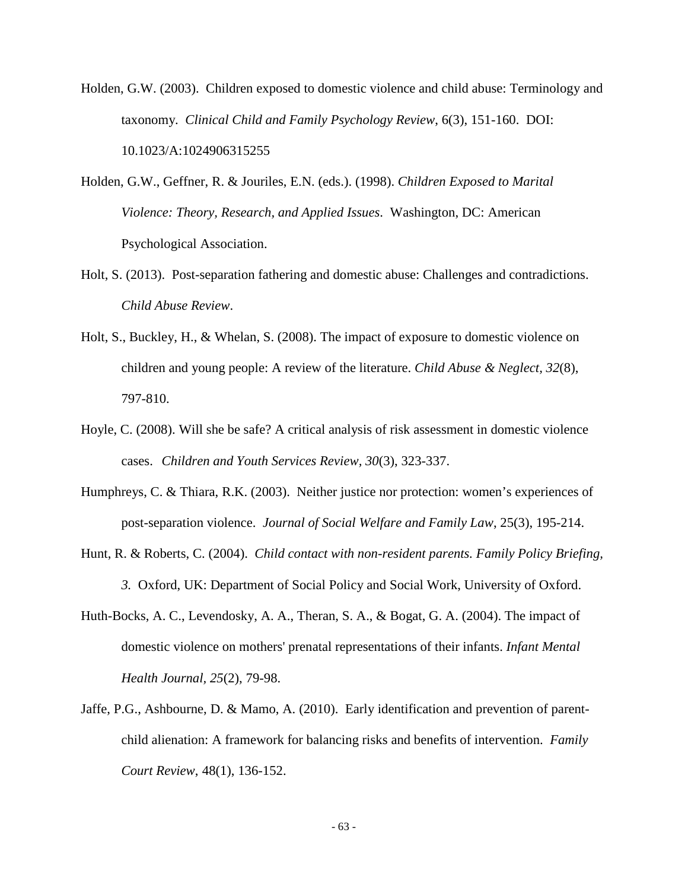Holden, G.W. (2003). Children exposed to domestic violence and child abuse: Terminology and taxonomy. *Clinical Child and Family Psychology Review*, 6(3), 151-160. DOI: 10.1023/A:1024906315255

- Holden, G.W., Geffner, R. & Jouriles, E.N. (eds.). (1998). *Children Exposed to Marital Violence: Theory, Research, and Applied Issues*. Washington, DC: American Psychological Association.
- Holt, S. (2013). Post-separation fathering and domestic abuse: Challenges and contradictions. *Child Abuse Review*.
- Holt, S., Buckley, H., & Whelan, S. (2008). The impact of exposure to domestic violence on children and young people: A review of the literature. *Child Abuse & Neglect, 32*(8), 797-810.
- Hoyle, C. (2008). Will she be safe? A critical analysis of risk assessment in domestic violence cases. *Children and Youth Services Review, 30*(3), 323-337.
- Humphreys, C. & Thiara, R.K. (2003). Neither justice nor protection: women's experiences of post-separation violence. *Journal of Social Welfare and Family Law*, 25(3), 195-214.
- Hunt, R. & Roberts, C. (2004). *Child contact with non-resident parents. Family Policy Briefing, 3.* Oxford, UK: Department of Social Policy and Social Work, University of Oxford.
- Huth-Bocks, A. C., Levendosky, A. A., Theran, S. A., & Bogat, G. A. (2004). The impact of domestic violence on mothers' prenatal representations of their infants. *Infant Mental Health Journal, 25*(2), 79-98.
- Jaffe, P.G., Ashbourne, D. & Mamo, A. (2010). Early identification and prevention of parentchild alienation: A framework for balancing risks and benefits of intervention. *Family Court Review*, 48(1), 136-152.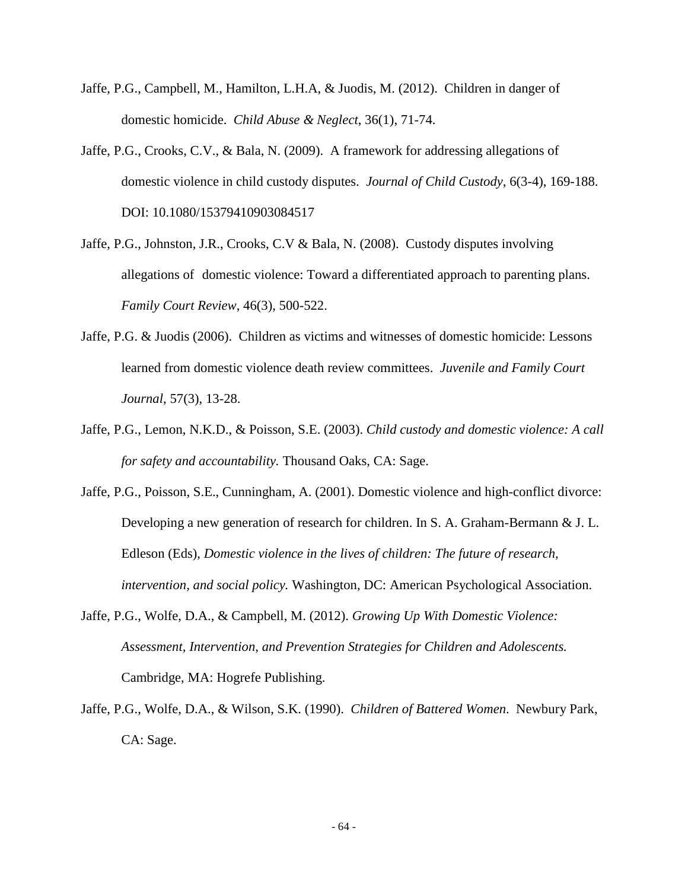- Jaffe, P.G., Campbell, M., Hamilton, L.H.A, & Juodis, M. (2012). Children in danger of domestic homicide. *Child Abuse & Neglect*, 36(1), 71-74.
- Jaffe, P.G., Crooks, C.V., & Bala, N. (2009). A framework for addressing allegations of domestic violence in child custody disputes. *Journal of Child Custody*, 6(3-4), 169-188. DOI: 10.1080/15379410903084517
- Jaffe, P.G., Johnston, J.R., Crooks, C.V & Bala, N. (2008). Custody disputes involving allegations of domestic violence: Toward a differentiated approach to parenting plans. *Family Court Review*, 46(3), 500-522.
- Jaffe, P.G. & Juodis (2006). Children as victims and witnesses of domestic homicide: Lessons learned from domestic violence death review committees. *Juvenile and Family Court Journal*, 57(3), 13-28.
- Jaffe, P.G., Lemon, N.K.D., & Poisson, S.E. (2003). *Child custody and domestic violence: A call for safety and accountability.* Thousand Oaks, CA: Sage.
- Jaffe, P.G., Poisson, S.E., Cunningham, A. (2001). Domestic violence and high-conflict divorce: Developing a new generation of research for children. In S. A. Graham-Bermann & J. L. Edleson (Eds), *Domestic violence in the lives of children: The future of research, intervention, and social policy.* Washington, DC: American Psychological Association.
- Jaffe, P.G., Wolfe, D.A., & Campbell, M. (2012). *Growing Up With Domestic Violence: Assessment, Intervention, and Prevention Strategies for Children and Adolescents.* Cambridge, MA: Hogrefe Publishing.
- Jaffe, P.G., Wolfe, D.A., & Wilson, S.K. (1990). *Children of Battered Women*. Newbury Park, CA: Sage.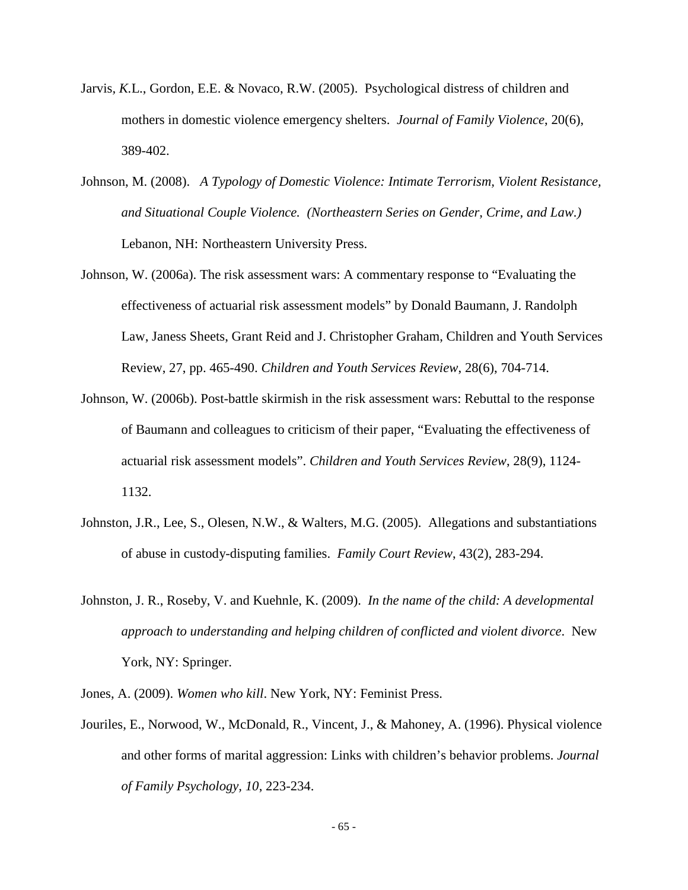- Jarvis*, K.*L., Gordon, E.E. & Novaco, R.W. (2005). Psychological distress of children and mothers in domestic violence emergency shelters. *Journal of Family Violence*, 20(6), 389-402.
- Johnson, M. (2008). *A Typology of Domestic Violence: Intimate Terrorism, Violent Resistance, and Situational Couple Violence. (Northeastern Series on Gender, Crime, and Law.)* Lebanon, NH: Northeastern University Press.
- Johnson, W. (2006a). The risk assessment wars: A commentary response to "Evaluating the effectiveness of actuarial risk assessment models" by Donald Baumann, J. Randolph Law, Janess Sheets, Grant Reid and J. Christopher Graham, Children and Youth Services Review, 27, pp. 465-490. *Children and Youth Services Review*, 28(6), 704-714.
- Johnson, W. (2006b). Post-battle skirmish in the risk assessment wars: Rebuttal to the response of Baumann and colleagues to criticism of their paper, "Evaluating the effectiveness of actuarial risk assessment models". *Children and Youth Services Review*, 28(9), 1124- 1132.
- Johnston, J.R., Lee, S., Olesen, N.W., & Walters, M.G. (2005). Allegations and substantiations of abuse in custody-disputing families. *Family Court Review*, 43(2), 283-294.
- Johnston, J. R., Roseby, V. and Kuehnle, K. (2009). *In the name of the child: A developmental approach to understanding and helping children of conflicted and violent divorce*. New York, NY: Springer.
- Jones, A. (2009). *Women who kill*. New York, NY: Feminist Press.
- Jouriles, E., Norwood, W., McDonald, R., Vincent, J., & Mahoney, A. (1996). Physical violence and other forms of marital aggression: Links with children's behavior problems. *Journal of Family Psychology, 10*, 223-234.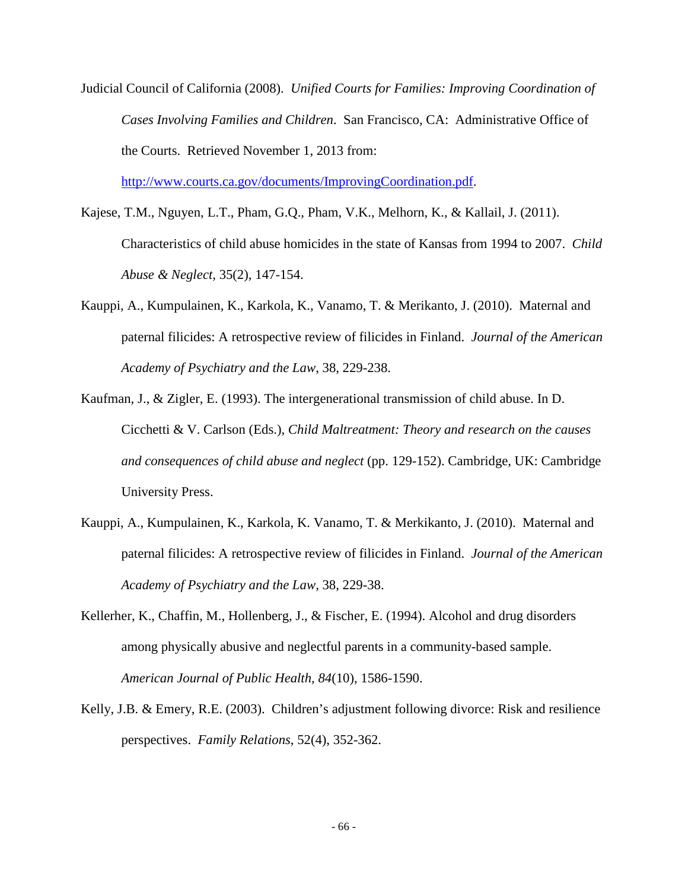Judicial Council of California (2008). *Unified Courts for Families: Improving Coordination of Cases Involving Families and Children*. San Francisco, CA: Administrative Office of the Courts. Retrieved November 1, 2013 from:

[http://www.courts.ca.gov/documents/ImprovingCoordination.pdf.](http://www.courts.ca.gov/documents/ImprovingCoordination.pdf)

- Kajese, T.M., Nguyen, L.T., Pham, G.Q., Pham, V.K., Melhorn, K., & Kallail, J. (2011). Characteristics of child abuse homicides in the state of Kansas from 1994 to 2007. *Child Abuse & Neglect,* 35(2), 147-154.
- Kauppi, A., Kumpulainen, K., Karkola, K., Vanamo, T. & Merikanto, J. (2010). Maternal and paternal filicides: A retrospective review of filicides in Finland. *Journal of the American Academy of Psychiatry and the Law*, 38, 229-238.
- Kaufman, J., & Zigler, E. (1993). The intergenerational transmission of child abuse. In D. Cicchetti & V. Carlson (Eds.), *Child Maltreatment: Theory and research on the causes and consequences of child abuse and neglect* (pp. 129-152). Cambridge, UK: Cambridge University Press.
- Kauppi, A., Kumpulainen, K., Karkola, K. Vanamo, T. & Merkikanto, J. (2010). Maternal and paternal filicides: A retrospective review of filicides in Finland. *Journal of the American Academy of Psychiatry and the Law*, 38, 229-38.
- Kellerher, K., Chaffin, M., Hollenberg, J., & Fischer, E. (1994). Alcohol and drug disorders among physically abusive and neglectful parents in a community-based sample. *American Journal of Public Health, 84*(10), 1586-1590.
- Kelly, J.B. & Emery, R.E. (2003). Children's adjustment following divorce: Risk and resilience perspectives. *Family Relations*, 52(4), 352-362.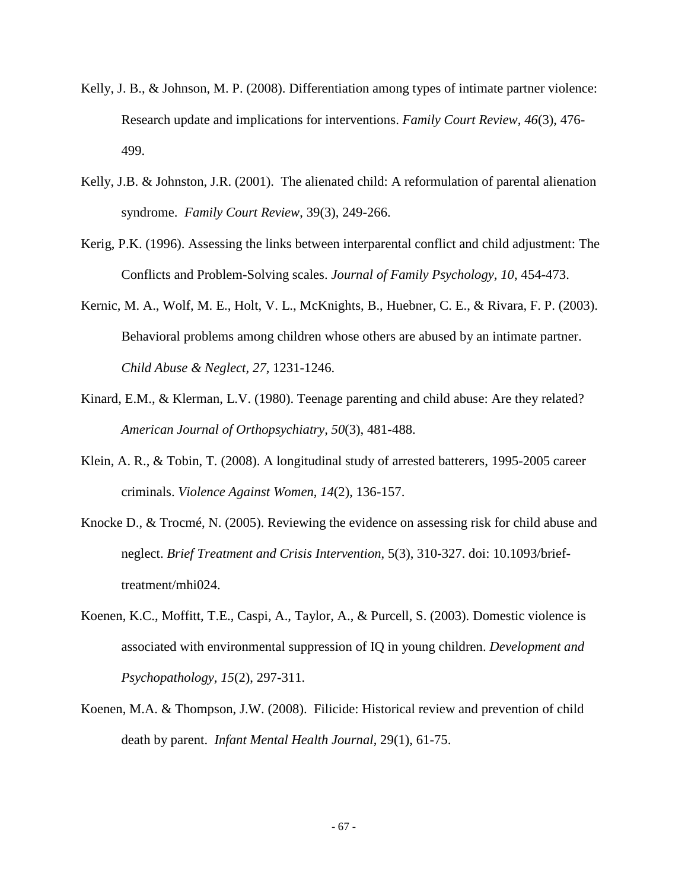- Kelly, J. B., & Johnson, M. P. (2008). Differentiation among types of intimate partner violence: Research update and implications for interventions. *Family Court Review*, *46*(3), 476- 499.
- Kelly, J.B. & Johnston, J.R. (2001). The alienated child: A reformulation of parental alienation syndrome. *Family Court Review*, 39(3), 249-266.
- Kerig, P.K. (1996). Assessing the links between interparental conflict and child adjustment: The Conflicts and Problem-Solving scales. *Journal of Family Psychology, 10*, 454-473.
- Kernic, M. A., Wolf, M. E., Holt, V. L., McKnights, B., Huebner, C. E., & Rivara, F. P. (2003). Behavioral problems among children whose others are abused by an intimate partner. *Child Abuse & Neglect, 27*, 1231-1246.
- Kinard, E.M., & Klerman, L.V. (1980). Teenage parenting and child abuse: Are they related? *American Journal of Orthopsychiatry, 50*(3), 481-488.
- Klein, A. R., & Tobin, T. (2008). A longitudinal study of arrested batterers, 1995-2005 career criminals. *Violence Against Women*, *14*(2), 136-157.
- Knocke D., & Trocmé, N. (2005). Reviewing the evidence on assessing risk for child abuse and neglect. *Brief Treatment and Crisis Intervention*, 5(3), 310-327. doi: 10.1093/brieftreatment/mhi024.
- Koenen, K.C., Moffitt, T.E., Caspi, A., Taylor, A., & Purcell, S. (2003). Domestic violence is associated with environmental suppression of IQ in young children. *Development and Psychopathology, 15*(2), 297-311.
- Koenen, M.A. & Thompson, J.W. (2008). Filicide: Historical review and prevention of child death by parent. *Infant Mental Health Journal*, 29(1), 61-75.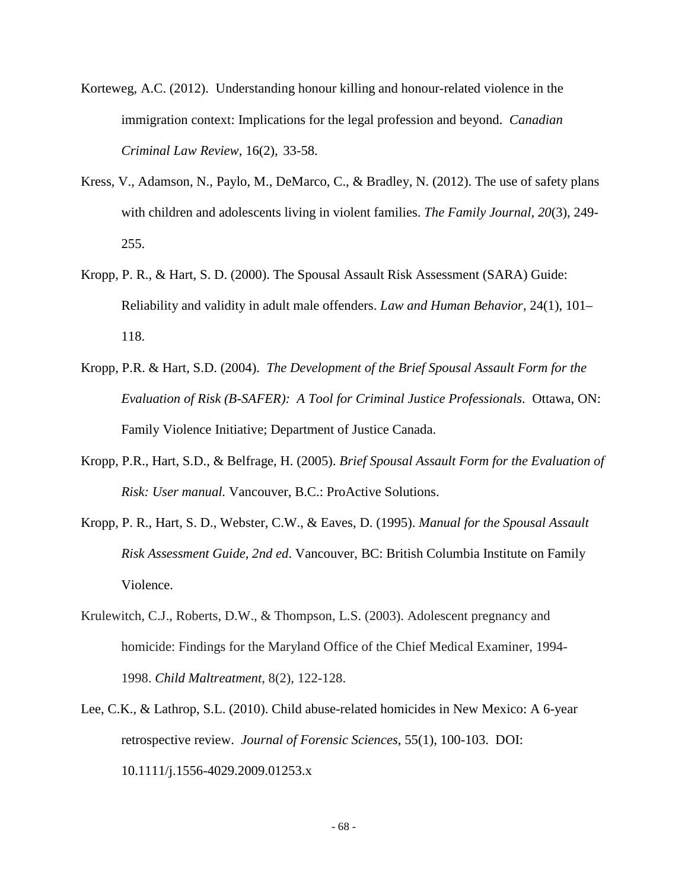- Korteweg, A.C. (2012). Understanding honour killing and honour-related violence in the immigration context: Implications for the legal profession and beyond. *Canadian Criminal Law Review*, 16(2), 33-58.
- Kress, V., Adamson, N., Paylo, M., DeMarco, C., & Bradley, N. (2012). The use of safety plans with children and adolescents living in violent families. *The Family Journal, 20*(3), 249- 255.
- Kropp, P. R., & Hart, S. D. (2000). The Spousal Assault Risk Assessment (SARA) Guide: Reliability and validity in adult male offenders. *Law and Human Behavior*, 24(1), 101– 118.
- Kropp, P.R. & Hart, S.D. (2004). *The Development of the Brief Spousal Assault Form for the Evaluation of Risk (B-SAFER): A Tool for Criminal Justice Professionals*. Ottawa, ON: Family Violence Initiative; Department of Justice Canada.
- Kropp, P.R., Hart, S.D., & Belfrage, H. (2005). *Brief Spousal Assault Form for the Evaluation of Risk: User manual.* Vancouver, B.C.: ProActive Solutions.
- Kropp, P. R., Hart, S. D., Webster, C.W., & Eaves, D. (1995). *Manual for the Spousal Assault Risk Assessment Guide, 2nd ed*. Vancouver, BC: British Columbia Institute on Family Violence.
- Krulewitch, C.J., Roberts, D.W., & Thompson, L.S. (2003). Adolescent pregnancy and homicide: Findings for the Maryland Office of the Chief Medical Examiner, 1994- 1998. *Child Maltreatment*, 8(2), 122-128.
- Lee, C.K., & Lathrop, S.L. (2010). Child abuse-related homicides in New Mexico: A 6-year retrospective review. *Journal of Forensic Sciences*, 55(1), 100-103. DOI: 10.1111/j.1556-4029.2009.01253.x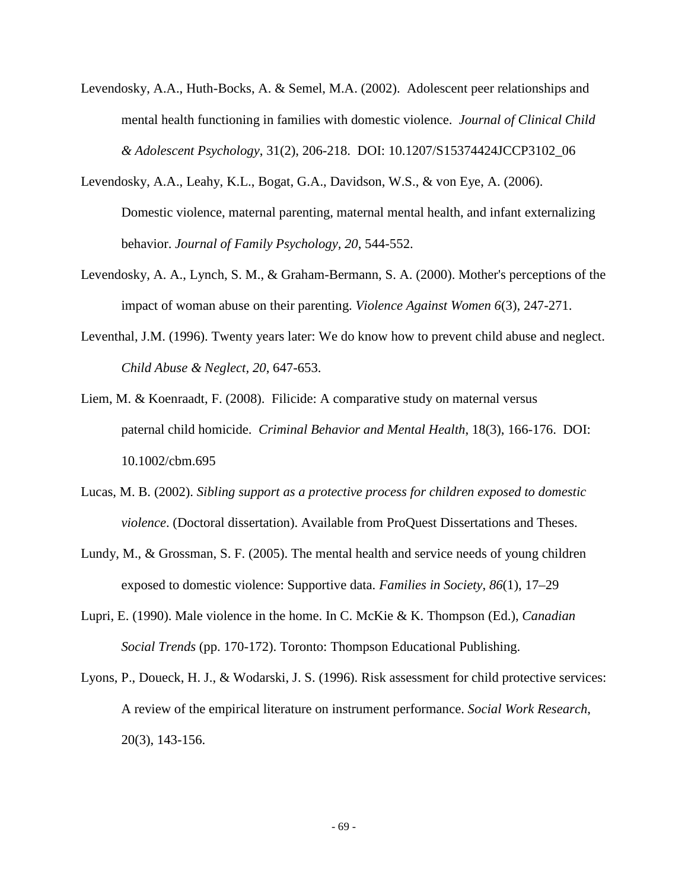- Levendosky, A.A., Huth-Bocks, A. & Semel, M.A. (2002). Adolescent peer relationships and mental health functioning in families with domestic violence. *Journal of Clinical Child & Adolescent Psychology*, 31(2), 206-218. DOI: 10.1207/S15374424JCCP3102\_06
- Levendosky, A.A., Leahy, K.L., Bogat, G.A., Davidson, W.S., & von Eye, A. (2006). Domestic violence, maternal parenting, maternal mental health, and infant externalizing behavior. *Journal of Family Psychology, 20*, 544-552.
- Levendosky, A. A., Lynch, S. M., & Graham-Bermann, S. A. (2000). Mother's perceptions of the impact of woman abuse on their parenting. *Violence Against Women 6*(3), 247-271.
- Leventhal, J.M. (1996). Twenty years later: We do know how to prevent child abuse and neglect. *Child Abuse & Neglect, 20*, 647-653.
- Liem, M. & Koenraadt, F. (2008). Filicide: A comparative study on maternal versus paternal child homicide. *Criminal Behavior and Mental Health*, 18(3), 166-176. DOI: 10.1002/cbm.695
- Lucas, M. B. (2002). *Sibling support as a protective process for children exposed to domestic violence*. (Doctoral dissertation). Available from ProQuest Dissertations and Theses.
- Lundy, M., & Grossman, S. F. (2005). The mental health and service needs of young children exposed to domestic violence: Supportive data. *Families in Society*, *86*(1), 17–29
- Lupri, E. (1990). Male violence in the home. In C. McKie & K. Thompson (Ed.), *Canadian Social Trends* (pp. 170-172). Toronto: Thompson Educational Publishing.
- Lyons, P., Doueck, H. J., & Wodarski, J. S. (1996). Risk assessment for child protective services: A review of the empirical literature on instrument performance. *Social Work Research*, 20(3), 143-156.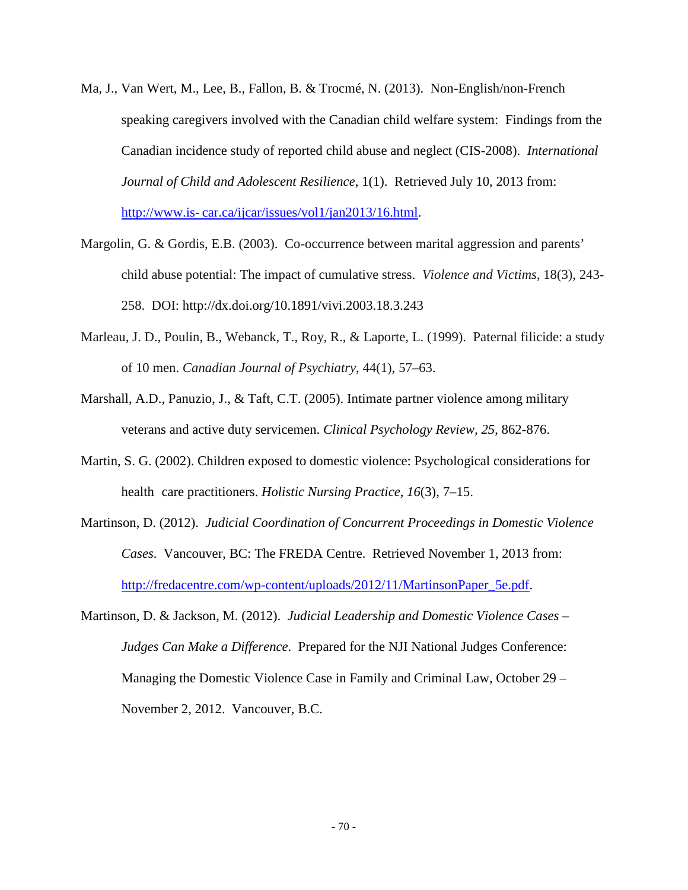- Ma, J., Van Wert, M., Lee, B., Fallon, B. & Trocmé, N. (2013). Non-English/non-French speaking caregivers involved with the Canadian child welfare system: Findings from the Canadian incidence study of reported child abuse and neglect (CIS-2008). *International Journal of Child and Adolescent Resilience*, 1(1). Retrieved July 10, 2013 from: http://www.is- car.ca/ijcar/issues/vol1/jan2013/16.html.
- Margolin, G. & Gordis, E.B. (2003). Co-occurrence between marital aggression and parents' child abuse potential: The impact of cumulative stress. *Violence and Victims*, 18(3), 243- 258. DOI:<http://dx.doi.org/10.1891/vivi.2003.18.3.243>
- Marleau, J. D., Poulin, B., Webanck, T., Roy, R., & Laporte, L. (1999). Paternal filicide: a study of 10 men. *Canadian Journal of Psychiatry*, 44(1), 57–63.
- Marshall, A.D., Panuzio, J., & Taft, C.T. (2005). Intimate partner violence among military veterans and active duty servicemen. *Clinical Psychology Review, 25*, 862-876.
- Martin, S. G. (2002). Children exposed to domestic violence: Psychological considerations for health care practitioners. *Holistic Nursing Practice*, *16*(3), 7–15.
- Martinson, D. (2012). *Judicial Coordination of Concurrent Proceedings in Domestic Violence Cases*. Vancouver, BC: The FREDA Centre. Retrieved November 1, 2013 from: [http://fredacentre.com/wp-content/uploads/2012/11/MartinsonPaper\\_5e.pdf.](http://fredacentre.com/wp-content/uploads/2012/11/MartinsonPaper_5e.pdf)
- Martinson, D. & Jackson, M. (2012). *Judicial Leadership and Domestic Violence Cases – Judges Can Make a Difference*. Prepared for the NJI National Judges Conference: Managing the Domestic Violence Case in Family and Criminal Law, October 29 – November 2, 2012. Vancouver, B.C.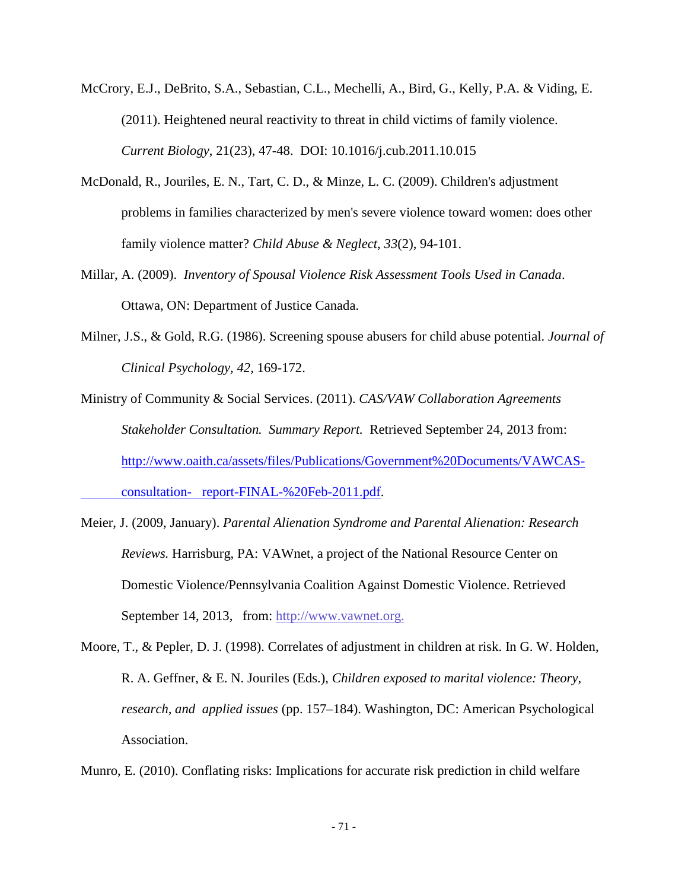- McCrory, E.J., DeBrito, S.A., Sebastian, C.L., Mechelli, A., Bird, G., Kelly, P.A. & Viding, E. (2011). Heightened neural reactivity to threat in child victims of family violence. *Current Biology*, 21(23), 47-48. DOI: 10.1016/j.cub.2011.10.015
- McDonald, R., Jouriles, E. N., Tart, C. D., & Minze, L. C. (2009). Children's adjustment problems in families characterized by men's severe violence toward women: does other family violence matter? *Child Abuse & Neglect*, *33*(2), 94-101.
- Millar, A. (2009). *Inventory of Spousal Violence Risk Assessment Tools Used in Canada*. Ottawa, ON: Department of Justice Canada.
- Milner, J.S., & Gold, R.G. (1986). Screening spouse abusers for child abuse potential. *Journal of Clinical Psychology, 42*, 169-172.

Ministry of Community & Social Services. (2011). *CAS/VAW Collaboration Agreements Stakeholder Consultation. Summary Report.* Retrieved September 24, 2013 from: [http://www.oaith.ca/assets/files/Publications/Government%20Documents/VAWCAS](http://www.oaith.ca/assets/files/Publications/Government%20Documents/VAWCAS-%09consultation-%09report-FINAL-%20Feb-2011.pdf)consultation- [report-FINAL-%20Feb-2011.pdf.](http://www.oaith.ca/assets/files/Publications/Government%20Documents/VAWCAS-%09consultation-%09report-FINAL-%20Feb-2011.pdf)

- Meier, J. (2009, January). *Parental Alienation Syndrome and Parental Alienation: Research Reviews.* Harrisburg, PA: VAWnet, a project of the National Resource Center on Domestic Violence/Pennsylvania Coalition Against Domestic Violence. Retrieved September 14, 2013, from: [http://www.vawnet.org.](http://www.vawnet.org/sexual-violence/print-document.php?doc_id=1679&find_type=web_desc_AR)
- Moore, T., & Pepler, D. J. (1998). Correlates of adjustment in children at risk. In G. W. Holden, R. A. Geffner, & E. N. Jouriles (Eds.), *Children exposed to marital violence: Theory, research, and applied issues* (pp. 157–184). Washington, DC: American Psychological Association.

Munro, E. (2010). Conflating risks: Implications for accurate risk prediction in child welfare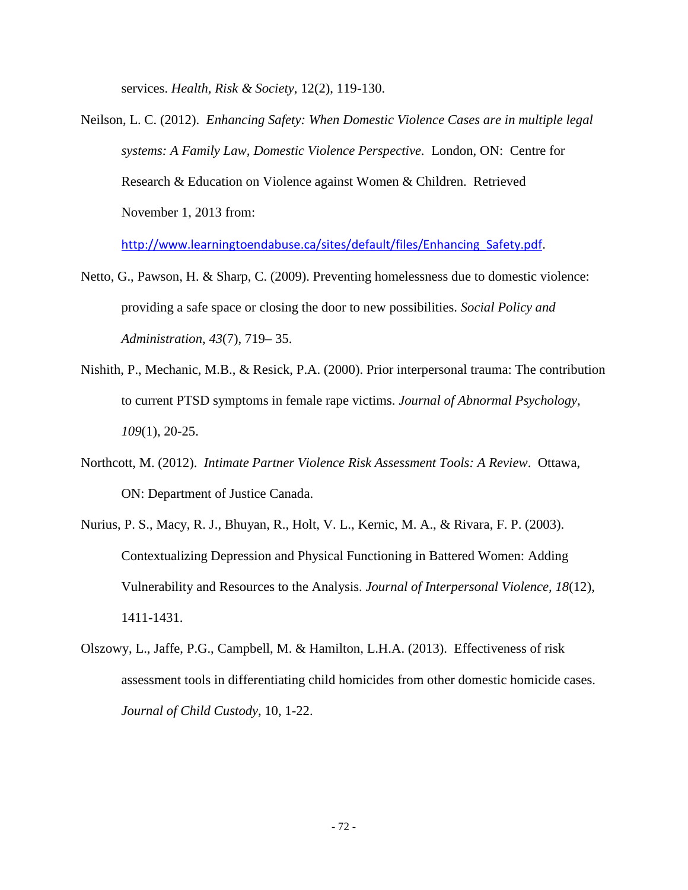services. *Health, Risk & Society*, 12(2), 119-130.

Neilson, L. C. (2012). *Enhancing Safety: When Domestic Violence Cases are in multiple legal systems: A Family Law, Domestic Violence Perspective*. London, ON: Centre for Research & Education on Violence against Women & Children. Retrieved November 1, 2013 from:

http://www.learningtoendabuse.ca/sites/default/files/Enhancing Safety.pdf.

- Netto, G., Pawson, H. & Sharp, C. (2009). Preventing homelessness due to domestic violence: providing a safe space or closing the door to new possibilities. *Social Policy and Administration*, *43*(7), 719– 35.
- Nishith, P., Mechanic, M.B., & Resick, P.A. (2000). Prior interpersonal trauma: The contribution to current PTSD symptoms in female rape victims. *Journal of Abnormal Psychology, 109*(1), 20-25.
- Northcott, M. (2012). *Intimate Partner Violence Risk Assessment Tools: A Review*. Ottawa, ON: Department of Justice Canada.
- Nurius, P. S., Macy, R. J., Bhuyan, R., Holt, V. L., Kernic, M. A., & Rivara, F. P. (2003). Contextualizing Depression and Physical Functioning in Battered Women: Adding Vulnerability and Resources to the Analysis. *Journal of Interpersonal Violence, 18*(12), 1411-1431.
- Olszowy, L., Jaffe, P.G., Campbell, M. & Hamilton, L.H.A. (2013). Effectiveness of risk assessment tools in differentiating child homicides from other domestic homicide cases. *Journal of Child Custody*, 10, 1-22.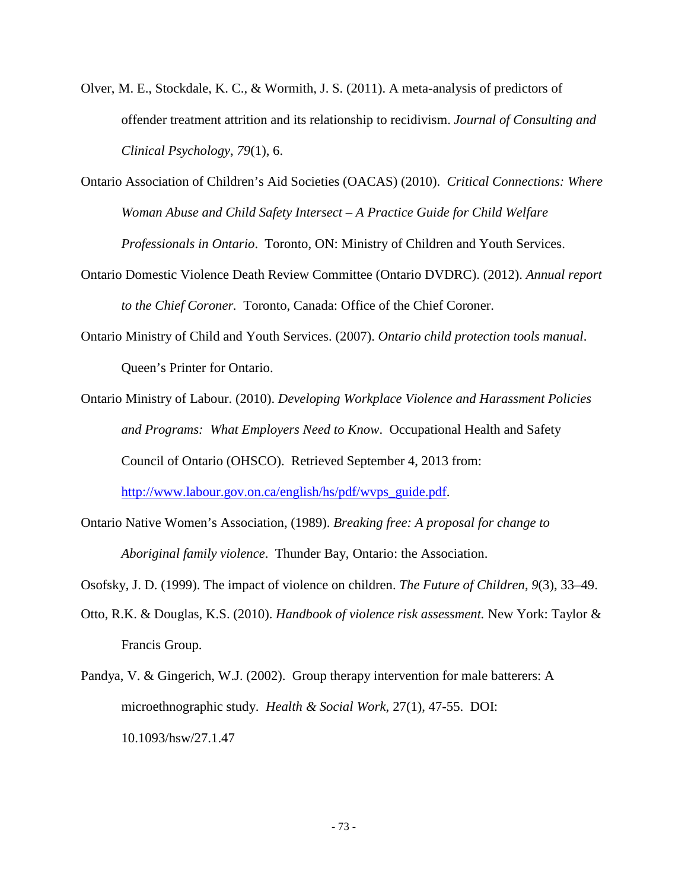- Olver, M. E., Stockdale, K. C., & Wormith, J. S. (2011). A meta-analysis of predictors of offender treatment attrition and its relationship to recidivism. *Journal of Consulting and Clinical Psychology*, *79*(1), 6.
- Ontario Association of Children's Aid Societies (OACAS) (2010). *Critical Connections: Where Woman Abuse and Child Safety Intersect – A Practice Guide for Child Welfare Professionals in Ontario*. Toronto, ON: Ministry of Children and Youth Services.
- Ontario Domestic Violence Death Review Committee (Ontario DVDRC). (2012). *Annual report to the Chief Coroner.* Toronto, Canada: Office of the Chief Coroner.
- Ontario Ministry of Child and Youth Services. (2007). *Ontario child protection tools manual*. Queen's Printer for Ontario.
- Ontario Ministry of Labour. (2010). *Developing Workplace Violence and Harassment Policies and Programs: What Employers Need to Know*. Occupational Health and Safety Council of Ontario (OHSCO). Retrieved September 4, 2013 from: [http://www.labour.gov.on.ca/english/hs/pdf/wvps\\_guide.pdf.](http://www.labour.gov.on.ca/english/hs/pdf/wvps_guide.pdf)
- Ontario Native Women's Association, (1989). *Breaking free: A proposal for change to Aboriginal family violence*. Thunder Bay, Ontario: the Association.
- Osofsky, J. D. (1999). The impact of violence on children. *The Future of Children*, *9*(3), 33–49.
- Otto, R.K. & Douglas, K.S. (2010). *Handbook of violence risk assessment.* New York: Taylor & Francis Group.
- Pandya, V. & Gingerich, W.J. (2002). Group therapy intervention for male batterers: A microethnographic study. *Health & Social Work*, 27(1), 47-55. DOI: 10.1093/hsw/27.1.47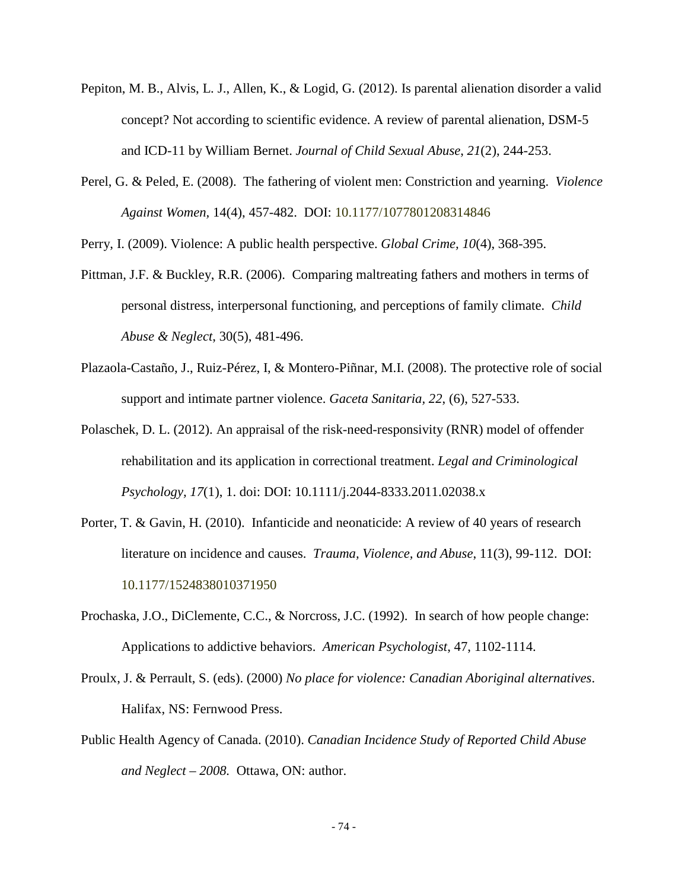- Pepiton, M. B., Alvis, L. J., Allen, K., & Logid, G. (2012). Is parental alienation disorder a valid concept? Not according to scientific evidence. A review of parental alienation, DSM-5 and ICD-11 by William Bernet. *Journal of Child Sexual Abuse*, *21*(2), 244-253.
- Perel, G. & Peled, E. (2008). The fathering of violent men: Constriction and yearning. *Violence Against Women,* 14(4), 457-482. DOI: 10.1177/1077801208314846

Perry, I. (2009). Violence: A public health perspective. *Global Crime, 10*(4), 368-395.

- Pittman, J.F. & Buckley, R.R. (2006). Comparing maltreating fathers and mothers in terms of personal distress, interpersonal functioning, and perceptions of family climate. *Child Abuse & Neglect*, 30(5), 481-496.
- Plazaola-Castaño, J., Ruiz-Pérez, I, & Montero-Piñnar, M.I. (2008). The protective role of social support and intimate partner violence. *Gaceta Sanitaria, 22*, (6), 527-533.
- Polaschek, D. L. (2012). An appraisal of the risk-need-responsivity (RNR) model of offender rehabilitation and its application in correctional treatment. *Legal and Criminological Psychology, 17*(1), 1. doi: DOI: 10.1111/j.2044-8333.2011.02038.x
- Porter, T. & Gavin, H. (2010). Infanticide and neonaticide: A review of 40 years of research literature on incidence and causes. *Trauma, Violence, and Abuse*, 11(3), 99-112. DOI: 10.1177/1524838010371950
- Prochaska, J.O., DiClemente, C.C., & Norcross, J.C. (1992). In search of how people change: Applications to addictive behaviors. *American Psychologist*, 47, 1102-1114.
- Proulx, J. & Perrault, S. (eds). (2000) *No place for violence: Canadian Aboriginal alternatives*. Halifax, NS: Fernwood Press.
- Public Health Agency of Canada. (2010). *Canadian Incidence Study of Reported Child Abuse and Neglect – 2008.* Ottawa, ON: author.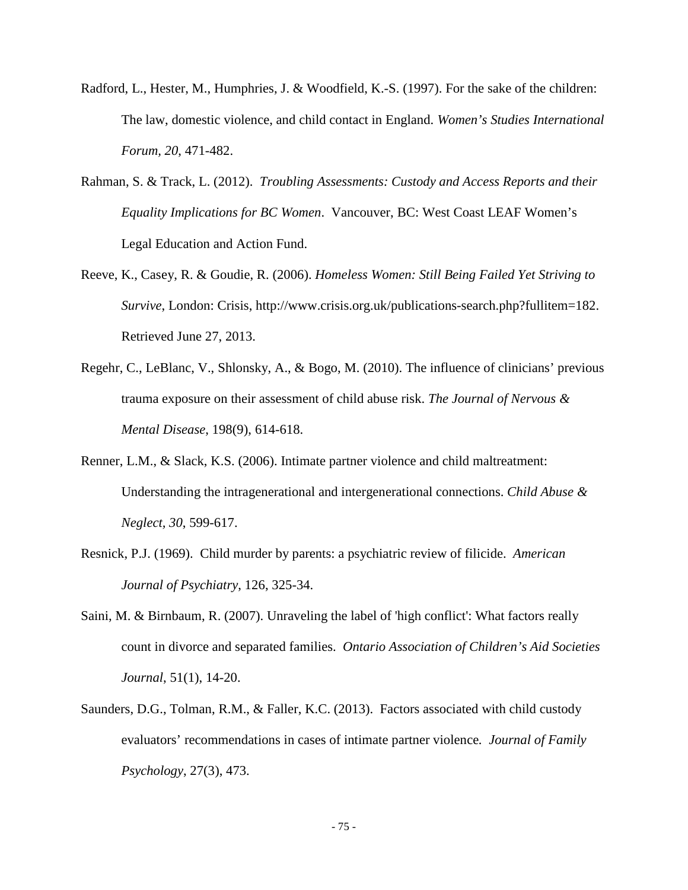- Radford, L., Hester, M., Humphries, J. & Woodfield, K.-S. (1997). For the sake of the children: The law, domestic violence, and child contact in England. *Women's Studies International Forum, 20*, 471-482.
- Rahman, S. & Track, L. (2012). *Troubling Assessments: Custody and Access Reports and their Equality Implications for BC Women*. Vancouver, BC: West Coast LEAF Women's Legal Education and Action Fund.
- Reeve, K., Casey, R. & Goudie, R. (2006). *Homeless Women: Still Being Failed Yet Striving to Survive*, London: Crisis, http://www.crisis.org.uk/publications-search.php?fullitem=182. Retrieved June 27, 2013.
- Regehr, C., LeBlanc, V., Shlonsky, A., & Bogo, M. (2010). The influence of clinicians' previous trauma exposure on their assessment of child abuse risk. *The Journal of Nervous & Mental Disease*, 198(9), 614-618.
- Renner, L.M., & Slack, K.S. (2006). Intimate partner violence and child maltreatment: Understanding the intragenerational and intergenerational connections. *Child Abuse & Neglect, 30*, 599-617.
- Resnick, P.J. (1969). Child murder by parents: a psychiatric review of filicide. *American Journal of Psychiatry*, 126, 325-34.
- Saini, M. & Birnbaum, R. (2007). Unraveling the label of 'high conflict': What factors really count in divorce and separated families. *Ontario Association of Children's Aid Societies Journal*, 51(1), 14-20.
- Saunders, D.G., Tolman, R.M., & Faller, K.C. (2013). Factors associated with child custody evaluators' recommendations in cases of intimate partner violence*. Journal of Family Psychology*, 27(3), 473.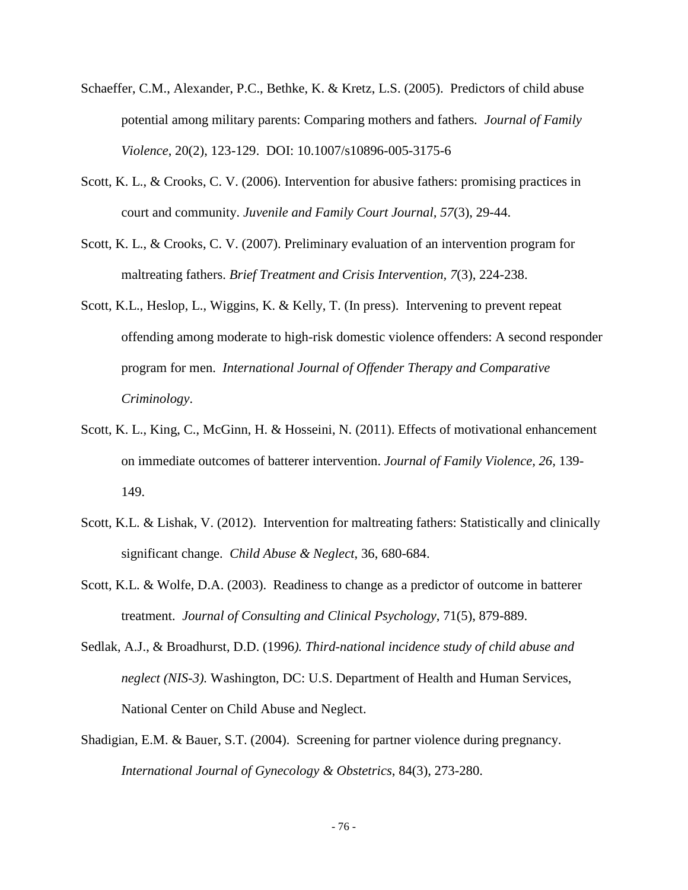- Schaeffer, C.M., Alexander, P.C., Bethke, K. & Kretz, L.S. (2005). Predictors of child abuse potential among military parents: Comparing mothers and fathers*. Journal of Family Violence*, 20(2), 123-129. DOI: 10.1007/s10896-005-3175-6
- Scott, K. L., & Crooks, C. V. (2006). Intervention for abusive fathers: promising practices in court and community. *Juvenile and Family Court Journal, 57*(3), 29-44.
- Scott, K. L., & Crooks, C. V. (2007). Preliminary evaluation of an intervention program for maltreating fathers. *Brief Treatment and Crisis Intervention, 7*(3), 224-238.
- Scott, K.L., Heslop, L., Wiggins, K. & Kelly, T. (In press). Intervening to prevent repeat offending among moderate to high-risk domestic violence offenders: A second responder program for men. *International Journal of Offender Therapy and Comparative Criminology*.
- Scott, K. L., King, C., McGinn, H. & Hosseini, N. (2011). Effects of motivational enhancement on immediate outcomes of batterer intervention. *Journal of Family Violence, 26,* 139- 149.
- Scott, K.L. & Lishak, V. (2012). Intervention for maltreating fathers: Statistically and clinically significant change. *Child Abuse & Neglect*, 36, 680-684.
- Scott, K.L. & Wolfe, D.A. (2003). Readiness to change as a predictor of outcome in batterer treatment. *Journal of Consulting and Clinical Psychology*, 71(5), 879-889.
- Sedlak, A.J., & Broadhurst, D.D. (1996*). Third-national incidence study of child abuse and neglect (NIS-3).* Washington, DC: U.S. Department of Health and Human Services, National Center on Child Abuse and Neglect.
- Shadigian, E.M. & Bauer, S.T. (2004). Screening for partner violence during pregnancy. *International Journal of Gynecology & Obstetrics*, 84(3), 273-280.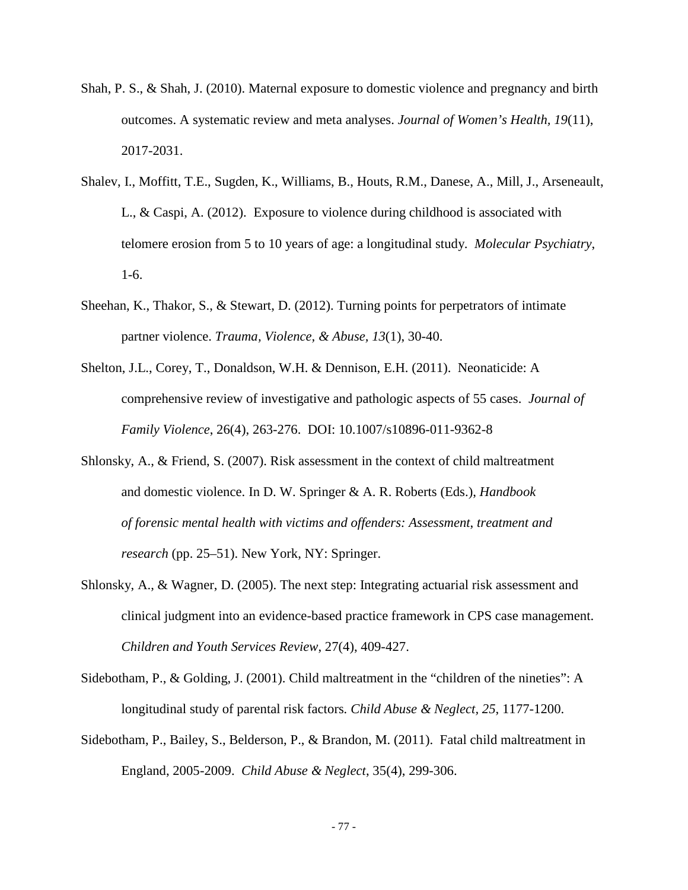- Shah, P. S., & Shah, J. (2010). Maternal exposure to domestic violence and pregnancy and birth outcomes. A systematic review and meta analyses. *Journal of Women's Health, 19*(11), 2017-2031.
- Shalev, I., Moffitt, T.E., Sugden, K., Williams, B., Houts, R.M., Danese, A., Mill, J., Arseneault, L., & Caspi, A. (2012). Exposure to violence during childhood is associated with telomere erosion from 5 to 10 years of age: a longitudinal study. *Molecular Psychiatry*, 1-6.
- Sheehan, K., Thakor, S., & Stewart, D. (2012). Turning points for perpetrators of intimate partner violence. *Trauma, Violence, & Abuse, 13*(1), 30-40.
- Shelton, J.L., Corey, T., Donaldson, W.H. & Dennison, E.H. (2011). Neonaticide: A comprehensive review of investigative and pathologic aspects of 55 cases. *Journal of Family Violence*, 26(4), 263-276. DOI: 10.1007/s10896-011-9362-8
- Shlonsky, A., & Friend, S. (2007). Risk assessment in the context of child maltreatment and domestic violence. In D. W. Springer & A. R. Roberts (Eds.), *Handbook of forensic mental health with victims and offenders: Assessment*, *treatment and research* (pp. 25–51). New York, NY: Springer.
- Shlonsky, A., & Wagner, D. (2005). The next step: Integrating actuarial risk assessment and clinical judgment into an evidence-based practice framework in CPS case management. *Children and Youth Services Review*, 27(4), 409-427.
- Sidebotham, P., & Golding, J. (2001). Child maltreatment in the "children of the nineties": A longitudinal study of parental risk factors*. Child Abuse & Neglect, 25*, 1177-1200.
- Sidebotham, P., Bailey, S., Belderson, P., & Brandon, M. (2011). Fatal child maltreatment in England, 2005-2009. *Child Abuse & Neglect*, 35(4), 299-306.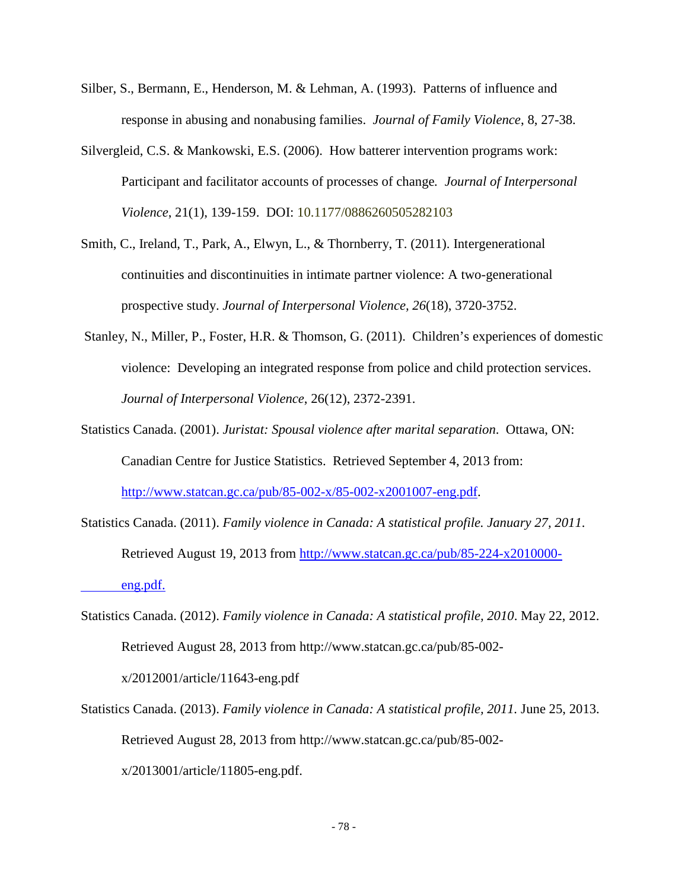- Silber, S., Bermann, E., Henderson, M. & Lehman, A. (1993). Patterns of influence and response in abusing and nonabusing families. *Journal of Family Violence*, 8, 27-38.
- Silvergleid, C.S. & Mankowski, E.S. (2006). How batterer intervention programs work: Participant and facilitator accounts of processes of change*. Journal of Interpersonal Violence*, 21(1), 139-159. DOI: 10.1177/0886260505282103
- Smith, C., Ireland, T., Park, A., Elwyn, L., & Thornberry, T. (2011). Intergenerational continuities and discontinuities in intimate partner violence: A two-generational prospective study. *Journal of Interpersonal Violence, 26*(18), 3720-3752.
- Stanley, N., Miller, P., Foster, H.R. & Thomson, G. (2011). Children's experiences of domestic violence: Developing an integrated response from police and child protection services. *Journal of Interpersonal Violence*, 26(12), 2372-2391.
- Statistics Canada. (2001). *Juristat: Spousal violence after marital separation*. Ottawa, ON: Canadian Centre for Justice Statistics. Retrieved September 4, 2013 from: [http://www.statcan.gc.ca/pub/85-002-x/85-002-x2001007-eng.pdf.](http://www.statcan.gc.ca/pub/85-002-x/85-002-x2001007-eng.pdf)
- Statistics Canada. (2011). *Family violence in Canada: A statistical profile. January 27, 2011*. Retrieved August 19, 2013 from [http://www.statcan.gc.ca/pub/85-224-x2010000](http://www.statcan.gc.ca/pub/85-224-x2010000-%09eng.pdf) [eng.pdf.](http://www.statcan.gc.ca/pub/85-224-x2010000-%09eng.pdf)
- Statistics Canada. (2012). *Family violence in Canada: A statistical profile, 2010*. May 22, 2012. Retrieved August 28, 2013 from http://www.statcan.gc.ca/pub/85-002 x/2012001/article/11643-eng.pdf
- Statistics Canada. (2013). *Family violence in Canada: A statistical profile, 2011.* June 25, 2013. Retrieved August 28, 2013 from http://www.statcan.gc.ca/pub/85-002 x/2013001/article/11805-eng.pdf.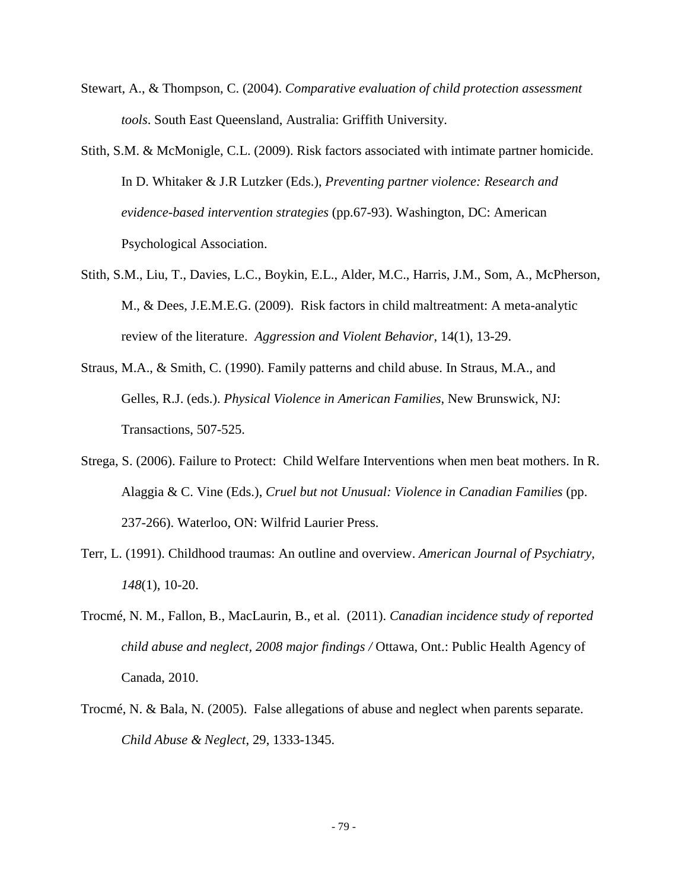- Stewart, A., & Thompson, C. (2004). *Comparative evaluation of child protection assessment tools*. South East Queensland, Australia: Griffith University.
- Stith, S.M. & McMonigle, C.L. (2009). Risk factors associated with intimate partner homicide. In D. Whitaker & J.R Lutzker (Eds.), *Preventing partner violence: Research and evidence-based intervention strategies* (pp.67-93). Washington, DC: American Psychological Association.
- Stith, S.M., Liu, T., Davies, L.C., Boykin, E.L., Alder, M.C., Harris, J.M., Som, A., McPherson, M., & Dees, J.E.M.E.G. (2009). Risk factors in child maltreatment: A meta-analytic review of the literature. *Aggression and Violent Behavior*, 14(1), 13-29.
- Straus, M.A., & Smith, C. (1990). Family patterns and child abuse. In Straus, M.A., and Gelles, R.J. (eds.). *Physical Violence in American Families*, New Brunswick, NJ: Transactions, 507-525.
- Strega, S. (2006). Failure to Protect: Child Welfare Interventions when men beat mothers. In R. Alaggia & C. Vine (Eds.), *Cruel but not Unusual: Violence in Canadian Families* (pp. 237-266). Waterloo, ON: Wilfrid Laurier Press.
- Terr, L. (1991). Childhood traumas: An outline and overview. *American Journal of Psychiatry, 148*(1), 10-20.
- Trocmé, N. M., Fallon, B., MacLaurin, B., et al. (2011). *Canadian incidence study of reported child abuse and neglect, 2008 major findings /* Ottawa, Ont.: Public Health Agency of Canada, 2010.
- Trocmé, N. & Bala, N. (2005). False allegations of abuse and neglect when parents separate. *Child Abuse & Neglect*, 29, 1333-1345.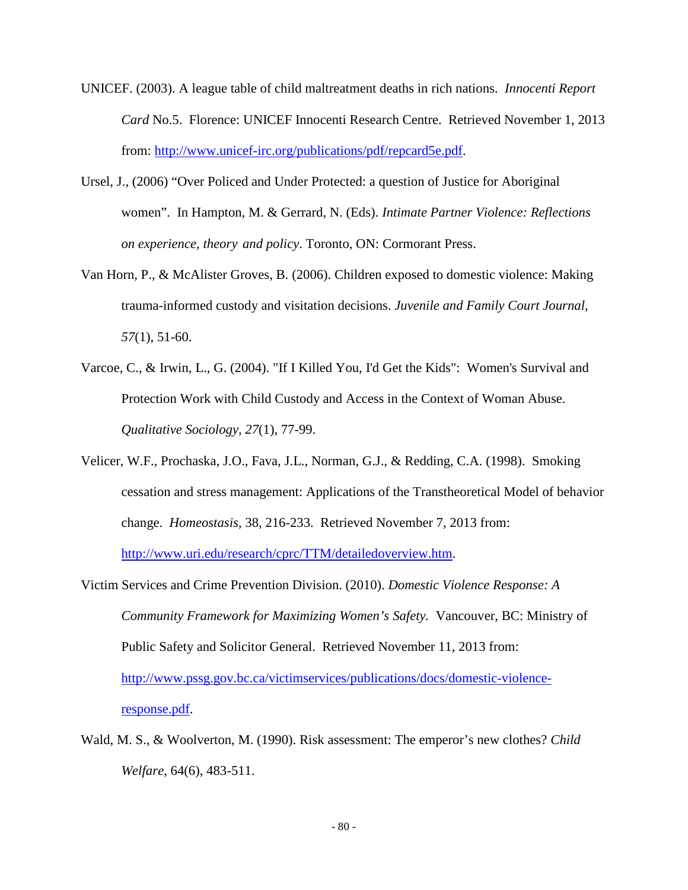- UNICEF. (2003). A league table of child maltreatment deaths in rich nations. *Innocenti Report Card* No.5. Florence: UNICEF Innocenti Research Centre. Retrieved November 1, 2013 from: [http://www.unicef-irc.org/publications/pdf/repcard5e.pdf.](http://www.unicef-irc.org/publications/pdf/repcard5e.pdf)
- Ursel, J., (2006) "Over Policed and Under Protected: a question of Justice for Aboriginal women". In Hampton, M. & Gerrard, N. (Eds). *Intimate Partner Violence: Reflections on experience, theory and policy*. Toronto, ON: Cormorant Press.
- Van Horn, P., & McAlister Groves, B. (2006). Children exposed to domestic violence: Making trauma-informed custody and visitation decisions. *Juvenile and Family Court Journal, 57*(1), 51-60.
- Varcoe, C., & Irwin, L., G. (2004). "If I Killed You, I'd Get the Kids": Women's Survival and Protection Work with Child Custody and Access in the Context of Woman Abuse. *Qualitative Sociology, 27*(1), 77-99.
- Velicer, W.F., Prochaska, J.O., Fava, J.L., Norman, G.J., & Redding, C.A. (1998). Smoking cessation and stress management: Applications of the Transtheoretical Model of behavior change. *Homeostasis*, 38, 216-233. Retrieved November 7, 2013 from: [http://www.uri.edu/research/cprc/TTM/detailedoverview.htm.](http://www.uri.edu/research/cprc/TTM/detailedoverview.htm)
- Victim Services and Crime Prevention Division. (2010). *Domestic Violence Response: A Community Framework for Maximizing Women's Safety.* Vancouver, BC: Ministry of Public Safety and Solicitor General. Retrieved November 11, 2013 from: [http://www.pssg.gov.bc.ca/victimservices/publications/docs/domestic-violence](http://www.pssg.gov.bc.ca/victimservices/publications/docs/domestic-violence-response.pdf)[response.pdf.](http://www.pssg.gov.bc.ca/victimservices/publications/docs/domestic-violence-response.pdf)
- Wald, M. S., & Woolverton, M. (1990). Risk assessment: The emperor's new clothes? *Child Welfare*, 64(6), 483-511.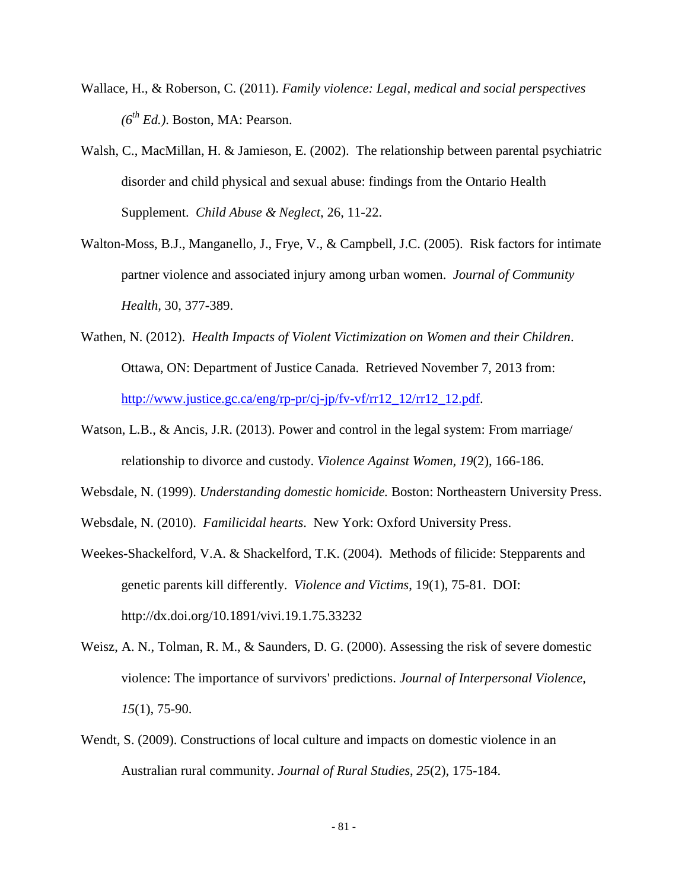- Wallace, H., & Roberson, C. (2011). *Family violence: Legal, medical and social perspectives (6th Ed.)*. Boston, MA: Pearson.
- Walsh, C., MacMillan, H. & Jamieson, E. (2002). The relationship between parental psychiatric disorder and child physical and sexual abuse: findings from the Ontario Health Supplement. *Child Abuse & Neglect*, 26, 11-22.
- Walton-Moss, B.J., Manganello, J., Frye, V., & Campbell, J.C. (2005). Risk factors for intimate partner violence and associated injury among urban women. *Journal of Community Health,* 30, 377-389.
- Wathen, N. (2012). *Health Impacts of Violent Victimization on Women and their Children*. Ottawa, ON: Department of Justice Canada. Retrieved November 7, 2013 from: [http://www.justice.gc.ca/eng/rp-pr/cj-jp/fv-vf/rr12\\_12/rr12\\_12.pdf.](http://www.justice.gc.ca/eng/rp-pr/cj-jp/fv-vf/rr12_12/rr12_12.pdf)
- Watson, L.B., & Ancis, J.R. (2013). Power and control in the legal system: From marriage/ relationship to divorce and custody. *Violence Against Women, 19*(2), 166-186.
- Websdale, N. (1999). *Understanding domestic homicide.* Boston: Northeastern University Press.

Websdale, N. (2010). *Familicidal hearts*. New York: Oxford University Press.

- Weekes-Shackelford, V.A. & Shackelford, T.K. (2004). Methods of filicide: Stepparents and genetic parents kill differently. *Violence and Victims*, 19(1), 75-81. DOI: <http://dx.doi.org/10.1891/vivi.19.1.75.33232>
- Weisz, A. N., Tolman, R. M., & Saunders, D. G. (2000). Assessing the risk of severe domestic violence: The importance of survivors' predictions. *Journal of Interpersonal Violence*, *15*(1), 75-90.
- Wendt, S. (2009). Constructions of local culture and impacts on domestic violence in an Australian rural community. *Journal of Rural Studies*, *25*(2), 175-184.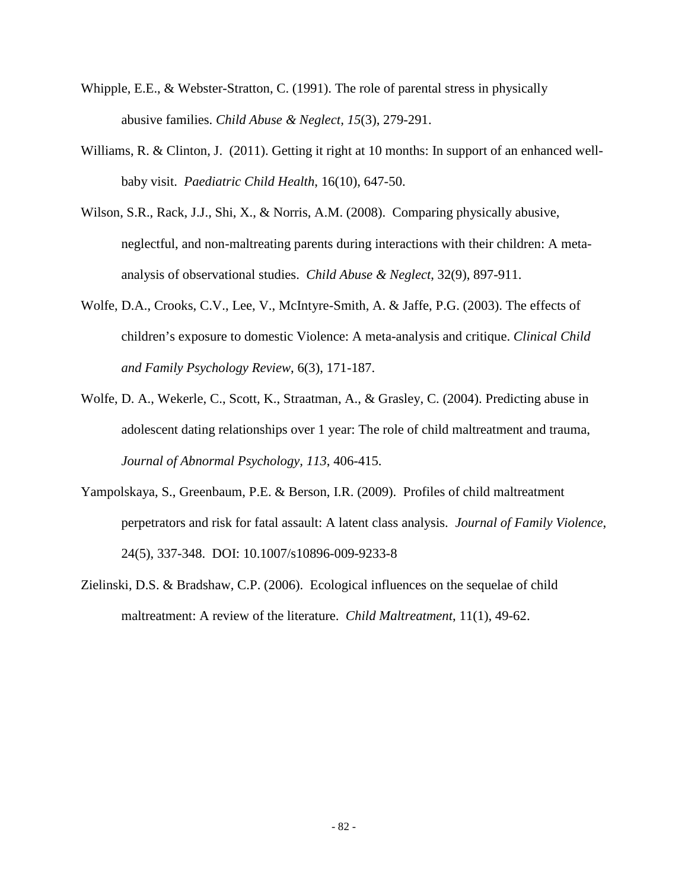- Whipple, E.E., & Webster-Stratton, C. (1991). The role of parental stress in physically abusive families. *Child Abuse & Neglect, 15*(3), 279-291.
- Williams, R. & Clinton, J. (2011). Getting it right at 10 months: In support of an enhanced wellbaby visit. *Paediatric Child Health*, 16(10), 647-50.
- Wilson, S.R., Rack, J.J., Shi, X., & Norris, A.M. (2008). Comparing physically abusive, neglectful, and non-maltreating parents during interactions with their children: A metaanalysis of observational studies. *Child Abuse & Neglect*, 32(9), 897-911.
- Wolfe, D.A., Crooks, C.V., Lee, V., McIntyre-Smith, A. & Jaffe, P.G. (2003). The effects of children's exposure to domestic Violence: A meta-analysis and critique. *Clinical Child and Family Psychology Review*, 6(3), 171-187.
- Wolfe, D. A., Wekerle, C., Scott, K., Straatman, A., & Grasley, C. (2004). Predicting abuse in adolescent dating relationships over 1 year: The role of child maltreatment and trauma, *Journal of Abnormal Psychology, 113*, 406-415.
- Yampolskaya, S., Greenbaum, P.E. & Berson, I.R. (2009). Profiles of child maltreatment perpetrators and risk for fatal assault: A latent class analysis. *Journal of Family Violence*, 24(5), 337-348. DOI: 10.1007/s10896-009-9233-8
- Zielinski, D.S. & Bradshaw, C.P. (2006). Ecological influences on the sequelae of child maltreatment: A review of the literature. *Child Maltreatment*, 11(1), 49-62.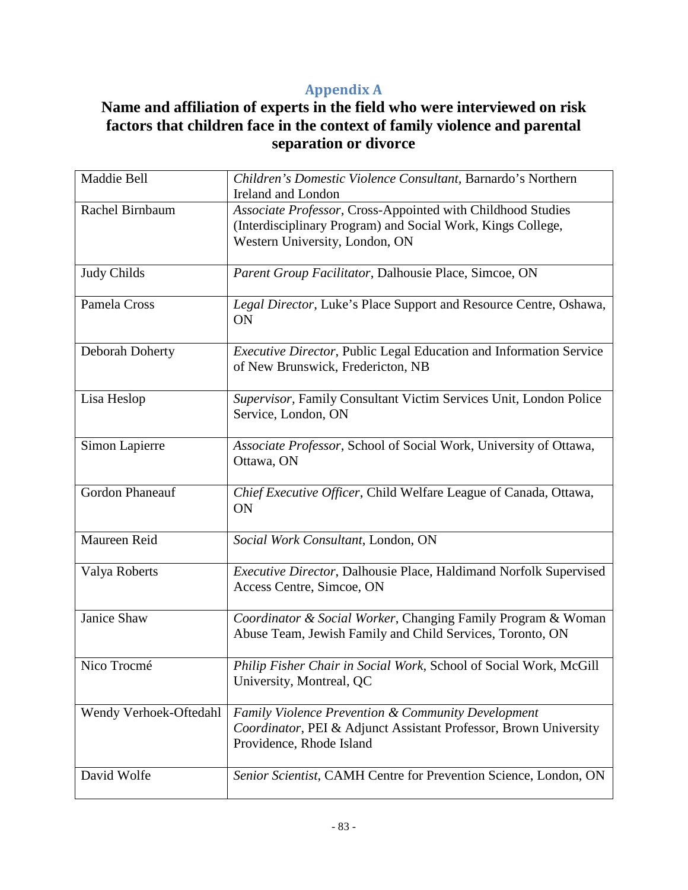# **Appendix A**

# **Name and affiliation of experts in the field who were interviewed on risk factors that children face in the context of family violence and parental separation or divorce**

| Maddie Bell            | Children's Domestic Violence Consultant, Barnardo's Northern<br><b>Ireland and London</b>                                                                     |
|------------------------|---------------------------------------------------------------------------------------------------------------------------------------------------------------|
| Rachel Birnbaum        | Associate Professor, Cross-Appointed with Childhood Studies<br>(Interdisciplinary Program) and Social Work, Kings College,<br>Western University, London, ON  |
| <b>Judy Childs</b>     | Parent Group Facilitator, Dalhousie Place, Simcoe, ON                                                                                                         |
| Pamela Cross           | Legal Director, Luke's Place Support and Resource Centre, Oshawa,<br>ON                                                                                       |
| Deborah Doherty        | Executive Director, Public Legal Education and Information Service<br>of New Brunswick, Fredericton, NB                                                       |
| Lisa Heslop            | Supervisor, Family Consultant Victim Services Unit, London Police<br>Service, London, ON                                                                      |
| Simon Lapierre         | Associate Professor, School of Social Work, University of Ottawa,<br>Ottawa, ON                                                                               |
| Gordon Phaneauf        | Chief Executive Officer, Child Welfare League of Canada, Ottawa,<br><b>ON</b>                                                                                 |
| Maureen Reid           | Social Work Consultant, London, ON                                                                                                                            |
| Valya Roberts          | Executive Director, Dalhousie Place, Haldimand Norfolk Supervised<br>Access Centre, Simcoe, ON                                                                |
| Janice Shaw            | Coordinator & Social Worker, Changing Family Program & Woman<br>Abuse Team, Jewish Family and Child Services, Toronto, ON                                     |
| Nico Trocmé            | Philip Fisher Chair in Social Work, School of Social Work, McGill<br>University, Montreal, QC                                                                 |
| Wendy Verhoek-Oftedahl | <b>Family Violence Prevention &amp; Community Development</b><br>Coordinator, PEI & Adjunct Assistant Professor, Brown University<br>Providence, Rhode Island |
| David Wolfe            | Senior Scientist, CAMH Centre for Prevention Science, London, ON                                                                                              |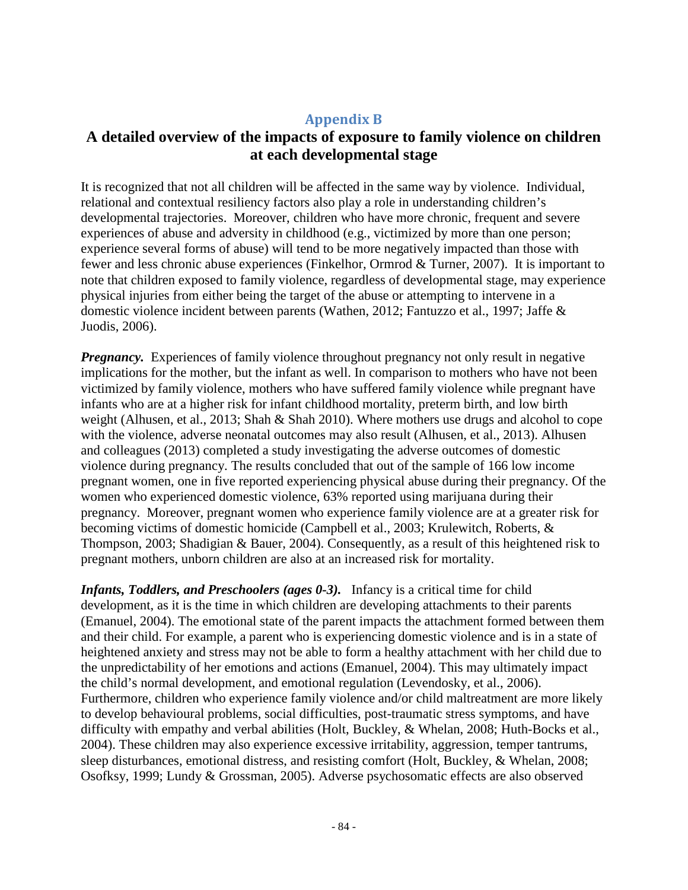### **Appendix B**

## **A detailed overview of the impacts of exposure to family violence on children at each developmental stage**

It is recognized that not all children will be affected in the same way by violence. Individual, relational and contextual resiliency factors also play a role in understanding children's developmental trajectories. Moreover, children who have more chronic, frequent and severe experiences of abuse and adversity in childhood (e.g., victimized by more than one person; experience several forms of abuse) will tend to be more negatively impacted than those with fewer and less chronic abuse experiences (Finkelhor, Ormrod & Turner, 2007). It is important to note that children exposed to family violence, regardless of developmental stage, may experience physical injuries from either being the target of the abuse or attempting to intervene in a domestic violence incident between parents (Wathen, 2012; Fantuzzo et al., 1997; Jaffe & Juodis, 2006).

*Pregnancy.* Experiences of family violence throughout pregnancy not only result in negative implications for the mother, but the infant as well. In comparison to mothers who have not been victimized by family violence, mothers who have suffered family violence while pregnant have infants who are at a higher risk for infant childhood mortality, preterm birth, and low birth weight (Alhusen, et al., 2013; Shah & Shah 2010). Where mothers use drugs and alcohol to cope with the violence, adverse neonatal outcomes may also result (Alhusen, et al., 2013). Alhusen and colleagues (2013) completed a study investigating the adverse outcomes of domestic violence during pregnancy. The results concluded that out of the sample of 166 low income pregnant women, one in five reported experiencing physical abuse during their pregnancy. Of the women who experienced domestic violence, 63% reported using marijuana during their pregnancy. Moreover, pregnant women who experience family violence are at a greater risk for becoming victims of domestic homicide (Campbell et al., 2003; Krulewitch, Roberts, & Thompson, 2003; Shadigian & Bauer, 2004). Consequently, as a result of this heightened risk to pregnant mothers, unborn children are also at an increased risk for mortality.

*Infants, Toddlers, and Preschoolers (ages 0-3).* Infancy is a critical time for child development, as it is the time in which children are developing attachments to their parents (Emanuel, 2004). The emotional state of the parent impacts the attachment formed between them and their child. For example, a parent who is experiencing domestic violence and is in a state of heightened anxiety and stress may not be able to form a healthy attachment with her child due to the unpredictability of her emotions and actions (Emanuel, 2004). This may ultimately impact the child's normal development, and emotional regulation (Levendosky, et al., 2006). Furthermore, children who experience family violence and/or child maltreatment are more likely to develop behavioural problems, social difficulties, post-traumatic stress symptoms, and have difficulty with empathy and verbal abilities (Holt, Buckley, & Whelan, 2008; Huth-Bocks et al., 2004). These children may also experience excessive irritability, aggression, temper tantrums, sleep disturbances, emotional distress, and resisting comfort (Holt, Buckley, & Whelan, 2008; Osofksy, 1999; Lundy & Grossman, 2005). Adverse psychosomatic effects are also observed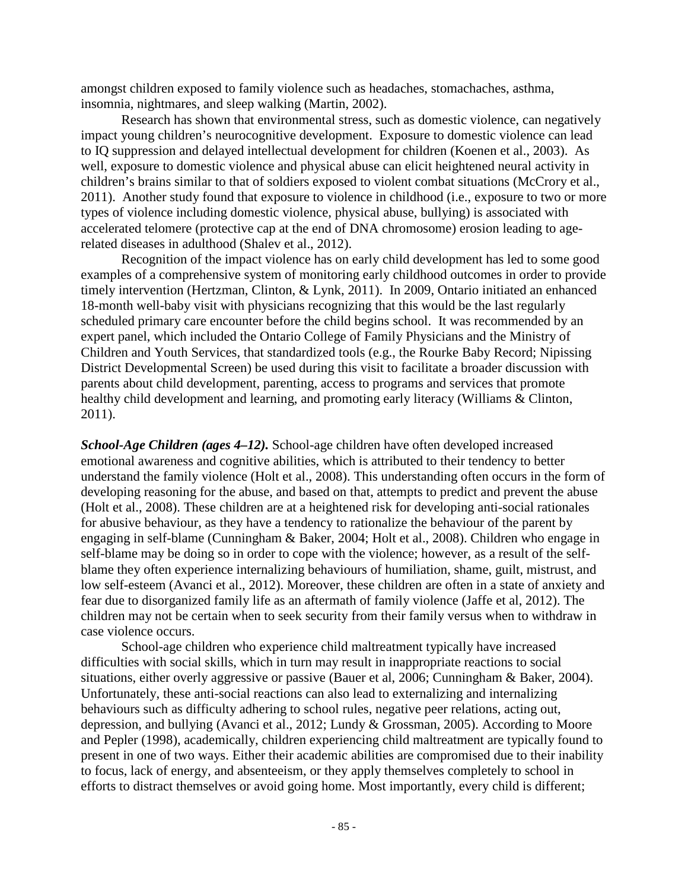amongst children exposed to family violence such as headaches, stomachaches, asthma, insomnia, nightmares, and sleep walking (Martin, 2002).

Research has shown that environmental stress, such as domestic violence, can negatively impact young children's neurocognitive development. Exposure to domestic violence can lead to IQ suppression and delayed intellectual development for children (Koenen et al., 2003). As well, exposure to domestic violence and physical abuse can elicit heightened neural activity in children's brains similar to that of soldiers exposed to violent combat situations (McCrory et al., 2011). Another study found that exposure to violence in childhood (i.e., exposure to two or more types of violence including domestic violence, physical abuse, bullying) is associated with accelerated telomere (protective cap at the end of DNA chromosome) erosion leading to agerelated diseases in adulthood (Shalev et al., 2012).

Recognition of the impact violence has on early child development has led to some good examples of a comprehensive system of monitoring early childhood outcomes in order to provide timely intervention (Hertzman, Clinton, & Lynk, 2011). In 2009, Ontario initiated an enhanced 18-month well-baby visit with physicians recognizing that this would be the last regularly scheduled primary care encounter before the child begins school. It was recommended by an expert panel, which included the Ontario College of Family Physicians and the Ministry of Children and Youth Services, that standardized tools (e.g., the Rourke Baby Record; Nipissing District Developmental Screen) be used during this visit to facilitate a broader discussion with parents about child development, parenting, access to programs and services that promote healthy child development and learning, and promoting early literacy (Williams & Clinton, 2011).

*School-Age Children (ages 4–12).* School-age children have often developed increased emotional awareness and cognitive abilities, which is attributed to their tendency to better understand the family violence (Holt et al., 2008). This understanding often occurs in the form of developing reasoning for the abuse, and based on that, attempts to predict and prevent the abuse (Holt et al., 2008). These children are at a heightened risk for developing anti-social rationales for abusive behaviour, as they have a tendency to rationalize the behaviour of the parent by engaging in self-blame (Cunningham & Baker, 2004; Holt et al., 2008). Children who engage in self-blame may be doing so in order to cope with the violence; however, as a result of the selfblame they often experience internalizing behaviours of humiliation, shame, guilt, mistrust, and low self-esteem (Avanci et al., 2012). Moreover, these children are often in a state of anxiety and fear due to disorganized family life as an aftermath of family violence (Jaffe et al, 2012). The children may not be certain when to seek security from their family versus when to withdraw in case violence occurs.

School-age children who experience child maltreatment typically have increased difficulties with social skills, which in turn may result in inappropriate reactions to social situations, either overly aggressive or passive (Bauer et al, 2006; Cunningham & Baker, 2004). Unfortunately, these anti-social reactions can also lead to externalizing and internalizing behaviours such as difficulty adhering to school rules, negative peer relations, acting out, depression, and bullying (Avanci et al., 2012; Lundy & Grossman, 2005). According to Moore and Pepler (1998), academically, children experiencing child maltreatment are typically found to present in one of two ways. Either their academic abilities are compromised due to their inability to focus, lack of energy, and absenteeism, or they apply themselves completely to school in efforts to distract themselves or avoid going home. Most importantly, every child is different;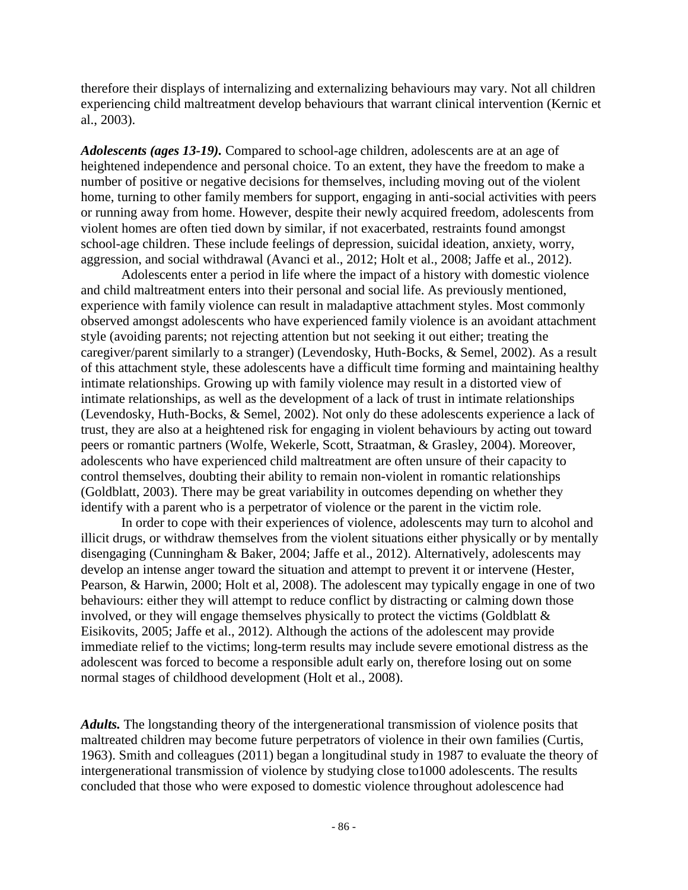therefore their displays of internalizing and externalizing behaviours may vary. Not all children experiencing child maltreatment develop behaviours that warrant clinical intervention (Kernic et al., 2003).

*Adolescents (ages 13-19).* Compared to school-age children, adolescents are at an age of heightened independence and personal choice. To an extent, they have the freedom to make a number of positive or negative decisions for themselves, including moving out of the violent home, turning to other family members for support, engaging in anti-social activities with peers or running away from home. However, despite their newly acquired freedom, adolescents from violent homes are often tied down by similar, if not exacerbated, restraints found amongst school-age children. These include feelings of depression, suicidal ideation, anxiety, worry, aggression, and social withdrawal (Avanci et al., 2012; Holt et al., 2008; Jaffe et al., 2012).

Adolescents enter a period in life where the impact of a history with domestic violence and child maltreatment enters into their personal and social life. As previously mentioned, experience with family violence can result in maladaptive attachment styles. Most commonly observed amongst adolescents who have experienced family violence is an avoidant attachment style (avoiding parents; not rejecting attention but not seeking it out either; treating the caregiver/parent similarly to a stranger) (Levendosky, Huth-Bocks, & Semel, 2002). As a result of this attachment style, these adolescents have a difficult time forming and maintaining healthy intimate relationships. Growing up with family violence may result in a distorted view of intimate relationships, as well as the development of a lack of trust in intimate relationships (Levendosky, Huth-Bocks, & Semel, 2002). Not only do these adolescents experience a lack of trust, they are also at a heightened risk for engaging in violent behaviours by acting out toward peers or romantic partners (Wolfe, Wekerle, Scott, Straatman, & Grasley, 2004). Moreover, adolescents who have experienced child maltreatment are often unsure of their capacity to control themselves, doubting their ability to remain non-violent in romantic relationships (Goldblatt, 2003). There may be great variability in outcomes depending on whether they identify with a parent who is a perpetrator of violence or the parent in the victim role.

In order to cope with their experiences of violence, adolescents may turn to alcohol and illicit drugs, or withdraw themselves from the violent situations either physically or by mentally disengaging (Cunningham & Baker, 2004; Jaffe et al., 2012). Alternatively, adolescents may develop an intense anger toward the situation and attempt to prevent it or intervene (Hester, Pearson, & Harwin, 2000; Holt et al, 2008). The adolescent may typically engage in one of two behaviours: either they will attempt to reduce conflict by distracting or calming down those involved, or they will engage themselves physically to protect the victims (Goldblatt  $\&$ Eisikovits, 2005; Jaffe et al., 2012). Although the actions of the adolescent may provide immediate relief to the victims; long-term results may include severe emotional distress as the adolescent was forced to become a responsible adult early on, therefore losing out on some normal stages of childhood development (Holt et al., 2008).

*Adults.* The longstanding theory of the intergenerational transmission of violence posits that maltreated children may become future perpetrators of violence in their own families (Curtis, 1963). Smith and colleagues (2011) began a longitudinal study in 1987 to evaluate the theory of intergenerational transmission of violence by studying close to1000 adolescents. The results concluded that those who were exposed to domestic violence throughout adolescence had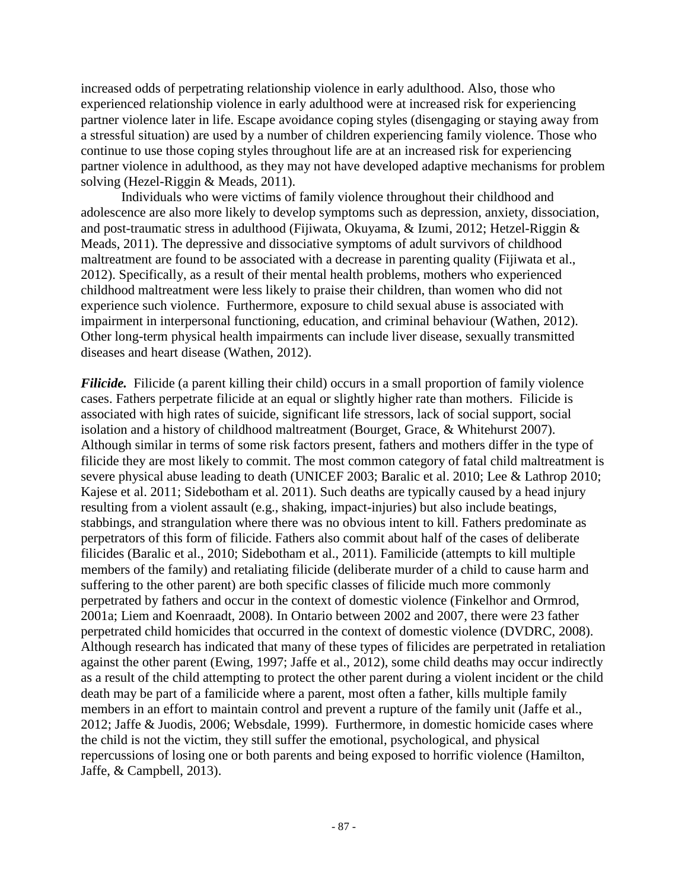increased odds of perpetrating relationship violence in early adulthood. Also, those who experienced relationship violence in early adulthood were at increased risk for experiencing partner violence later in life. Escape avoidance coping styles (disengaging or staying away from a stressful situation) are used by a number of children experiencing family violence. Those who continue to use those coping styles throughout life are at an increased risk for experiencing partner violence in adulthood, as they may not have developed adaptive mechanisms for problem solving (Hezel-Riggin & Meads, 2011).

Individuals who were victims of family violence throughout their childhood and adolescence are also more likely to develop symptoms such as depression, anxiety, dissociation, and post-traumatic stress in adulthood (Fijiwata, Okuyama, & Izumi, 2012; Hetzel-Riggin & Meads, 2011). The depressive and dissociative symptoms of adult survivors of childhood maltreatment are found to be associated with a decrease in parenting quality (Fijiwata et al., 2012). Specifically, as a result of their mental health problems, mothers who experienced childhood maltreatment were less likely to praise their children, than women who did not experience such violence. Furthermore, exposure to child sexual abuse is associated with impairment in interpersonal functioning, education, and criminal behaviour (Wathen, 2012). Other long-term physical health impairments can include liver disease, sexually transmitted diseases and heart disease (Wathen, 2012).

*Filicide.* Filicide (a parent killing their child) occurs in a small proportion of family violence cases. Fathers perpetrate filicide at an equal or slightly higher rate than mothers. Filicide is associated with high rates of suicide, significant life stressors, lack of social support, social isolation and a history of childhood maltreatment (Bourget, Grace, & Whitehurst 2007). Although similar in terms of some risk factors present, fathers and mothers differ in the type of filicide they are most likely to commit. The most common category of fatal child maltreatment is severe physical abuse leading to death (UNICEF 2003; Baralic et al. 2010; Lee & Lathrop 2010; Kajese et al. 2011; Sidebotham et al. 2011). Such deaths are typically caused by a head injury resulting from a violent assault (e.g., shaking, impact-injuries) but also include beatings, stabbings, and strangulation where there was no obvious intent to kill. Fathers predominate as perpetrators of this form of filicide. Fathers also commit about half of the cases of deliberate filicides (Baralic et al., 2010; Sidebotham et al., 2011). Familicide (attempts to kill multiple members of the family) and retaliating filicide (deliberate murder of a child to cause harm and suffering to the other parent) are both specific classes of filicide much more commonly perpetrated by fathers and occur in the context of domestic violence (Finkelhor and Ormrod, 2001a; Liem and Koenraadt, 2008). In Ontario between 2002 and 2007, there were 23 father perpetrated child homicides that occurred in the context of domestic violence (DVDRC, 2008). Although research has indicated that many of these types of filicides are perpetrated in retaliation against the other parent (Ewing, 1997; Jaffe et al., 2012), some child deaths may occur indirectly as a result of the child attempting to protect the other parent during a violent incident or the child death may be part of a familicide where a parent, most often a father, kills multiple family members in an effort to maintain control and prevent a rupture of the family unit (Jaffe et al., 2012; Jaffe & Juodis, 2006; Websdale, 1999). Furthermore, in domestic homicide cases where the child is not the victim, they still suffer the emotional, psychological, and physical repercussions of losing one or both parents and being exposed to horrific violence (Hamilton, Jaffe, & Campbell, 2013).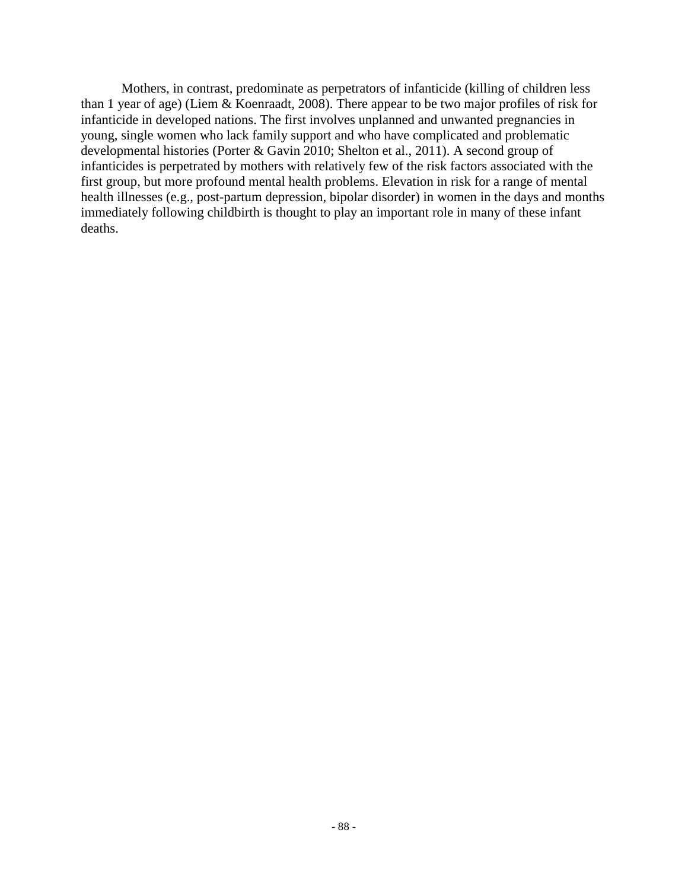Mothers, in contrast, predominate as perpetrators of infanticide (killing of children less than 1 year of age) (Liem & Koenraadt, 2008). There appear to be two major profiles of risk for infanticide in developed nations. The first involves unplanned and unwanted pregnancies in young, single women who lack family support and who have complicated and problematic developmental histories (Porter & Gavin 2010; Shelton et al., 2011). A second group of infanticides is perpetrated by mothers with relatively few of the risk factors associated with the first group, but more profound mental health problems. Elevation in risk for a range of mental health illnesses (e.g., post-partum depression, bipolar disorder) in women in the days and months immediately following childbirth is thought to play an important role in many of these infant deaths.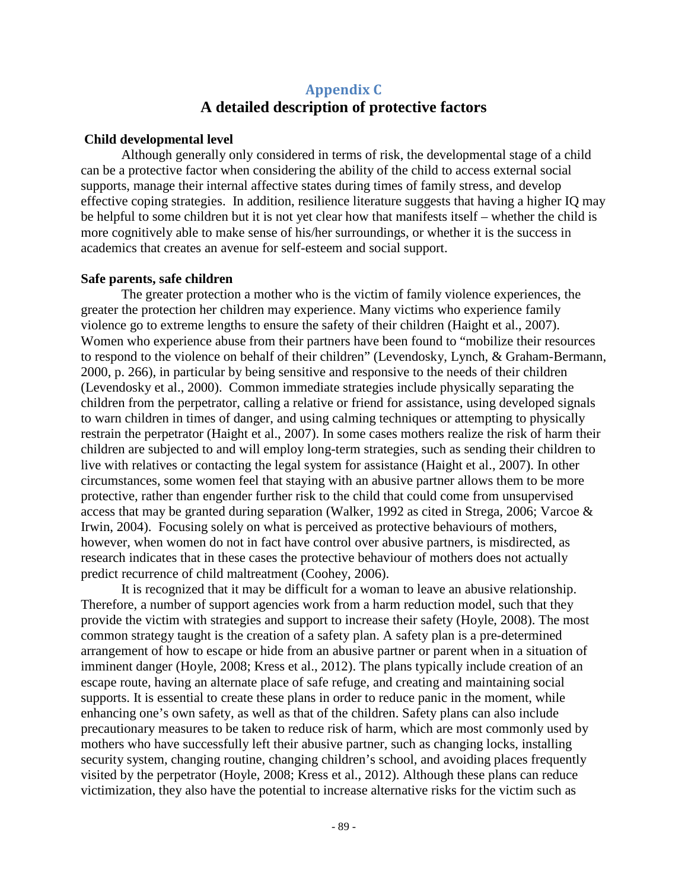## **Appendix C A detailed description of protective factors**

### **Child developmental level**

Although generally only considered in terms of risk, the developmental stage of a child can be a protective factor when considering the ability of the child to access external social supports, manage their internal affective states during times of family stress, and develop effective coping strategies. In addition, resilience literature suggests that having a higher IQ may be helpful to some children but it is not yet clear how that manifests itself – whether the child is more cognitively able to make sense of his/her surroundings, or whether it is the success in academics that creates an avenue for self-esteem and social support.

#### **Safe parents, safe children**

The greater protection a mother who is the victim of family violence experiences, the greater the protection her children may experience. Many victims who experience family violence go to extreme lengths to ensure the safety of their children (Haight et al., 2007). Women who experience abuse from their partners have been found to "mobilize their resources to respond to the violence on behalf of their children" (Levendosky, Lynch, & Graham-Bermann, 2000, p. 266), in particular by being sensitive and responsive to the needs of their children (Levendosky et al., 2000). Common immediate strategies include physically separating the children from the perpetrator, calling a relative or friend for assistance, using developed signals to warn children in times of danger, and using calming techniques or attempting to physically restrain the perpetrator (Haight et al., 2007). In some cases mothers realize the risk of harm their children are subjected to and will employ long-term strategies, such as sending their children to live with relatives or contacting the legal system for assistance (Haight et al., 2007). In other circumstances, some women feel that staying with an abusive partner allows them to be more protective, rather than engender further risk to the child that could come from unsupervised access that may be granted during separation (Walker, 1992 as cited in Strega, 2006; Varcoe & Irwin, 2004). Focusing solely on what is perceived as protective behaviours of mothers, however, when women do not in fact have control over abusive partners, is misdirected, as research indicates that in these cases the protective behaviour of mothers does not actually predict recurrence of child maltreatment [\(Coohey, 2006\)](#page-60-0).

It is recognized that it may be difficult for a woman to leave an abusive relationship. Therefore, a number of support agencies work from a harm reduction model, such that they provide the victim with strategies and support to increase their safety (Hoyle, 2008). The most common strategy taught is the creation of a safety plan. A safety plan is a pre-determined arrangement of how to escape or hide from an abusive partner or parent when in a situation of imminent danger (Hoyle, 2008; Kress et al., 2012). The plans typically include creation of an escape route, having an alternate place of safe refuge, and creating and maintaining social supports. It is essential to create these plans in order to reduce panic in the moment, while enhancing one's own safety, as well as that of the children. Safety plans can also include precautionary measures to be taken to reduce risk of harm, which are most commonly used by mothers who have successfully left their abusive partner, such as changing locks, installing security system, changing routine, changing children's school, and avoiding places frequently visited by the perpetrator (Hoyle, 2008; Kress et al., 2012). Although these plans can reduce victimization, they also have the potential to increase alternative risks for the victim such as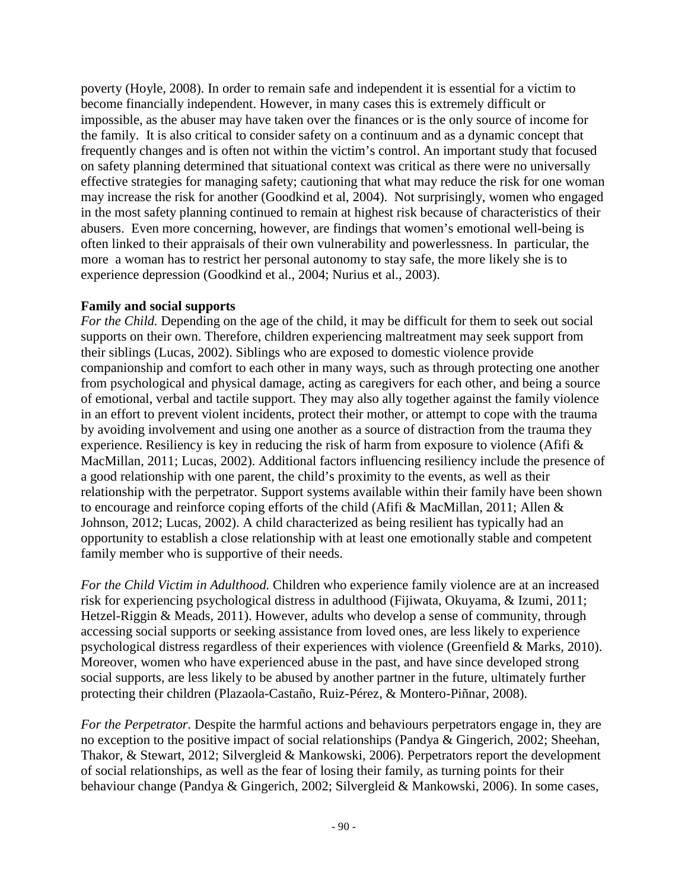poverty (Hoyle, 2008). In order to remain safe and independent it is essential for a victim to become financially independent. However, in many cases this is extremely difficult or impossible, as the abuser may have taken over the finances or is the only source of income for the family. It is also critical to consider safety on a continuum and as a dynamic concept that frequently changes and is often not within the victim's control. An important study that focused on safety planning determined that situational context was critical as there were no universally effective strategies for managing safety; cautioning that what may reduce the risk for one woman may increase the risk for another (Goodkind et al, 2004). Not surprisingly, women who engaged in the most safety planning continued to remain at highest risk because of characteristics of their abusers. Even more concerning, however, are findings that women's emotional well-being is often linked to their appraisals of their own vulnerability and powerlessness. In particular, the more a woman has to restrict her personal autonomy to stay safe, the more likely she is to experience depression (Goodkind et al., 2004; Nurius et al., 2003).

### **Family and social supports**

*For the Child.* Depending on the age of the child, it may be difficult for them to seek out social supports on their own. Therefore, children experiencing maltreatment may seek support from their siblings (Lucas, 2002). Siblings who are exposed to domestic violence provide companionship and comfort to each other in many ways, such as through protecting one another from psychological and physical damage, acting as caregivers for each other, and being a source of emotional, verbal and tactile support. They may also ally together against the family violence in an effort to prevent violent incidents, protect their mother, or attempt to cope with the trauma by avoiding involvement and using one another as a source of distraction from the trauma they experience. Resiliency is key in reducing the risk of harm from exposure to violence (Afifi & MacMillan, 2011; Lucas, 2002). Additional factors influencing resiliency include the presence of a good relationship with one parent, the child's proximity to the events, as well as their relationship with the perpetrator. Support systems available within their family have been shown to encourage and reinforce coping efforts of the child (Afifi & MacMillan, 2011; Allen & Johnson, 2012; Lucas, 2002). A child characterized as being resilient has typically had an opportunity to establish a close relationship with at least one emotionally stable and competent family member who is supportive of their needs.

*For the Child Victim in Adulthood.* Children who experience family violence are at an increased risk for experiencing psychological distress in adulthood (Fijiwata, Okuyama, & Izumi, 2011; Hetzel-Riggin & Meads, 2011). However, adults who develop a sense of community, through accessing social supports or seeking assistance from loved ones, are less likely to experience psychological distress regardless of their experiences with violence (Greenfield & Marks, 2010). Moreover, women who have experienced abuse in the past, and have since developed strong social supports, are less likely to be abused by another partner in the future, ultimately further protecting their children (Plazaola-Castaño, Ruiz-Pérez, & Montero-Piñnar, 2008).

*For the Perpetrator.* Despite the harmful actions and behaviours perpetrators engage in, they are no exception to the positive impact of social relationships (Pandya & Gingerich, 2002; Sheehan, Thakor, & Stewart, 2012; Silvergleid & Mankowski, 2006). Perpetrators report the development of social relationships, as well as the fear of losing their family, as turning points for their behaviour change (Pandya & Gingerich, 2002; Silvergleid & Mankowski, 2006). In some cases,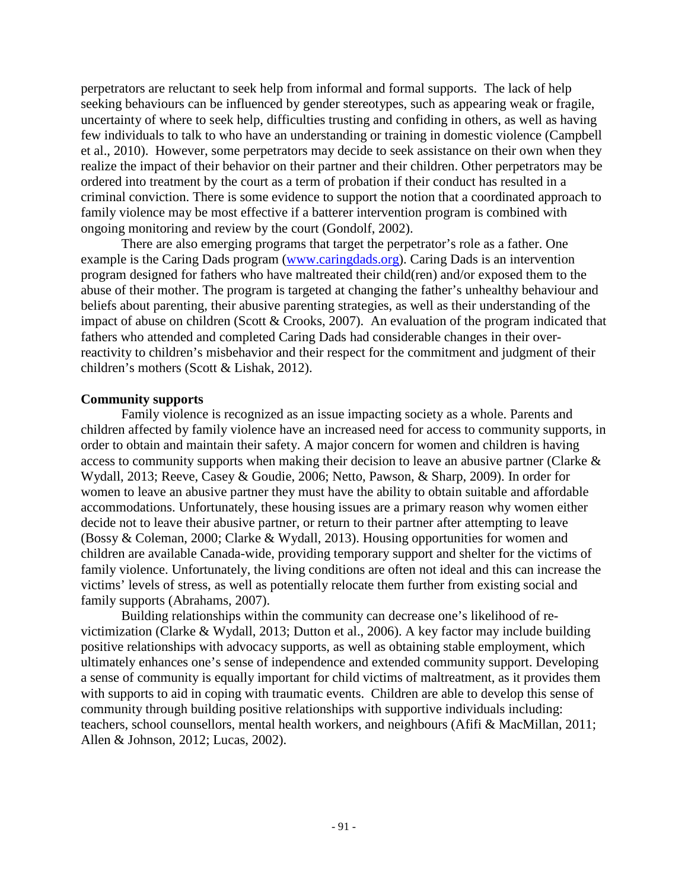perpetrators are reluctant to seek help from informal and formal supports. The lack of help seeking behaviours can be influenced by gender stereotypes, such as appearing weak or fragile, uncertainty of where to seek help, difficulties trusting and confiding in others, as well as having few individuals to talk to who have an understanding or training in domestic violence (Campbell et al., 2010). However, some perpetrators may decide to seek assistance on their own when they realize the impact of their behavior on their partner and their children. Other perpetrators may be ordered into treatment by the court as a term of probation if their conduct has resulted in a criminal conviction. There is some evidence to support the notion that a coordinated approach to family violence may be most effective if a batterer intervention program is combined with ongoing monitoring and review by the court (Gondolf, 2002).

There are also emerging programs that target the perpetrator's role as a father. One example is the Caring Dads program [\(www.caringdads.org\)](http://www.caringdads.org/). Caring Dads is an intervention program designed for fathers who have maltreated their child(ren) and/or exposed them to the abuse of their mother. The program is targeted at changing the father's unhealthy behaviour and beliefs about parenting, their abusive parenting strategies, as well as their understanding of the impact of abuse on children (Scott & Crooks, 2007). An evaluation of the program indicated that fathers who attended and completed Caring Dads had considerable changes in their overreactivity to children's misbehavior and their respect for the commitment and judgment of their children's mothers (Scott & Lishak, 2012).

#### **Community supports**

Family violence is recognized as an issue impacting society as a whole. Parents and children affected by family violence have an increased need for access to community supports, in order to obtain and maintain their safety. A major concern for women and children is having access to community supports when making their decision to leave an abusive partner (Clarke & Wydall, 2013; Reeve, Casey & Goudie, 2006; Netto, Pawson, & Sharp, 2009). In order for women to leave an abusive partner they must have the ability to obtain suitable and affordable accommodations. Unfortunately, these housing issues are a primary reason why women either decide not to leave their abusive partner, or return to their partner after attempting to leave (Bossy & Coleman, 2000; Clarke & Wydall, 2013). Housing opportunities for women and children are available Canada-wide, providing temporary support and shelter for the victims of family violence. Unfortunately, the living conditions are often not ideal and this can increase the victims' levels of stress, as well as potentially relocate them further from existing social and family supports (Abrahams, 2007).

Building relationships within the community can decrease one's likelihood of revictimization (Clarke & Wydall, 2013; Dutton et al., 2006). A key factor may include building positive relationships with advocacy supports, as well as obtaining stable employment, which ultimately enhances one's sense of independence and extended community support. Developing a sense of community is equally important for child victims of maltreatment, as it provides them with supports to aid in coping with traumatic events. Children are able to develop this sense of community through building positive relationships with supportive individuals including: teachers, school counsellors, mental health workers, and neighbours (Afifi & MacMillan, 2011; Allen & Johnson, 2012; Lucas, 2002).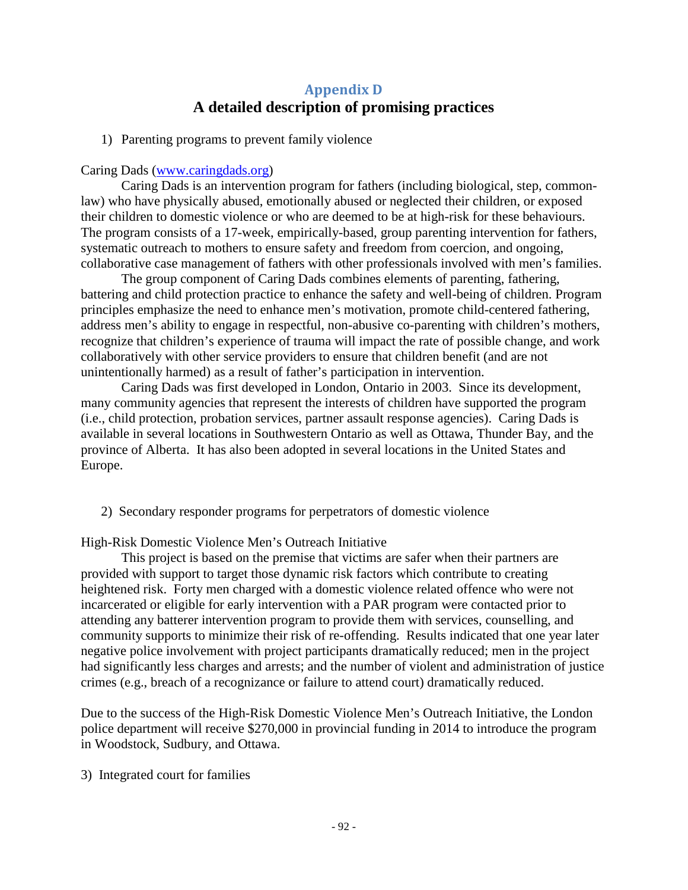# **Appendix D A detailed description of promising practices**

1) Parenting programs to prevent family violence

### Caring Dads [\(www.caringdads.org\)](http://www.caringdads.org/)

Caring Dads is an intervention program for fathers (including biological, step, commonlaw) who have physically abused, emotionally abused or neglected their children, or exposed their children to domestic violence or who are deemed to be at high-risk for these behaviours. The program consists of a 17-week, empirically-based, group parenting intervention for fathers, systematic outreach to mothers to ensure safety and freedom from coercion, and ongoing, collaborative case management of fathers with other professionals involved with men's families.

The group component of Caring Dads combines elements of parenting, fathering, battering and child protection practice to enhance the safety and well-being of children. Program principles emphasize the need to enhance men's motivation, promote child-centered fathering, address men's ability to engage in respectful, non-abusive co-parenting with children's mothers, recognize that children's experience of trauma will impact the rate of possible change, and work collaboratively with other service providers to ensure that children benefit (and are not unintentionally harmed) as a result of father's participation in intervention.

Caring Dads was first developed in London, Ontario in 2003. Since its development, many community agencies that represent the interests of children have supported the program (i.e., child protection, probation services, partner assault response agencies). Caring Dads is available in several locations in Southwestern Ontario as well as Ottawa, Thunder Bay, and the province of Alberta. It has also been adopted in several locations in the United States and Europe.

2) Secondary responder programs for perpetrators of domestic violence

High-Risk Domestic Violence Men's Outreach Initiative

This project is based on the premise that victims are safer when their partners are provided with support to target those dynamic risk factors which contribute to creating heightened risk. Forty men charged with a domestic violence related offence who were not incarcerated or eligible for early intervention with a PAR program were contacted prior to attending any batterer intervention program to provide them with services, counselling, and community supports to minimize their risk of re-offending. Results indicated that one year later negative police involvement with project participants dramatically reduced; men in the project had significantly less charges and arrests; and the number of violent and administration of justice crimes (e.g., breach of a recognizance or failure to attend court) dramatically reduced.

Due to the success of the High-Risk Domestic Violence Men's Outreach Initiative, the London police department will receive \$270,000 in provincial funding in 2014 to introduce the program in Woodstock, Sudbury, and Ottawa.

3) Integrated court for families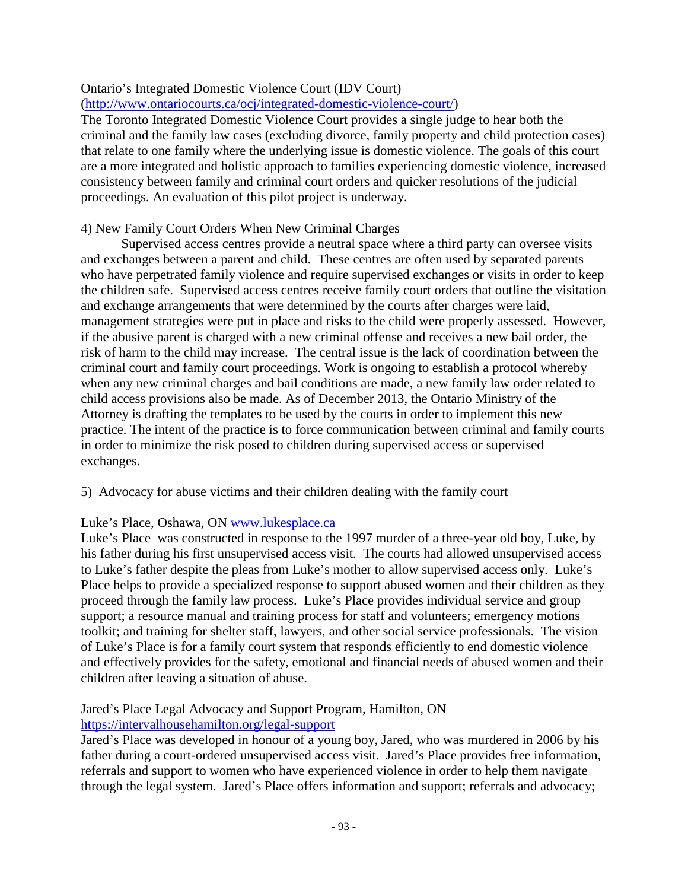### Ontario's Integrated Domestic Violence Court (IDV Court)

### [\(http://www.ontariocourts.ca/ocj/integrated-domestic-violence-court/\)](http://www.ontariocourts.ca/ocj/integrated-domestic-violence-court/)

The Toronto Integrated Domestic Violence Court provides a single judge to hear both the criminal and the family law cases (excluding divorce, family property and child protection cases) that relate to one family where the underlying issue is domestic violence. The goals of this court are a more integrated and holistic approach to families experiencing domestic violence, increased consistency between family and criminal court orders and quicker resolutions of the judicial proceedings. An evaluation of this pilot project is underway.

### 4) New Family Court Orders When New Criminal Charges

Supervised access centres provide a neutral space where a third party can oversee visits and exchanges between a parent and child. These centres are often used by separated parents who have perpetrated family violence and require supervised exchanges or visits in order to keep the children safe. Supervised access centres receive family court orders that outline the visitation and exchange arrangements that were determined by the courts after charges were laid, management strategies were put in place and risks to the child were properly assessed. However, if the abusive parent is charged with a new criminal offense and receives a new bail order, the risk of harm to the child may increase. The central issue is the lack of coordination between the criminal court and family court proceedings. Work is ongoing to establish a protocol whereby when any new criminal charges and bail conditions are made, a new family law order related to child access provisions also be made. As of December 2013, the Ontario Ministry of the Attorney is drafting the templates to be used by the courts in order to implement this new practice. The intent of the practice is to force communication between criminal and family courts in order to minimize the risk posed to children during supervised access or supervised exchanges.

### 5) Advocacy for abuse victims and their children dealing with the family court

### Luke's Place, Oshawa, ON [www.lukesplace.ca](http://www.lukesplace.ca/)

Luke's Place was constructed in response to the 1997 murder of a three-year old boy, Luke, by his father during his first unsupervised access visit. The courts had allowed unsupervised access to Luke's father despite the pleas from Luke's mother to allow supervised access only. Luke's Place helps to provide a specialized response to support abused women and their children as they proceed through the family law process. Luke's Place provides individual service and group support; a resource manual and training process for staff and volunteers; emergency motions toolkit; and training for shelter staff, lawyers, and other social service professionals. The vision of Luke's Place is for a family court system that responds efficiently to end domestic violence and effectively provides for the safety, emotional and financial needs of abused women and their children after leaving a situation of abuse.

## Jared's Place Legal Advocacy and Support Program, Hamilton, ON

### <https://intervalhousehamilton.org/legal-support>

Jared's Place was developed in honour of a young boy, Jared, who was murdered in 2006 by his father during a court-ordered unsupervised access visit. Jared's Place provides free information, referrals and support to women who have experienced violence in order to help them navigate through the legal system. Jared's Place offers information and support; referrals and advocacy;